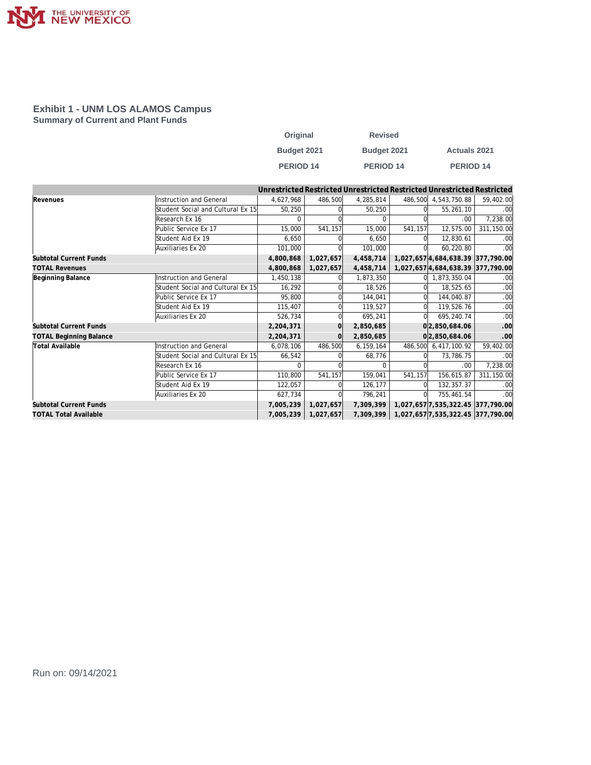

#### **Exhibit 1 - UNM LOS ALAMOS Campus Summary of Current and Plant Funds**

| Original         | <b>Revised</b>     |                     |
|------------------|--------------------|---------------------|
| Budget 2021      | <b>Budget 2021</b> | <b>Actuals 2021</b> |
| <b>PERIOD 14</b> | PERIOD 14          | <b>PERIOD 14</b>    |

|                                |                                   |           |           |           |         | Unrestricted Restricted Unrestricted Restricted Unrestricted Restricted |                  |
|--------------------------------|-----------------------------------|-----------|-----------|-----------|---------|-------------------------------------------------------------------------|------------------|
| Revenues                       | Instruction and General           | 4,627,968 | 486,500   | 4,285,814 | 486,500 | 4,543,750.88                                                            | 59,402.00        |
|                                | Student Social and Cultural Ex 15 | 50,250    |           | 50.250    |         | 55,261.10                                                               | .00              |
|                                | Research Ex 16                    |           |           |           |         | .00                                                                     | 7,238.00         |
|                                | Public Service Ex 17              | 15,000    | 541,157   | 15,000    | 541,157 | 12,575.00                                                               | 311,150.00       |
|                                | Student Aid Ex 19                 | 6,650     |           | 6,650     |         | 12,830.61                                                               | .00              |
|                                | Auxiliaries Ex 20                 | 101,000   |           | 101,000   |         | 60,220.80                                                               | .00              |
| <b>Subtotal Current Funds</b>  |                                   | 4,800,868 | 1,027,657 | 4,458,714 |         | 1,027,657 4,684,638.39 377,790.00                                       |                  |
| <b>TOTAL Revenues</b>          |                                   | 4,800,868 | 1,027,657 | 4,458,714 |         | 1,027,657 4,684,638.39 377,790.00                                       |                  |
| Beginning Balance              | Instruction and General           | 1,450,138 |           | 1,873,350 |         | 1,873,350.04                                                            | .00              |
|                                | Student Social and Cultural Ex 15 | 16,292    |           | 18,526    |         | 18,525.65                                                               | .00              |
|                                | Public Service Ex 17              | 95,800    |           | 144,041   |         | 144,040.87                                                              | .00              |
|                                | Student Aid Ex 19                 | 115,407   |           | 119,527   |         | 119,526.76                                                              | .00              |
|                                | Auxiliaries Ex 20                 | 526,734   |           | 695,241   | ΩI      | 695,240.74                                                              | .00              |
| Subtotal Current Funds         |                                   | 2,204,371 | $\Omega$  | 2,850,685 |         | 0 2,850,684.06                                                          | .00              |
| <b>TOTAL Beginning Balance</b> |                                   | 2,204,371 |           | 2,850,685 |         | 0 2,850,684.06                                                          | .00              |
| <b>Total Available</b>         | <b>Instruction and General</b>    | 6,078,106 | 486,500   | 6,159,164 | 486,500 | 6,417,100.92                                                            | 59,402.00        |
|                                | Student Social and Cultural Ex 15 | 66,542    |           | 68,776    |         | 73,786.75                                                               | .00              |
|                                | Research Ex 16                    | 0         |           | ∩         |         | .00                                                                     | 7,238.00         |
|                                | Public Service Ex 17              | 110,800   | 541,157   | 159,041   | 541,157 | 156,615.87                                                              | 311,150.00       |
|                                | Student Aid Ex 19                 | 122,057   |           | 126,177   |         | 132, 357.37                                                             | .00              |
|                                | Auxiliaries Ex 20                 | 627,734   |           | 796,241   |         | 755,461.54                                                              | .00 <sub>1</sub> |
| <b>Subtotal Current Funds</b>  |                                   | 7,005,239 | 1,027,657 | 7,309,399 |         | 1,027,657 7,535,322.45 377,790.00                                       |                  |
| <b>TOTAL Total Available</b>   |                                   | 7,005,239 | 1,027,657 | 7,309,399 |         | 1,027,657 7,535,322.45 377,790.00                                       |                  |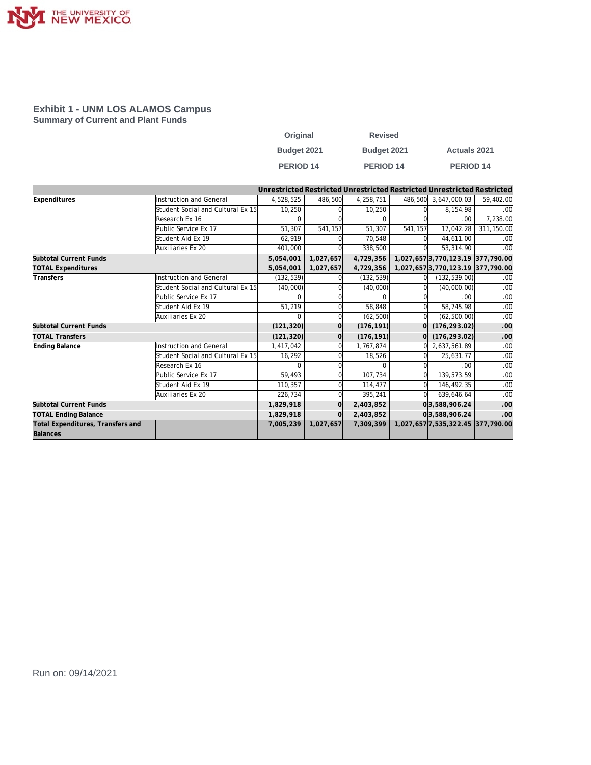

#### **Exhibit 1 - UNM LOS ALAMOS Campus Summary of Current and Plant Funds**

| Original         | <b>Revised</b> |                     |
|------------------|----------------|---------------------|
| Budget 2021      | Budget 2021    | <b>Actuals 2021</b> |
| <b>PERIOD 14</b> | PERIOD 14      | <b>PERIOD 14</b>    |

|                                   |                                   |            |           |              |         | Unrestricted Restricted Unrestricted Restricted Unrestricted Restricted |            |
|-----------------------------------|-----------------------------------|------------|-----------|--------------|---------|-------------------------------------------------------------------------|------------|
| Expenditures                      | Instruction and General           | 4,528,525  | 486,500   | 4,258,751    |         | 486,500 3,647,000.03                                                    | 59,402.00  |
|                                   | Student Social and Cultural Ex 15 | 10,250     |           | 10,250       |         | 8,154.98                                                                | .00        |
|                                   | Research Ex 16                    | $\Omega$   |           | <sup>0</sup> |         | .00                                                                     | 7,238.00   |
|                                   | Public Service Ex 17              | 51,307     | 541,157   | 51.307       | 541,157 | 17,042.28                                                               | 311,150.00 |
|                                   | Student Aid Ex 19                 | 62,919     |           | 70.548       |         | 44,611.00                                                               | .00        |
|                                   | Auxiliaries Ex 20                 | 401,000    |           | 338,500      |         | 53.314.90                                                               | .00        |
| <b>Subtotal Current Funds</b>     |                                   | 5,054,001  | 1,027,657 | 4,729,356    |         | 1,027,657 3,770,123.19 377,790.00                                       |            |
| <b>TOTAL Expenditures</b>         |                                   | 5,054,001  | 1,027,657 | 4,729,356    |         | 1,027,6573,770,123.19 377,790.00                                        |            |
| Transfers                         | Instruction and General           | (132, 539) |           | (132, 539)   |         | (132, 539.00)                                                           | .00        |
|                                   | Student Social and Cultural Ex 15 | (40,000)   |           | (40,000)     |         | (40,000.00)                                                             | .00        |
|                                   | Public Service Ex 17              | $\Omega$   |           | <sup>0</sup> |         | .00                                                                     | .00        |
|                                   | Student Aid Ex 19                 | 51,219     |           | 58.848       |         | 58,745.98                                                               | .00        |
|                                   | Auxiliaries Ex 20                 |            |           | (62, 500)    |         | (62, 500.00)                                                            | .00        |
| <b>Subtotal Current Funds</b>     |                                   | (121, 320) | $\Omega$  | (176, 191)   |         | (176, 293.02)                                                           | .00        |
| <b>TOTAL Transfers</b>            |                                   | (121, 320) | $\Omega$  | (176, 191)   |         | (176, 293.02)                                                           | .00        |
| Ending Balance                    | Instruction and General           | 1,417,042  | $\Omega$  | 1,767,874    | ΩI      | 2,637,561.89                                                            | .00        |
|                                   | Student Social and Cultural Ex 15 | 16,292     | $\Omega$  | 18,526       |         | 25,631.77                                                               | .00        |
|                                   | Research Ex 16                    | $\Omega$   |           | $\Omega$     |         | .00                                                                     | .00        |
|                                   | Public Service Ex 17              | 59.493     |           | 107.734      |         | 139,573.59                                                              | .00        |
|                                   | Student Aid Ex 19                 | 110,357    |           | 114,477      |         | 146,492.35                                                              | .00        |
|                                   | Auxiliaries Ex 20                 | 226,734    |           | 395,241      |         | 639,646.64                                                              | .00        |
| <b>Subtotal Current Funds</b>     |                                   | 1,829,918  | $\Omega$  | 2,403,852    |         | 03,588,906.24                                                           | .00        |
| <b>TOTAL Ending Balance</b>       |                                   | 1,829,918  | $\Omega$  | 2,403,852    |         | 0 3,588,906.24                                                          | .00        |
| Total Expenditures, Transfers and |                                   | 7,005,239  | 1,027,657 | 7,309,399    |         | 1,027,657 7,535,322.45 377,790.00                                       |            |
| Balances                          |                                   |            |           |              |         |                                                                         |            |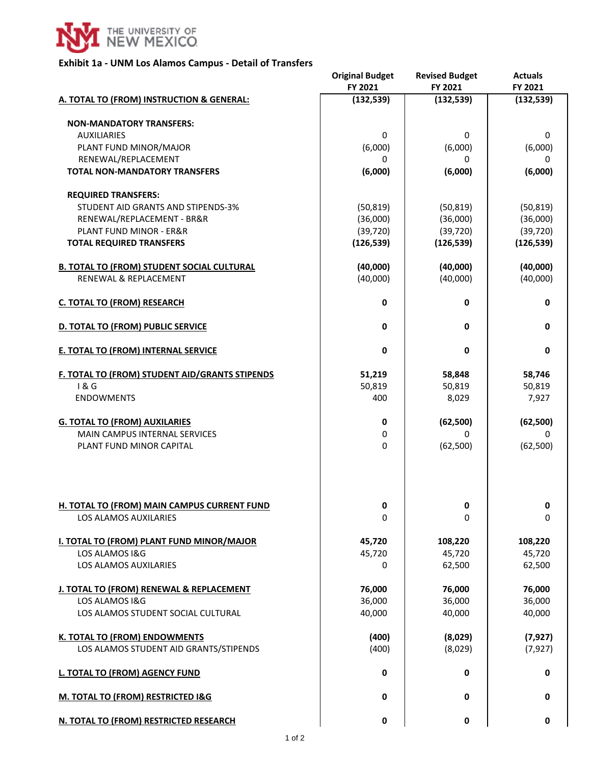

## **Exhibit 1a - UNM Los Alamos Campus - Detail of Transfers**

|                                                                      | <b>Original Budget</b><br>FY 2021 | <b>Revised Budget</b><br>FY 2021 | <b>Actuals</b><br>FY 2021 |
|----------------------------------------------------------------------|-----------------------------------|----------------------------------|---------------------------|
| A. TOTAL TO (FROM) INSTRUCTION & GENERAL:                            | (132, 539)                        | (132, 539)                       | (132, 539)                |
|                                                                      |                                   |                                  |                           |
| <b>NON-MANDATORY TRANSFERS:</b>                                      |                                   |                                  |                           |
| <b>AUXILIARIES</b>                                                   | 0                                 | 0                                | 0                         |
| PLANT FUND MINOR/MAJOR                                               | (6,000)                           | (6,000)                          | (6,000)                   |
| RENEWAL/REPLACEMENT                                                  | 0                                 | 0                                | 0                         |
| <b>TOTAL NON-MANDATORY TRANSFERS</b>                                 | (6,000)                           | (6,000)                          | (6,000)                   |
| <b>REQUIRED TRANSFERS:</b>                                           |                                   |                                  |                           |
| STUDENT AID GRANTS AND STIPENDS-3%                                   | (50, 819)                         | (50, 819)                        | (50, 819)                 |
| RENEWAL/REPLACEMENT - BR&R                                           | (36,000)                          | (36,000)                         | (36,000)                  |
| <b>PLANT FUND MINOR - ER&amp;R</b>                                   | (39, 720)                         | (39, 720)                        | (39, 720)                 |
| <b>TOTAL REQUIRED TRANSFERS</b>                                      | (126, 539)                        | (126, 539)                       | (126, 539)                |
|                                                                      |                                   |                                  |                           |
| <b>B. TOTAL TO (FROM) STUDENT SOCIAL CULTURAL</b>                    | (40,000)                          | (40,000)                         | (40,000)                  |
| <b>RENEWAL &amp; REPLACEMENT</b>                                     | (40,000)                          | (40,000)                         | (40,000)                  |
|                                                                      |                                   |                                  |                           |
| <b>C. TOTAL TO (FROM) RESEARCH</b>                                   | 0                                 | $\mathbf 0$                      | $\pmb{0}$                 |
| D. TOTAL TO (FROM) PUBLIC SERVICE                                    | 0                                 | 0                                | $\mathbf 0$               |
| <b>E. TOTAL TO (FROM) INTERNAL SERVICE</b>                           | 0                                 | $\mathbf 0$                      | $\mathbf 0$               |
| F. TOTAL TO (FROM) STUDENT AID/GRANTS STIPENDS                       | 51,219                            | 58,848                           | 58,746                    |
| 1&6                                                                  | 50,819                            | 50,819                           | 50,819                    |
| <b>ENDOWMENTS</b>                                                    | 400                               | 8,029                            | 7,927                     |
|                                                                      |                                   |                                  |                           |
| <b>G. TOTAL TO (FROM) AUXILARIES</b>                                 | 0                                 | (62, 500)                        | (62, 500)                 |
| <b>MAIN CAMPUS INTERNAL SERVICES</b>                                 | 0                                 | 0                                | 0                         |
| PLANT FUND MINOR CAPITAL                                             | $\Omega$                          | (62, 500)                        | (62, 500)                 |
| H. TOTAL TO (FROM) MAIN CAMPUS CURRENT FUND<br>LOS ALAMOS AUXILARIES | 0<br>0                            | 0<br>0                           | 0<br>0                    |
|                                                                      |                                   |                                  |                           |
| <b>I. TOTAL TO (FROM) PLANT FUND MINOR/MAJOR</b>                     | 45,720                            | 108,220                          | 108,220                   |
| LOS ALAMOS I&G                                                       | 45,720                            | 45,720                           | 45,720                    |
| <b>LOS ALAMOS AUXILARIES</b>                                         | 0                                 | 62,500                           | 62,500                    |
| J. TOTAL TO (FROM) RENEWAL & REPLACEMENT                             | 76,000                            | 76,000                           | 76,000                    |
| LOS ALAMOS I&G                                                       | 36,000                            | 36,000                           | 36,000                    |
| LOS ALAMOS STUDENT SOCIAL CULTURAL                                   | 40,000                            | 40,000                           | 40,000                    |
|                                                                      |                                   |                                  |                           |
| K. TOTAL TO (FROM) ENDOWMENTS                                        | (400)                             | (8,029)                          | (7, 927)                  |
| LOS ALAMOS STUDENT AID GRANTS/STIPENDS                               | (400)                             | (8,029)                          | (7, 927)                  |
|                                                                      |                                   |                                  |                           |
| L. TOTAL TO (FROM) AGENCY FUND                                       | 0                                 | 0                                | $\mathbf 0$               |
| M. TOTAL TO (FROM) RESTRICTED I&G                                    | 0                                 | $\mathbf 0$                      | $\mathbf 0$               |
| N. TOTAL TO (FROM) RESTRICTED RESEARCH                               | 0                                 | $\mathbf 0$                      | $\pmb{0}$                 |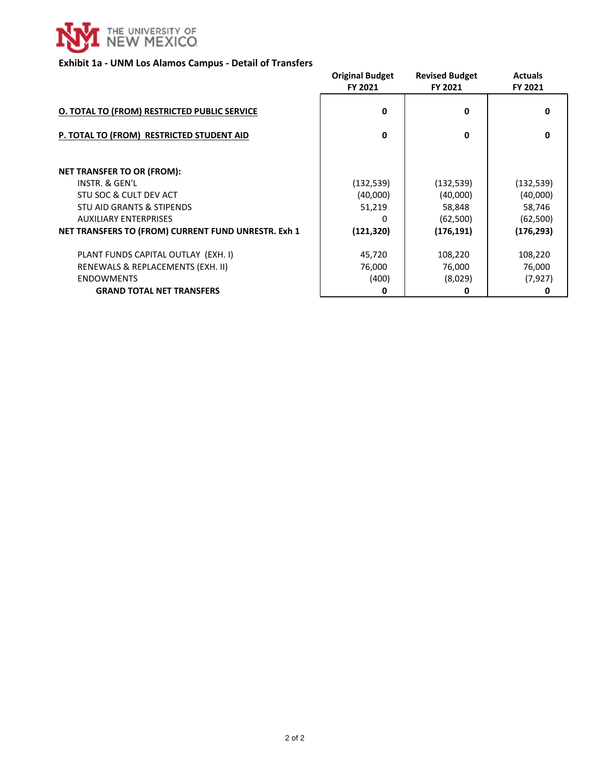

## **Exhibit 1a - UNM Los Alamos Campus - Detail of Transfers**

|                                                     | <b>Original Budget</b><br>FY 2021 | <b>Revised Budget</b><br>FY 2021 | <b>Actuals</b><br>FY 2021 |
|-----------------------------------------------------|-----------------------------------|----------------------------------|---------------------------|
|                                                     |                                   |                                  |                           |
| <b>O. TOTAL TO (FROM) RESTRICTED PUBLIC SERVICE</b> | 0                                 | 0                                | 0                         |
| P. TOTAL TO (FROM) RESTRICTED STUDENT AID           | 0                                 | 0                                | 0                         |
|                                                     |                                   |                                  |                           |
| <b>NET TRANSFER TO OR (FROM):</b>                   |                                   |                                  |                           |
| INSTR. & GEN'L                                      | (132, 539)                        | (132, 539)                       | (132, 539)                |
| STU SOC & CULT DEV ACT                              | (40,000)                          | (40,000)                         | (40,000)                  |
| STU AID GRANTS & STIPENDS                           | 51,219                            | 58,848                           | 58,746                    |
| <b>AUXILIARY ENTERPRISES</b>                        | n                                 | (62, 500)                        | (62, 500)                 |
| NET TRANSFERS TO (FROM) CURRENT FUND UNRESTR. Exh 1 | (121, 320)                        | (176, 191)                       | (176, 293)                |
| PLANT FUNDS CAPITAL OUTLAY (EXH. I)                 | 45,720                            | 108,220                          | 108,220                   |
| RENEWALS & REPLACEMENTS (EXH. II)                   | 76,000                            | 76,000                           | 76,000                    |
| <b>ENDOWMENTS</b>                                   | (400)                             | (8,029)                          | (7, 927)                  |
| <b>GRAND TOTAL NET TRANSFERS</b>                    | 0                                 | 0                                |                           |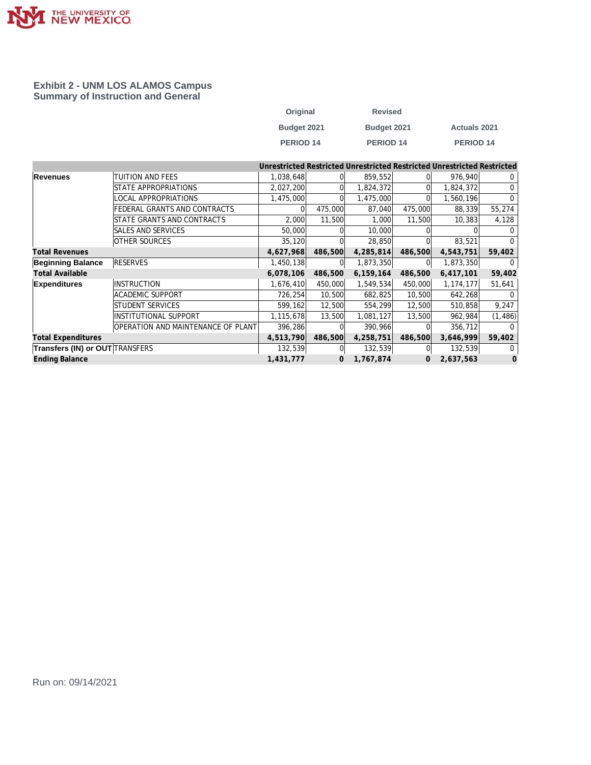

### **Exhibit 2 - UNM LOS ALAMOS Campus Summary of Instruction and General**

| Original    | <b>Revised</b> |                      |
|-------------|----------------|----------------------|
| Budget 2021 | Budget 2021    | <b>Actuals 2021</b>  |
| PERIOD 14   | PERIOD 14      | PERIOD <sub>14</sub> |

|                                        |                                    |           |         |           |         | Unrestricted Restricted Unrestricted Restricted Unrestricted Restricted |          |
|----------------------------------------|------------------------------------|-----------|---------|-----------|---------|-------------------------------------------------------------------------|----------|
| Revenues                               | TUITION AND FEES                   | 1,038,648 |         | 859,552   |         | 976,940                                                                 | 0        |
|                                        | STATE APPROPRIATIONS               | 2,027,200 |         | 1,824,372 |         | 1,824,372                                                               | $\Omega$ |
|                                        | <b>LOCAL APPROPRIATIONS</b>        | 1,475,000 |         | 1,475,000 |         | 1,560,196                                                               | $\Omega$ |
|                                        | FEDERAL GRANTS AND CONTRACTS       |           | 475,000 | 87,040    | 475,000 | 88,339                                                                  | 55,274   |
|                                        | STATE GRANTS AND CONTRACTS         | 2,000     | 11,500  | 1,000     | 11,500  | 10,383                                                                  | 4,128    |
|                                        | SALES AND SERVICES                 | 50,000    |         | 10,000    |         |                                                                         |          |
|                                        | <b>OTHER SOURCES</b>               | 35,120    |         | 28,850    |         | 83,521                                                                  | $\Omega$ |
| <b>Total Revenues</b>                  |                                    | 4,627,968 | 486,500 | 4,285,814 | 486,500 | 4,543,751                                                               | 59,402   |
| <b>Beginning Balance</b>               | <b>RESERVES</b>                    | 1,450,138 | 01      | 1,873,350 |         | 1,873,350                                                               | $\Omega$ |
| <b>Total Available</b>                 |                                    | 6,078,106 | 486,500 | 6,159,164 | 486,500 | 6,417,101                                                               | 59,402   |
| <b>Expenditures</b>                    | <b>INSTRUCTION</b>                 | 1,676,410 | 450,000 | 1,549,534 | 450,000 | 1, 174, 177                                                             | 51,641   |
|                                        | <b>ACADEMIC SUPPORT</b>            | 726,254   | 10,500  | 682,825   | 10,500  | 642,268                                                                 |          |
|                                        | STUDENT SERVICES                   | 599,162   | 12,500  | 554,299   | 12,500  | 510,858                                                                 | 9,247    |
|                                        | <b>INSTITUTIONAL SUPPORT</b>       | 1,115,678 | 13,500  | 1,081,127 | 13,500  | 962,984                                                                 | (1, 486) |
|                                        | OPERATION AND MAINTENANCE OF PLANT | 396,286   |         | 390,966   |         | 356,712                                                                 |          |
| <b>Total Expenditures</b>              |                                    | 4,513,790 | 486,500 | 4,258,751 | 486,500 | 3,646,999                                                               | 59,402   |
| <b>Transfers (IN) or OUT TRANSFERS</b> |                                    | 132,539   |         | 132,539   |         | 132,539                                                                 | $\Omega$ |
| <b>Ending Balance</b>                  |                                    | 1,431,777 | 0       | 1,767,874 | 0       | 2,637,563                                                               | 0        |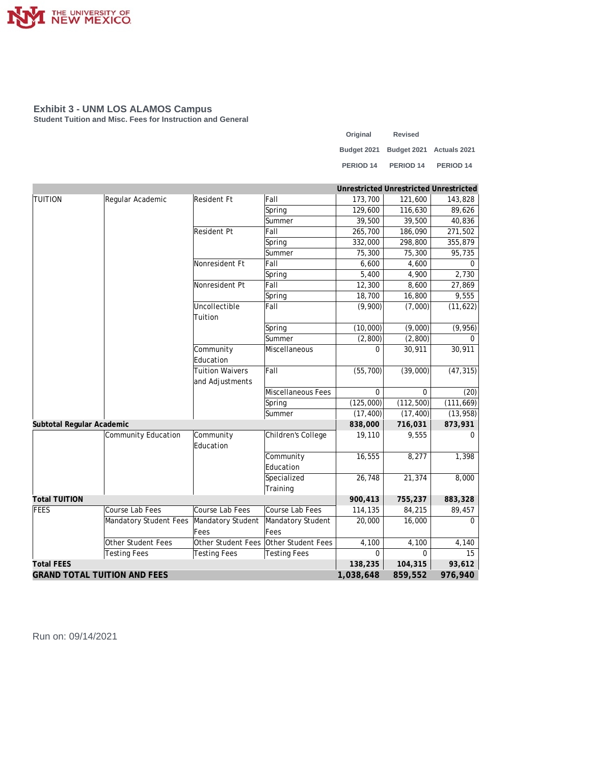

**Student Tuition and Misc. Fees for Instruction and General**

| Original             | <b>Revised</b>                       |                      |
|----------------------|--------------------------------------|----------------------|
|                      | Budget 2021 Budget 2021 Actuals 2021 |                      |
| PERIOD <sub>14</sub> | PERIOD <sub>14</sub>                 | PERIOD <sub>14</sub> |

|                           |                                                  |                        |                     | Unrestricted Unrestricted Unrestricted |            |            |
|---------------------------|--------------------------------------------------|------------------------|---------------------|----------------------------------------|------------|------------|
| <b>TUITION</b>            | Regular Academic                                 | Resident Ft            | Fall                | 173,700                                | 121,600    | 143,828    |
|                           |                                                  |                        | Spring              | 129,600                                | 116,630    | 89,626     |
|                           |                                                  |                        | Summer              | 39,500                                 | 39,500     | 40,836     |
|                           |                                                  | Resident Pt            | Fall                | 265,700                                | 186,090    | 271,502    |
|                           |                                                  |                        | Spring              | 332,000                                | 298,800    | 355,879    |
|                           |                                                  |                        | Summer              | 75,300                                 | 75,300     | 95,735     |
|                           |                                                  | Nonresident Ft         | Fall                | 6,600                                  | 4,600      | 0          |
|                           |                                                  |                        | Spring              | 5,400                                  | 4,900      | 2,730      |
|                           |                                                  | Nonresident Pt         | Fall                | 12,300                                 | 8,600      | 27,869     |
|                           |                                                  |                        | Spring              | 18,700                                 | 16,800     | 9,555      |
|                           |                                                  | Uncollectible          | Fall                | (9,900)                                | (7,000)    | (11, 622)  |
|                           |                                                  | Tuition                |                     |                                        |            |            |
|                           |                                                  |                        | Spring              | (10,000)                               | (9,000)    | (9,956)    |
|                           |                                                  |                        | Summer              | (2,800)                                | (2,800)    | $\Omega$   |
|                           |                                                  | Community              | Miscellaneous       | $\Omega$                               | 30,911     | 30,911     |
|                           |                                                  | Education              |                     |                                        |            |            |
|                           |                                                  | <b>Tuition Waivers</b> | Fall                | (55, 700)                              | (39,000)   | (47, 315)  |
|                           |                                                  | and Adjustments        |                     |                                        |            |            |
|                           |                                                  |                        | Miscellaneous Fees  | $\Omega$                               | $\Omega$   | (20)       |
|                           |                                                  |                        | Spring              | (125,000)                              | (112, 500) | (111, 669) |
|                           |                                                  |                        | Summer              | (17, 400)                              | (17, 400)  | (13, 958)  |
| Subtotal Regular Academic |                                                  |                        |                     | 838,000                                | 716,031    | 873,931    |
|                           | Community Education                              | Community<br>Education | Children's College  | 19,110                                 | 9,555      | $\Omega$   |
|                           |                                                  |                        | Community           | 16,555                                 | 8,277      | 1,398      |
|                           |                                                  |                        | Education           |                                        |            |            |
|                           |                                                  |                        | Specialized         | 26,748                                 | 21,374     | 8,000      |
|                           |                                                  |                        | Training            |                                        |            |            |
| <b>Total TUITION</b>      |                                                  |                        |                     | 900,413                                | 755,237    | 883,328    |
| FEES                      | Course Lab Fees                                  | Course Lab Fees        | Course Lab Fees     | 114,135                                | 84,215     | 89,457     |
|                           | Mandatory Student Fees                           | Mandatory Student      | Mandatory Student   | 20,000                                 | 16,000     | $\Omega$   |
|                           |                                                  | Fees                   | Fees                |                                        |            |            |
|                           | Other Student Fees                               | Other Student Fees     | Other Student Fees  | 4,100                                  | 4,100      | 4,140      |
|                           | <b>Testing Fees</b>                              | <b>Testing Fees</b>    | <b>Testing Fees</b> | $\Omega$                               | $\Omega$   | 15         |
| <b>Total FEES</b>         |                                                  |                        |                     |                                        | 104,315    | 93,612     |
|                           | <b>GRAND TOTAL TUITION AND FEES</b><br>1,038,648 |                        |                     |                                        | 859,552    | 976,940    |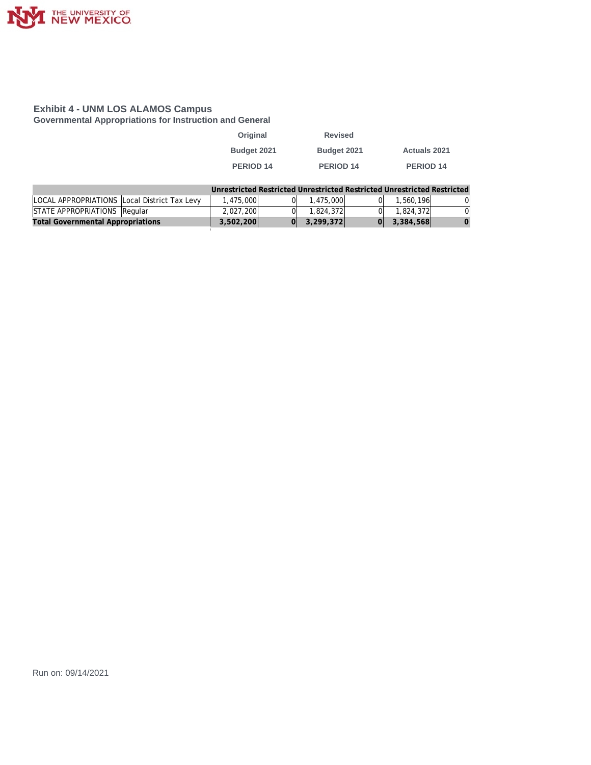

**Governmental Appropriations for Instruction and General**

| Original    | <b>Revised</b>   |                      |
|-------------|------------------|----------------------|
| Budget 2021 | Budget 2021      | <b>Actuals 2021</b>  |
| PERIOD 14   | <b>PERIOD 14</b> | PERIOD <sub>14</sub> |

|                                              |           | Unrestricted Restricted Unrestricted Restricted Unrestricted Restricted |                |    |
|----------------------------------------------|-----------|-------------------------------------------------------------------------|----------------|----|
| LOCAL APPROPRIATIONS Local District Tax Levy | 1.475.000 | 1,475,000                                                               | 1,560,196      | 0I |
| STATE APPROPRIATIONS Regular                 | 2.027.200 | 1.824.372                                                               | 1.824.372      | ΩL |
| <b>Total Governmental Appropriations</b>     | 3,502,200 | 3,299,372                                                               | $0 $ 3,384,568 |    |
|                                              |           |                                                                         |                |    |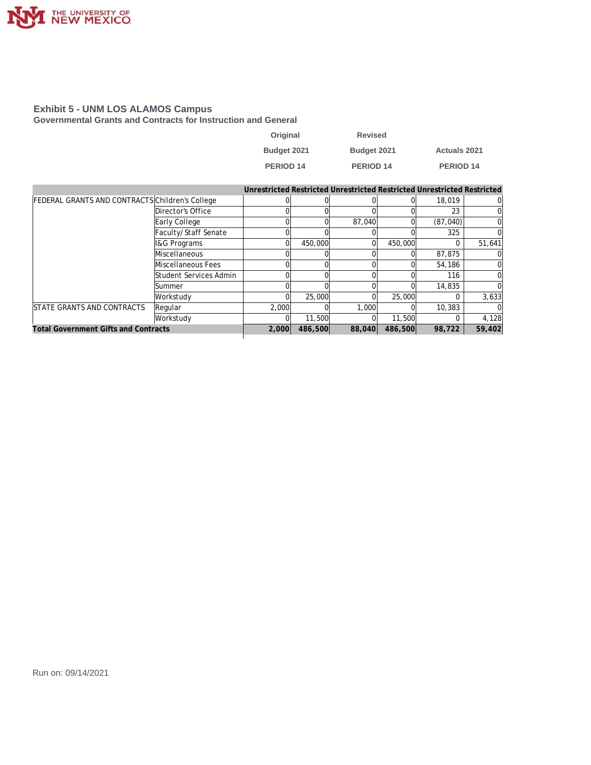

**Governmental Grants and Contracts for Instruction and General**

| Original             | <b>Revised</b> |                     |
|----------------------|----------------|---------------------|
| Budget 2021          | Budget 2021    | <b>Actuals 2021</b> |
| PERIOD <sub>14</sub> | PERIOD 14      | PERIOD 14           |

|                                                        |                         |          |         | Unrestricted Restricted Unrestricted Restricted Unrestricted Restricted |         |           |          |
|--------------------------------------------------------|-------------------------|----------|---------|-------------------------------------------------------------------------|---------|-----------|----------|
| <b>FEDERAL GRANTS AND CONTRACTS Children's College</b> |                         |          |         |                                                                         |         | 18,019    | 01       |
|                                                        | Director's Office       |          |         |                                                                         |         | 23        | $\Omega$ |
|                                                        | Early College           |          |         | 87,040                                                                  |         | (87, 040) | $\Omega$ |
|                                                        | Faculty/Staff Senate    |          |         |                                                                         |         | 325       | $\Omega$ |
|                                                        | <b>I&amp;G Programs</b> | 0        | 450,000 | Ωl                                                                      | 450,000 |           | 51,641   |
|                                                        | Miscellaneous           |          |         |                                                                         |         | 87.875    | $\Omega$ |
|                                                        | Miscellaneous Fees      |          |         |                                                                         |         | 54,186    | $\Omega$ |
|                                                        | Student Services Admin  |          |         |                                                                         |         | 116       | $\Omega$ |
|                                                        | ISummer                 |          |         |                                                                         |         | 14,835    | $\Omega$ |
|                                                        | Workstudy               | $\Omega$ | 25,000  | $\Omega$                                                                | 25,000  |           | 3,633    |
| <b>ISTATE GRANTS AND CONTRACTS</b>                     | Regular                 | 2.000    |         | 1,000                                                                   |         | 10,383    |          |
|                                                        | Workstudy               |          | 11,500  |                                                                         | 11,500  |           | 4,128    |
| <b>Total Government Gifts and Contracts</b>            |                         | 2,000    | 486,500 | 88,040                                                                  | 486,500 | 98.722    | 59,402   |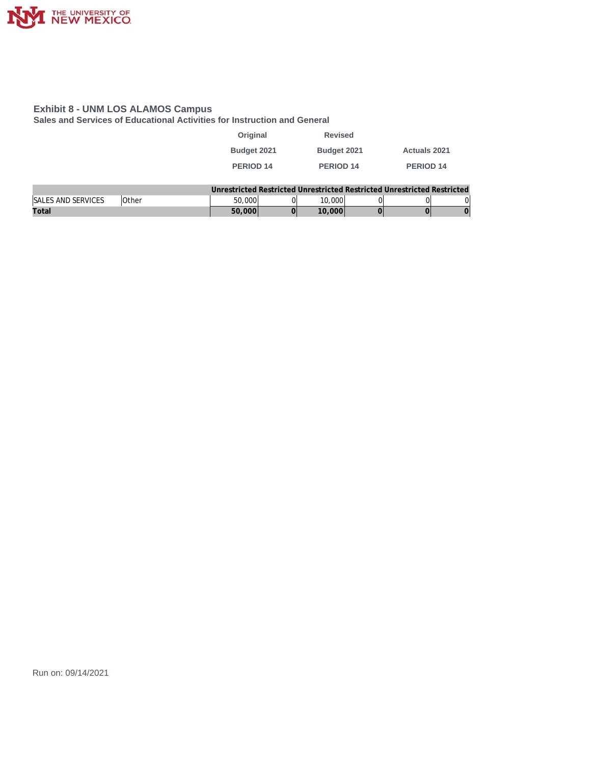

**Sales and Services of Educational Activities for Instruction and General**

| Original             | <b>Revised</b>   |                     |
|----------------------|------------------|---------------------|
| Budget 2021          | Budget 2021      | <b>Actuals 2021</b> |
| PERIOD <sub>14</sub> | <b>PERIOD 14</b> | <b>PERIOD 14</b>    |
|                      |                  |                     |

|                           |              |        |        | Unrestricted Restricted Unrestricted Restricted Unrestricted Restricted |    |
|---------------------------|--------------|--------|--------|-------------------------------------------------------------------------|----|
| <b>SALES AND SERVICES</b> | <b>Other</b> | 50,000 | 0.000  |                                                                         | OI |
| Total                     |              | 50.000 | 10,000 |                                                                         |    |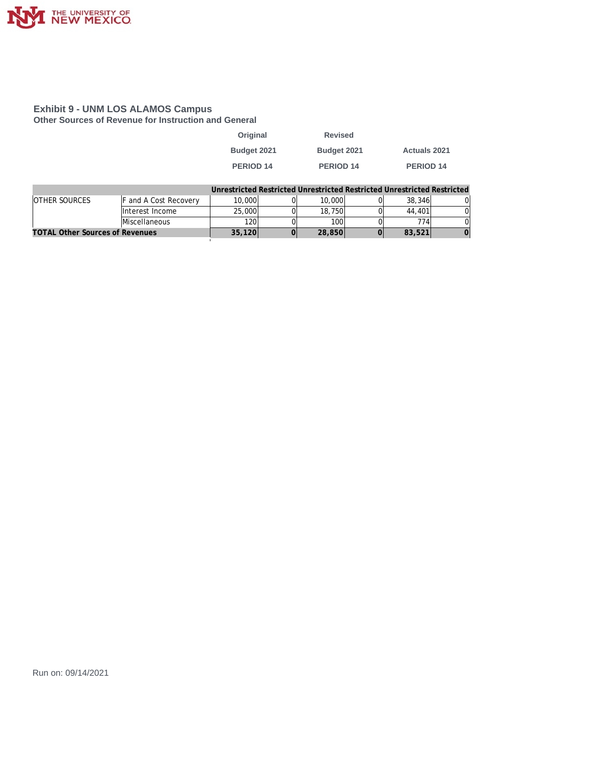

### **Exhibit 9 - UNM LOS ALAMOS Campus Other Sources of Revenue for Instruction and General**

| Original         | <b>Revised</b>   |                     |
|------------------|------------------|---------------------|
| Budget 2021      | Budget 2021      | <b>Actuals 2021</b> |
| <b>PERIOD 14</b> | <b>PERIOD 14</b> | <b>PERIOD 14</b>    |
|                  |                  |                     |

|                                        |                              |        |        | Unrestricted Restricted Unrestricted Restricted Unrestricted Restricted |  |
|----------------------------------------|------------------------------|--------|--------|-------------------------------------------------------------------------|--|
| <b>OTHER SOURCES</b>                   | <b>F</b> and A Cost Recovery | 10,000 | 10,000 | 38,346                                                                  |  |
|                                        | Interest Income              | 25,000 | 18,750 | 44.401                                                                  |  |
|                                        | <b>Miscellaneous</b>         | 1201   | 100    | 774ı                                                                    |  |
| <b>TOTAL Other Sources of Revenues</b> |                              | 35,120 | 28,850 | 83,521                                                                  |  |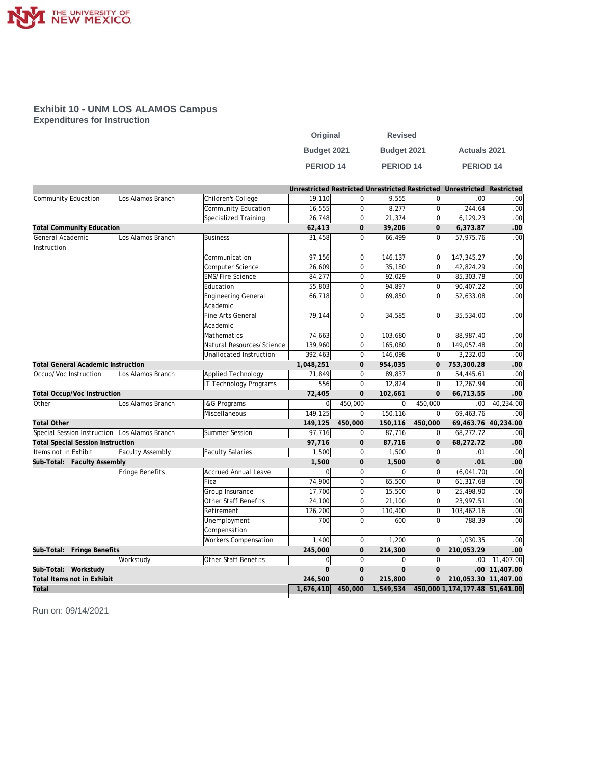

### **Exhibit 10 - UNM LOS ALAMOS Campus Expenditures for Instruction**

| Original         | <b>Revised</b>       |                     |
|------------------|----------------------|---------------------|
| Budget 2021      | Budget 2021          | <b>Actuals 2021</b> |
| <b>PERIOD 14</b> | PERIOD <sub>14</sub> | <b>PERIOD 14</b>    |

|                                                 |                   |                             |           |                |                             |                | Unrestricted Restricted Unrestricted Restricted Unrestricted Restricted |                     |
|-------------------------------------------------|-------------------|-----------------------------|-----------|----------------|-----------------------------|----------------|-------------------------------------------------------------------------|---------------------|
| Community Education                             | Los Alamos Branch | Children's College          | 19,110    | 0              | 9,555                       | 0              | .00                                                                     | .00                 |
|                                                 |                   | Community Education         | 16,555    | $\overline{0}$ | 8,277                       | $\overline{0}$ | 244.64                                                                  | .00                 |
|                                                 |                   | Specialized Training        | 26,748    | $\overline{0}$ | 21,374                      | <sub>0</sub>   | 6,129.23                                                                | .00                 |
| <b>Total Community Education</b>                |                   |                             | 62,413    | 0              | 39,206                      | 0              | 6,373.87                                                                | .00.                |
| General Academic                                | Los Alamos Branch | Business                    | 31,458    | $\Omega$       | 66.499                      | $\Omega$       | 57,975.76                                                               | .00                 |
| Instruction                                     |                   |                             |           |                |                             |                |                                                                         |                     |
|                                                 |                   | Communication               | 97,156    | $\Omega$       | 146,137                     | $\overline{0}$ | 147,345.27                                                              | .00                 |
|                                                 |                   | Computer Science            | 26,609    | 0              | 35,180                      | $\overline{0}$ | 42,824.29                                                               | .00                 |
|                                                 |                   | <b>EMS/Fire Science</b>     | 84,277    | 0              | 92,029                      | $\overline{0}$ | 85,303.78                                                               | .00                 |
|                                                 |                   | Education                   | 55,803    | $\overline{0}$ | 94,897                      | $\overline{0}$ | 90,407.22                                                               | .00                 |
|                                                 |                   | <b>Engineering General</b>  | 66,718    | 0              | 69,850                      | 0              | 52,633.08                                                               | .00                 |
|                                                 |                   | Academic                    |           |                |                             |                |                                                                         |                     |
|                                                 |                   | Fine Arts General           | 79,144    | 0              | 34,585                      | 0              | 35,534.00                                                               | .00                 |
|                                                 |                   | Academic                    |           |                |                             |                |                                                                         |                     |
|                                                 |                   | Mathematics                 | 74,663    | $\overline{0}$ | 103,680                     | <sup>0</sup>   | 88,987.40                                                               | .00                 |
|                                                 |                   | Natural Resources/Science   | 139,960   | 0              | 165,080                     | $\Omega$       | 149,057.48                                                              | .00                 |
|                                                 |                   | Unallocated Instruction     | 392,463   | $\overline{0}$ | 146,098                     | 0              | 3,232.00                                                                | .00                 |
| <b>Total General Academic Instruction</b>       |                   |                             | 1,048,251 | 0              | 954,035                     | $\mathbf 0$    | 753,300.28                                                              | .00                 |
| Occup/Voc Instruction                           | Los Alamos Branch | Applied Technology          | 71,849    | $\overline{0}$ | 89,837                      | $\mathsf{O}$   | 54,445.61                                                               | .00                 |
|                                                 |                   | IT Technology Programs      | 556       | $\overline{0}$ | 12,824                      | 0              | 12,267.94                                                               | .00                 |
| <b>Total Occup/Voc Instruction</b>              |                   |                             | 72,405    | 0              | 102,661                     | $\Omega$       | 66,713.55                                                               | .00                 |
| Other                                           | Los Alamos Branch | <b>I&amp;G Programs</b>     | 0         | 450,000        | $\Omega$                    | 450,000        | .00                                                                     | 40,234.00           |
|                                                 |                   | Miscellaneous               | 149,125   | 0              | 150,116                     | 0              | 69,463.76                                                               | .00                 |
| <b>Total Other</b>                              |                   |                             | 149,125   | 450,000        | 150,116                     | 450,000        |                                                                         | 69,463.76 40,234.00 |
| Special Session Instruction   Los Alamos Branch |                   | Summer Session              | 97,716    | $\overline{0}$ | 87,716                      | 0              | 68,272.72                                                               | $\overline{.00}$    |
| <b>Total Special Session Instruction</b>        |                   |                             | 97,716    | $\overline{O}$ | 87,716                      | $\Omega$       | 68,272.72                                                               | .00                 |
| Items not in Exhibit                            | Faculty Assembly  | <b>Faculty Salaries</b>     | 1,500     | $\overline{0}$ | 1,500                       | 0              | .01                                                                     | .00                 |
| Sub-Total: Faculty Assembly                     |                   |                             | 1,500     | 0              | 1,500                       | $\overline{0}$ | .01                                                                     | .00                 |
|                                                 | Fringe Benefits   | <b>Accrued Annual Leave</b> | $\Omega$  | $\overline{0}$ | $\Omega$                    | <sub>0</sub>   | (6,041.70)                                                              | .00                 |
|                                                 |                   | Fica                        | 74,900    | $\overline{0}$ | 65,500                      | $\overline{0}$ | 61,317.68                                                               | .00                 |
|                                                 |                   | Group Insurance             | 17,700    | 0              | 15,500                      | $\overline{0}$ | 25,498.90                                                               | .00                 |
|                                                 |                   | Other Staff Benefits        | 24,100    | $\overline{0}$ | 21,100                      | $\overline{0}$ | 23,997.51                                                               | .00                 |
|                                                 |                   | Retirement                  | 126,200   | $\overline{O}$ | 110,400                     | $\overline{0}$ | 103,462.16                                                              | .00                 |
|                                                 |                   | Unemployment                | 700       | $\Omega$       | 600                         | $\overline{0}$ | 788.39                                                                  | .00                 |
|                                                 |                   | Compensation                |           |                |                             |                |                                                                         |                     |
|                                                 |                   | Workers Compensation        | 1,400     | 0              | 1,200                       | 0              | 1,030.35                                                                | .00                 |
| Sub-Total: Fringe Benefits                      |                   |                             | 245,000   | 0              | 214,300                     | $\mathbf{O}$   | 210,053.29                                                              | .00                 |
|                                                 | Workstudy         | Other Staff Benefits        | 0         | $\overline{0}$ | $\overline{0}$              | 0              | .00                                                                     | 11,407.00           |
| Sub-Total: Workstudy                            |                   |                             | $\Omega$  | $\overline{0}$ | $\overline{0}$              | $\Omega$       |                                                                         | .00 11,407.00       |
| Total Items not in Exhibit                      |                   |                             | 246,500   | $\mathbf{O}$   | 215,800                     | $\overline{0}$ | 210,053.30 11,407.00                                                    |                     |
| Total                                           |                   |                             |           |                | 1,676,410 450,000 1,549,534 |                | 450,000 1,174,177.48 51,641.00                                          |                     |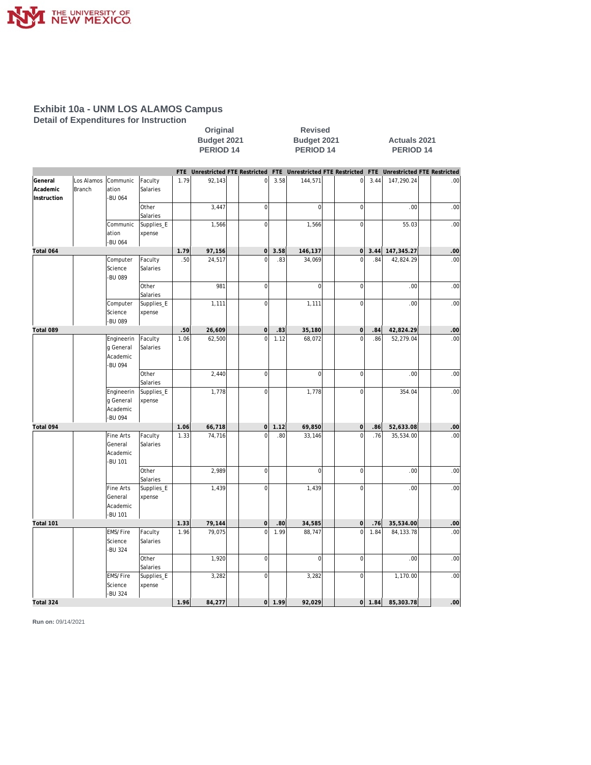

**Detail of Expenditures for Instruction**

|                                    |                      |                                                    |                      |      | Budget 2021<br>PERIOD <sub>14</sub> |                                 |            | Budget 2021<br>PERIOD <sub>14</sub> |                                     |      | <b>Actuals 2021</b><br>PERIOD <sub>14</sub> |                             |
|------------------------------------|----------------------|----------------------------------------------------|----------------------|------|-------------------------------------|---------------------------------|------------|-------------------------------------|-------------------------------------|------|---------------------------------------------|-----------------------------|
|                                    |                      |                                                    |                      |      |                                     | FTE Unrestricted FTE Restricted |            |                                     | FTE Unrestricted FTE Restricted FTE |      |                                             | Unrestricted FTE Restricted |
| General<br>Academic<br>Instruction | Los Alamos<br>Branch | Communic<br>ation<br>-BU 064                       | Faculty<br>Salaries  | 1.79 | 92,143                              | $\mathbf{0}$                    | 3.58       | 144,571                             | $\overline{0}$                      | 3.44 | 147,290.24                                  | .00                         |
|                                    |                      |                                                    | Other<br>Salaries    |      | 3,447                               | $\boldsymbol{0}$                |            | $\overline{0}$                      | $\overline{0}$                      |      | .00                                         | .00                         |
|                                    |                      | Communic<br>ation<br>-BU 064                       | Supplies_E<br>xpense |      | 1,566                               | $\mathbf 0$                     |            | 1,566                               | $\mathbf 0$                         |      | 55.03                                       | .00                         |
| Total 064                          |                      |                                                    |                      | 1.79 | 97,156                              | $\overline{0}$                  | 3.58       | 146,137                             | 0                                   | 3.44 | 147,345.27                                  | .00                         |
|                                    |                      | Computer<br>Science<br>-BU 089                     | Faculty<br>Salaries  | .50  | 24,517                              | $\mathbf 0$                     | .83        | 34,069                              | $\overline{0}$                      | .84  | 42,824.29                                   | .00                         |
|                                    |                      |                                                    | Other<br>Salaries    |      | 981                                 | $\boldsymbol{0}$                |            | $\overline{0}$                      | $\mathbf 0$                         |      | .00                                         | .00                         |
|                                    |                      | Computer<br>Science<br>-BU 089                     | Supplies_E<br>xpense |      | 1,111                               | $\mathbf 0$                     |            | 1,111                               | $\mathbf 0$                         |      | .00                                         | .00                         |
| Total 089                          |                      |                                                    |                      | .50  | 26,609                              | $\mathsf{O}\xspace$             | .83        | 35,180                              | $\mathsf{O}\xspace$                 | .84  | 42,824.29                                   | .00                         |
|                                    |                      | Engineerin<br>g General<br>Academic<br>-BU 094     | Faculty<br>Salaries  | 1.06 | 62,500                              | $\overline{0}$                  | 1.12       | 68,072                              | $\overline{0}$                      | .86  | 52,279.04                                   | .00                         |
|                                    |                      |                                                    | Other<br>Salaries    |      | 2,440                               | $\mathbf{0}$                    |            | $\overline{0}$                      | $\mathbf 0$                         |      | .00                                         | .00                         |
|                                    |                      | Engineerin<br>g General<br>Academic<br>-BU 094     | Supplies_E<br>xpense |      | 1,778                               | $\mathbf 0$                     |            | 1,778                               | $\mathbf 0$                         |      | 354.04                                      | .00 <sub>1</sub>            |
| Total 094                          |                      |                                                    |                      | 1.06 | 66,718                              | $\circ$                         | 1.12       | 69,850                              | $\mathsf{O}\xspace$                 | .86  | 52,633.08                                   | .00                         |
|                                    |                      | <b>Fine Arts</b><br>General<br>Academic<br>-BU 101 | Faculty<br>Salaries  | 1.33 | 74,716                              | $\overline{0}$                  | .80        | 33,146                              | $\overline{0}$                      | .76  | 35,534.00                                   | .00                         |
|                                    |                      |                                                    | Other<br>Salaries    |      | 2,989                               | $\mathbf 0$                     |            | $\overline{0}$                      | $\mathbf 0$                         |      | .00                                         | .00                         |
|                                    |                      | <b>Fine Arts</b><br>General<br>Academic<br>-BU 101 | Supplies_E<br>xpense |      | 1,439                               | $\overline{0}$                  |            | 1,439                               | $\mathbf 0$                         |      | .00                                         | .00                         |
| Total 101                          |                      |                                                    |                      | 1.33 | 79,144                              | $\mathbf 0$                     | .80        | 34,585                              | $\mathsf{O}\xspace$                 | .76  | 35,534.00                                   | .00                         |
|                                    |                      | EMS/Fire<br>Science<br>-BU 324                     | Faculty<br>Salaries  | 1.96 | 79,075                              | $\mathbf 0$                     | 1.99       | 88,747                              | $\overline{0}$                      | 1.84 | 84, 133. 78                                 | .00 <sub>1</sub>            |
|                                    |                      |                                                    | Other<br>Salaries    |      | 1,920                               | $\mathbf 0$                     |            | $\overline{0}$                      | $\mathbf 0$                         |      | .00                                         | .00                         |
|                                    |                      | EMS/Fire<br>Science<br>-BU 324                     | Supplies_E<br>xpense |      | 3,282                               | $\mathbf 0$                     |            | 3,282                               | $\mathbf 0$                         |      | 1,170.00                                    | .00                         |
| Total 324                          |                      |                                                    |                      | 1.96 | 84,277                              |                                 | $0$   1.99 | 92,029                              | 0                                   | 1.84 | 85,303.78                                   | .00 <sub>l</sub>            |

**Original Revised**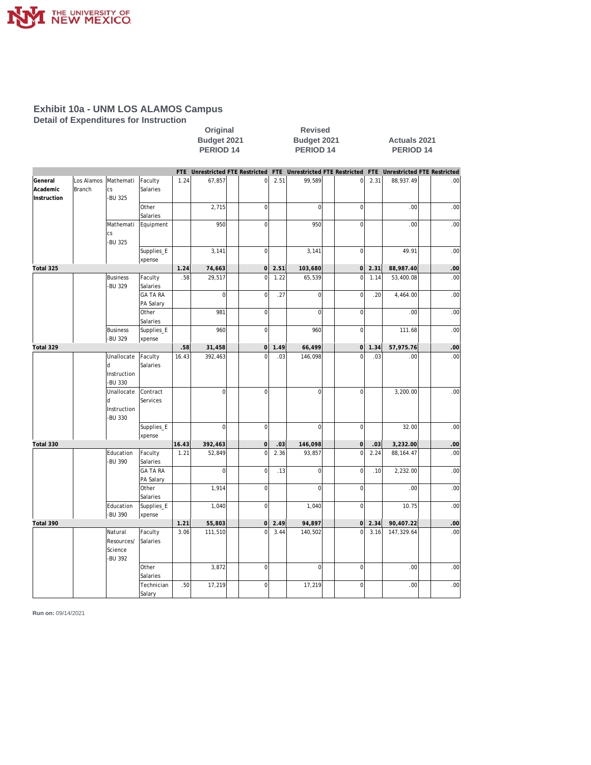

**Detail of Expenditures for Instruction**

|                                    |                      |                                                   |                              | Original<br>Budget 2021<br>PERIOD <sub>14</sub> |                |                                 |      | <b>Revised</b><br>Budget 2021<br>PERIOD <sub>14</sub> |                                     | <b>Actuals 2021</b><br><b>PERIOD 14</b> |                  |                             |  |
|------------------------------------|----------------------|---------------------------------------------------|------------------------------|-------------------------------------------------|----------------|---------------------------------|------|-------------------------------------------------------|-------------------------------------|-----------------------------------------|------------------|-----------------------------|--|
|                                    |                      |                                                   |                              | FTE                                             |                | Unrestricted FTE Restricted     |      |                                                       | FTE Unrestricted FTE Restricted FTE |                                         |                  | Unrestricted FTE Restricted |  |
| General<br>Academic<br>Instruction | Los Alamos<br>Branch | Mathemati<br>CS<br><b>BU 325</b>                  | Faculty<br>Salaries          | 1.24                                            | 67,857         | $\mathbf 0$                     | 2.51 | 99,589                                                | $\mathbf{0}$                        | 2.31                                    | 88,937.49        | .00                         |  |
|                                    |                      |                                                   | Other<br>Salaries            |                                                 | 2,715          | $\mathbf 0$                     |      | $\Omega$                                              | $\mathbf 0$                         |                                         | .00              | .00                         |  |
|                                    |                      | Mathemati<br>cs<br>-BU 325                        | Equipment                    |                                                 | 950            | $\mathbf 0$                     |      | 950                                                   | $\overline{0}$                      |                                         | .00              | .00                         |  |
|                                    |                      |                                                   | Supplies_E<br>xpense         |                                                 | 3,141          | $\mathbf 0$                     |      | 3,141                                                 | $\mathbf 0$                         |                                         | 49.91            | .00                         |  |
| Total 325                          |                      |                                                   |                              | 1.24                                            | 74,663         | $\mathsf{O}\xspace$             | 2.51 | 103,680                                               | $\mathsf{O}\xspace$                 | 2.31                                    | 88,987.40        | .00                         |  |
|                                    |                      | <b>Business</b><br><b>BU 329</b>                  | Faculty<br>Salaries          | .58                                             | 29,517         | $\overline{0}$                  | 1.22 | 65,539                                                | $\overline{0}$                      | 1.14                                    | 53,400.08        | .00                         |  |
|                                    |                      |                                                   | <b>GA TA RA</b><br>PA Salary |                                                 | $\overline{0}$ | $\mathbf 0$                     | .27  | $\overline{0}$                                        | $\mathbf 0$                         | .20                                     | 4,464.00         | .00                         |  |
|                                    |                      |                                                   | Other<br>Salaries            |                                                 | 981            | 0                               |      | $\Omega$<br>960                                       | $\mathbf 0$<br>$\mathsf{O}\xspace$  |                                         | .00<br>111.68    | .00<br>.00                  |  |
|                                    |                      | <b>Business</b><br>-BU 329                        | Supplies_E<br>xpense         |                                                 | 960            | $\boldsymbol{0}$<br>$\mathbf 0$ | 1.49 |                                                       |                                     |                                         |                  |                             |  |
| Total 329                          |                      | Unallocate                                        |                              | .58<br>16.43                                    | 31,458         | $\Omega$                        | .03  | 66,499                                                | $\overline{0}$<br>$\overline{0}$    | 1.34<br>.03                             | 57,975.76<br>.00 | .00<br>.00                  |  |
|                                    |                      | $\mathsf{d}$<br>Instruction<br>-BU 330            | Faculty<br>Salaries          |                                                 | 392,463        |                                 |      | 146,098                                               |                                     |                                         |                  |                             |  |
|                                    |                      | Unallocate<br>d<br>Instruction<br>-BU 330         | Contract<br>Services         |                                                 | $\overline{0}$ | $\overline{0}$                  |      | $\overline{0}$                                        | $\overline{0}$                      |                                         | 3,200.00         | .00                         |  |
|                                    |                      |                                                   | Supplies_E<br>xpense         |                                                 | $\overline{0}$ | $\mathbf 0$                     |      | $\overline{0}$                                        | $\mathbf 0$                         |                                         | 32.00            | .00                         |  |
| Total 330                          |                      |                                                   |                              | 16.43                                           | 392,463        | $\mathsf{O}\xspace$             | .03  | 146,098                                               | $\mathsf{O}\xspace$                 | .03                                     | 3,232.00         | .00                         |  |
|                                    |                      | Education<br><b>BU 390</b>                        | Faculty<br>Salaries          | 1.21                                            | 52,849         | $\overline{0}$                  | 2.36 | 93,857                                                | $\overline{0}$                      | 2.24                                    | 88, 164.47       | .00                         |  |
|                                    |                      |                                                   | <b>GA TA RA</b><br>PA Salary |                                                 | $\overline{0}$ | $\overline{0}$                  | .13  | $\overline{0}$                                        | $\mathbf 0$                         | .10                                     | 2,232.00         | .00                         |  |
|                                    |                      |                                                   | Other<br>Salaries            |                                                 | 1,914          | $\mathbf 0$                     |      | $\Omega$                                              | $\mathbf 0$                         |                                         | .00              | .00                         |  |
|                                    |                      | Education<br>-BU 390                              | Supplies_E<br>xpense         |                                                 | 1,040          | $\mathbf 0$                     |      | 1,040                                                 | $\mathbf 0$                         |                                         | 10.75            | .00                         |  |
| Total 390                          |                      |                                                   |                              | 1.21                                            | 55,803         | $\mathbf 0$                     | 2.49 | 94,897                                                | <sub>0</sub>                        | 2.34                                    | 90,407.22        | .00                         |  |
|                                    |                      | Natural<br>Resources/<br>Science<br><b>BU 392</b> | Faculty<br>Salaries          | 3.06                                            | 111,510        | $\overline{0}$                  | 3.44 | 140,502                                               | $\overline{0}$                      | 3.16                                    | 147,329.64       | .00                         |  |
|                                    |                      |                                                   | Other<br>Salaries            |                                                 | 3,872          | $\mathbf 0$                     |      | $\overline{0}$                                        | $\overline{0}$                      |                                         | .00              | .00                         |  |
|                                    |                      |                                                   | Technician<br>Salary         | .50                                             | 17,219         | 0                               |      | 17,219                                                | $\mathbf 0$                         |                                         | .00.             | .00                         |  |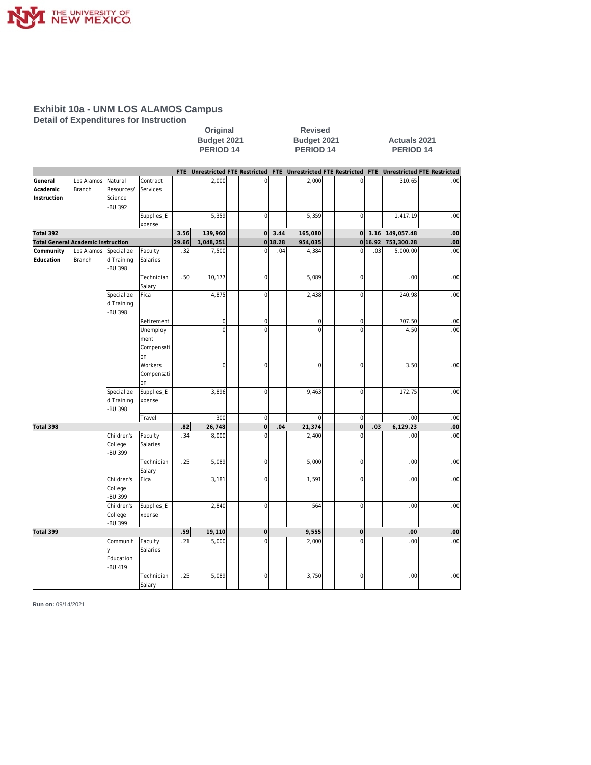

**Detail of Expenditures for Instruction**

|                                           |                      |                                             |                                      |       | Original<br><b>Revised</b><br>Budget 2021<br>Budget 2021<br>PERIOD <sub>14</sub><br>PERIOD <sub>14</sub> |                                 |         |                |                                 | <b>Actuals 2021</b><br>PERIOD <sub>14</sub> |            |                                 |  |
|-------------------------------------------|----------------------|---------------------------------------------|--------------------------------------|-------|----------------------------------------------------------------------------------------------------------|---------------------------------|---------|----------------|---------------------------------|---------------------------------------------|------------|---------------------------------|--|
|                                           |                      |                                             |                                      |       |                                                                                                          | FTE Unrestricted FTE Restricted |         |                | FTE Unrestricted FTE Restricted |                                             |            | FTE Unrestricted FTE Restricted |  |
| General<br>Academic<br>Instruction        | Los Alamos<br>Branch | Natural<br>Resources/<br>Science<br>-BU 392 | Contract<br>Services                 |       | 2,000                                                                                                    | $\overline{0}$                  |         | 2,000          | $\mathbf 0$                     |                                             | 310.65     | .00                             |  |
|                                           |                      |                                             | Supplies_E<br>xpense                 |       | 5,359                                                                                                    | $\mathbf 0$                     |         | 5,359          | $\mathbf 0$                     |                                             | 1,417.19   | .00                             |  |
| Total 392                                 |                      |                                             |                                      | 3.56  | 139,960                                                                                                  | $\overline{0}$                  | 3.44    | 165,080        | $\mathbf 0$                     | 3.16                                        | 149,057.48 | .00                             |  |
| <b>Total General Academic Instruction</b> |                      |                                             |                                      | 29.66 | 1,048,251                                                                                                |                                 | 0 18.28 | 954,035        |                                 | 0 16.92                                     | 753,300.28 | .00                             |  |
| Community<br>Education                    | Los Alamos<br>Branch | Specialize<br>d Training<br><b>BU 398</b>   | Faculty<br>Salaries                  | .32   | 7,500                                                                                                    | $\overline{0}$                  | .04     | 4,384          | $\overline{0}$                  | .03                                         | 5,000.00   | .00                             |  |
|                                           |                      |                                             | Technician<br>Salary                 | .50   | 10,177                                                                                                   | $\overline{0}$                  |         | 5,089          | $\mathbf 0$                     |                                             | .00        | .00                             |  |
|                                           |                      | Specialize<br>d Training<br>-BU 398         | Fica                                 |       | 4,875                                                                                                    | $\overline{0}$                  |         | 2,438          | $\overline{0}$                  |                                             | 240.98     | .00                             |  |
|                                           |                      |                                             | Retirement                           |       | $\overline{0}$                                                                                           | $\overline{0}$                  |         | 0              | $\boldsymbol{0}$                |                                             | 707.50     | .00                             |  |
|                                           |                      |                                             | Unemploy<br>ment<br>Compensati<br>on |       | $\overline{0}$                                                                                           | $\mathbf 0$                     |         | $\overline{0}$ | $\overline{0}$                  |                                             | 4.50       | .00                             |  |
|                                           |                      |                                             | Workers<br>Compensati<br>on          |       | $\overline{0}$                                                                                           | $\overline{0}$                  |         | $\Omega$       | $\mathbf 0$                     |                                             | 3.50       | .00                             |  |
|                                           |                      | Specialize<br>d Training<br><b>BU 398</b>   | Supplies_E<br>xpense                 |       | 3,896                                                                                                    | $\mathbf 0$                     |         | 9,463          | $\overline{0}$                  |                                             | 172.75     | .00                             |  |
|                                           |                      |                                             | Travel                               |       | 300                                                                                                      | $\overline{0}$                  |         | $\Omega$       | $\overline{0}$                  |                                             | .00        | .00                             |  |
| Total 398                                 |                      |                                             |                                      | .82   | 26,748                                                                                                   | $\overline{0}$                  | .04     | 21,374         | $\overline{0}$                  | .03                                         | 6,129.23   | .00                             |  |
|                                           |                      | Children's<br>College<br><b>BU 399</b>      | Faculty<br>Salaries                  | .34   | 8,000                                                                                                    | $\overline{0}$                  |         | 2,400          | $\Omega$                        |                                             | .00        | .00                             |  |
|                                           |                      |                                             | Technician<br>Salary                 | .25   | 5,089                                                                                                    | $\circ$                         |         | 5,000          | $\overline{0}$                  |                                             | .00        | .00                             |  |
|                                           |                      | Children's<br>College<br>-BU 399            | Fica                                 |       | 3,181                                                                                                    | $\mathbf 0$                     |         | 1,591          | $\mathbf 0$                     |                                             | .00        | .00                             |  |
|                                           |                      | Children's<br>College<br><b>BU 399</b>      | Supplies_E<br>xpense                 |       | 2,840                                                                                                    | $\mathbf 0$                     |         | 564            | $\overline{0}$                  |                                             | .00        | .00                             |  |
| Total 399                                 |                      |                                             |                                      | .59   | 19,110                                                                                                   | $\mathbf 0$                     |         | 9,555          | $\mathbf 0$                     |                                             | .00        | .00                             |  |
|                                           |                      | Communit<br>y<br>Education<br><b>BU 419</b> | Faculty<br>Salaries                  | .21   | 5,000                                                                                                    | $\overline{0}$                  |         | 2,000          | $\overline{0}$                  |                                             | .00        | .00                             |  |
|                                           |                      |                                             | Technician<br>Salary                 | .25   | 5,089                                                                                                    | $\mathbf 0$                     |         | 3,750          | $\mathbf 0$                     |                                             | .00        | .00                             |  |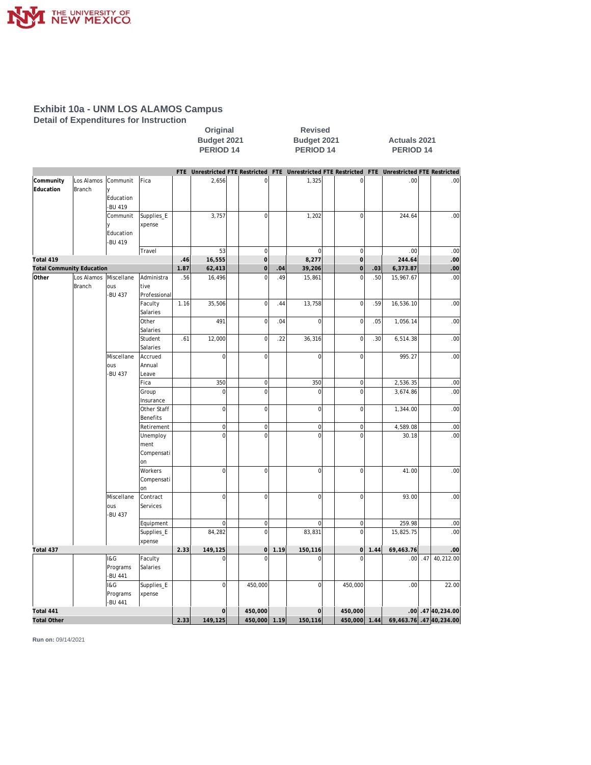

**Detail of Expenditures for Instruction**

|                                  |                             |                                                  |                                      |      | Original<br>Budget 2021<br>PERIOD <sub>14</sub> |                                       |      | <b>Revised</b><br>Budget 2021<br>PERIOD <sub>14</sub> |                                                                                                 |      | <b>Actuals 2021</b><br>PERIOD <sub>14</sub> |     |                       |  |
|----------------------------------|-----------------------------|--------------------------------------------------|--------------------------------------|------|-------------------------------------------------|---------------------------------------|------|-------------------------------------------------------|-------------------------------------------------------------------------------------------------|------|---------------------------------------------|-----|-----------------------|--|
|                                  |                             |                                                  |                                      |      |                                                 |                                       |      |                                                       | FTE Unrestricted FTE Restricted FTE Unrestricted FTE Restricted FTE Unrestricted FTE Restricted |      |                                             |     |                       |  |
| Community<br>Education           | Los Alamos<br><b>Branch</b> | Communit<br>y<br>Education<br>-BU 419            | Fica                                 |      | 2,656                                           | $\overline{0}$                        |      | 1,325                                                 | $\overline{0}$                                                                                  |      | .00.                                        |     | .00                   |  |
|                                  |                             | Communit<br>$\mathsf{v}$<br>Education<br>-BU 419 | Supplies_E<br>xpense                 |      | 3,757                                           | $\boldsymbol{0}$                      |      | 1,202                                                 | 0                                                                                               |      | 244.64                                      |     | .00                   |  |
|                                  |                             |                                                  | Travel                               |      | 53                                              | $\overline{0}$                        |      | $\overline{0}$                                        | $\mathsf{O}\xspace$                                                                             |      | .00                                         |     | .00                   |  |
| Total 419                        |                             |                                                  |                                      | .46  | 16,555                                          | $\circ$                               |      | 8,277                                                 | $\overline{O}$                                                                                  |      | 244.64                                      |     | .00                   |  |
| <b>Total Community Education</b> |                             |                                                  | Administra                           | 1.87 | 62,413                                          | $\mathsf{O}\xspace$<br>$\overline{0}$ | .04  | 39,206                                                | $\mathbf 0$<br>$\overline{0}$                                                                   | .03  | 6,373.87                                    |     | .00                   |  |
| Other                            | Los Alamos<br><b>Branch</b> | Miscellane<br>ous<br>-BU 437                     | tive<br>Professional                 | .56  | 16,496                                          |                                       | .49  | 15,861                                                |                                                                                                 | .50  | 15,967.67                                   |     | .00                   |  |
|                                  |                             |                                                  | Faculty<br>Salaries                  | 1.16 | 35,506                                          | $\overline{0}$                        | .44  | 13,758                                                | $\mathbf 0$                                                                                     | .59  | 16,536.10                                   |     | .00                   |  |
|                                  |                             |                                                  | Other<br>Salaries                    |      | 491                                             | $\mathbf 0$                           | .04  | $\overline{0}$                                        | $\mathbf 0$                                                                                     | .05  | 1,056.14                                    |     | .00                   |  |
|                                  |                             |                                                  | Student<br>Salaries                  | .61  | 12,000                                          | $\mathbf 0$                           | .22  | 36,316                                                | $\mathbf 0$                                                                                     | .30  | 6,514.38                                    |     | .00                   |  |
|                                  |                             | Miscellane<br>ous<br>-BU 437                     | Accrued<br>Annual<br>Leave           |      | $\overline{0}$                                  | $\mathbf 0$                           |      | $\overline{0}$                                        | 0                                                                                               |      | 995.27                                      |     | .00                   |  |
|                                  |                             |                                                  | Fica                                 |      | 350                                             | $\boldsymbol{0}$                      |      | 350                                                   | $\boldsymbol{0}$                                                                                |      | 2,536.35                                    |     | .00                   |  |
|                                  |                             |                                                  | Group<br>Insurance                   |      | $\overline{0}$                                  | $\mathbf 0$                           |      | $\overline{0}$                                        | $\mathbf 0$                                                                                     |      | 3,674.86                                    |     | .00                   |  |
|                                  |                             |                                                  | Other Staff<br>Benefits              |      | $\overline{0}$                                  | $\mathbf 0$                           |      | $\overline{0}$                                        | $\mathbf 0$                                                                                     |      | 1,344.00                                    |     | .00                   |  |
|                                  |                             |                                                  | Retirement                           |      | $\overline{0}$                                  | $\overline{0}$                        |      | $\overline{0}$                                        | $\mathbf 0$                                                                                     |      | 4,589.08                                    |     | .00                   |  |
|                                  |                             |                                                  | Unemploy<br>ment<br>Compensati<br>on |      | $\overline{0}$                                  | $\overline{0}$                        |      | $\overline{0}$                                        | $\overline{0}$                                                                                  |      | 30.18                                       |     | .00                   |  |
|                                  |                             |                                                  | Workers<br>Compensati<br>on          |      | $\overline{0}$                                  | $\overline{0}$                        |      | $\overline{0}$                                        | 0                                                                                               |      | 41.00                                       |     | .00                   |  |
|                                  |                             | Miscellane<br>ous<br>-BU 437                     | Contract<br>Services                 |      | $\overline{0}$                                  | $\circ$                               |      | $\overline{0}$                                        | $\mathsf{O}\xspace$                                                                             |      | 93.00                                       |     | .00                   |  |
|                                  |                             |                                                  | Equipment                            |      | $\overline{0}$                                  | $\boldsymbol{0}$                      |      | $\overline{0}$                                        | $\boldsymbol{0}$                                                                                |      | 259.98                                      |     | .00                   |  |
|                                  |                             |                                                  | Supplies_E<br>xpense                 |      | 84,282                                          | $\mathbf 0$                           |      | 83,831                                                | $\mathbf 0$                                                                                     |      | 15,825.75                                   |     | .00                   |  |
| Total 437                        |                             |                                                  |                                      | 2.33 | 149,125                                         | $\overline{0}$                        | 1.19 | 150,116                                               | $\overline{0}$                                                                                  | 1.44 | 69,463.76                                   |     | .00                   |  |
|                                  |                             | I&G<br>Programs<br>-BU 441                       | Faculty<br>Salaries                  |      | 0                                               | $\Omega$                              |      | $\Omega$                                              | $\Omega$                                                                                        |      | .00                                         | .47 | 40,212.00             |  |
|                                  |                             | <b>1&amp;G</b><br>Programs<br>-BU 441            | Supplies_E<br>xpense                 |      | $\overline{0}$                                  | 450,000                               |      | $\overline{0}$                                        | 450,000                                                                                         |      | .00                                         |     | 22.00                 |  |
| Total 441                        |                             |                                                  |                                      |      | $\Omega$                                        | 450,000                               |      | $\mathbf 0$                                           | 450,000                                                                                         |      |                                             |     | $.00$ . 47 40, 234.00 |  |
| <b>Total Other</b>               |                             |                                                  |                                      | 2.33 | 149,125                                         | 450,000                               | 1.19 | 150,116                                               | 450,000                                                                                         | 1.44 |                                             |     | 69,463.76.4740,234.00 |  |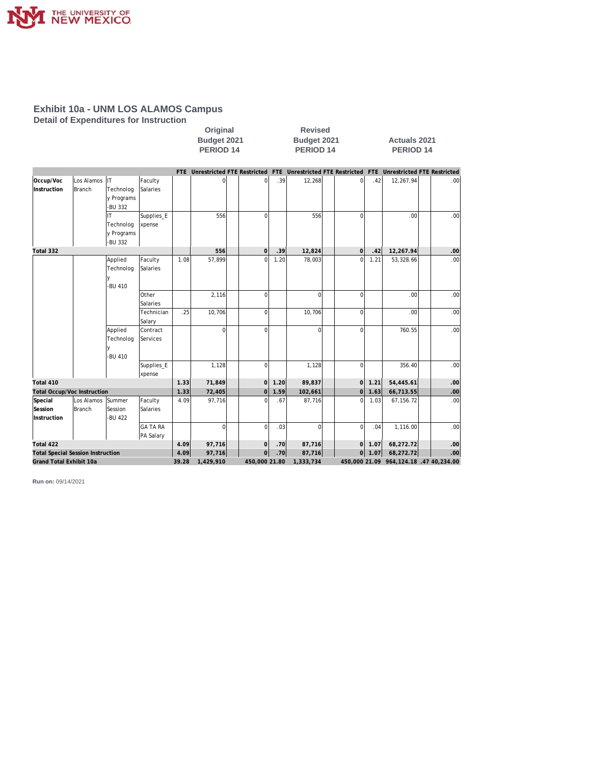

**Detail of Expenditures for Instruction**

|                                          |                         |                                          |                              |        | Original<br>Budget 2021<br>PERIOD <sub>14</sub> |                | <b>Revised</b><br>Budget 2021<br>PERIOD 14 |           |                |           | <b>Actuals 2021</b><br><b>PERIOD 14</b> |                                                                 |  |  |
|------------------------------------------|-------------------------|------------------------------------------|------------------------------|--------|-------------------------------------------------|----------------|--------------------------------------------|-----------|----------------|-----------|-----------------------------------------|-----------------------------------------------------------------|--|--|
|                                          |                         |                                          |                              |        | FTE Unrestricted FTE Restricted                 |                |                                            |           |                |           |                                         | FTE Unrestricted FTE Restricted FTE Unrestricted FTE Restricted |  |  |
| Occup/Voc<br>Instruction                 | Los Alamos IT<br>Branch | Technolog<br>y Programs<br>-BU 332       | Faculty<br>Salaries          |        | $\Omega$                                        | $\Omega$       | .39                                        | 12,268    | οI             | .42       | 12,267.94                               | .00                                                             |  |  |
|                                          |                         | IT<br>Technolog<br>y Programs<br>-BU 332 | Supplies_E<br>xpense         |        | 556                                             | $\Omega$       |                                            | 556       | $\Omega$       |           | .00                                     | .00                                                             |  |  |
| Total 332                                |                         |                                          |                              |        | 556                                             | $\Omega$       | .39                                        | 12,824    | $\overline{O}$ | .42       | 12,267.94                               | .00                                                             |  |  |
|                                          |                         | Applied<br>Technolog<br>-BU 410          | Faculty<br>Salaries          | 1.08   | 57,899                                          | $\Omega$       | 1.20                                       | 78,003    | $\Omega$       | 1.21      | 53,328.66                               | .00                                                             |  |  |
|                                          |                         |                                          | Other<br>Salaries            |        | 2,116                                           | $\mathbf 0$    |                                            | $\Omega$  | $\Omega$       |           | .00                                     | .00                                                             |  |  |
|                                          |                         |                                          | Technician<br>Salary         | .25    | 10,706                                          | $\mathbf 0$    |                                            | 10,706    | 0              |           | .00                                     | .00                                                             |  |  |
|                                          |                         | Applied<br>Technolog<br>-BU 410          | Contract<br>Services         |        | $\Omega$                                        | $\Omega$       |                                            | $\Omega$  | $\Omega$       |           | 760.55                                  | .00                                                             |  |  |
|                                          |                         |                                          | Supplies_E                   |        | 1,128                                           | $\Omega$       |                                            | 1,128     | 0              |           | 356.40                                  | .00                                                             |  |  |
|                                          |                         |                                          | xpense                       |        |                                                 |                |                                            |           |                |           |                                         |                                                                 |  |  |
| Total 410                                |                         |                                          |                              | 1.33   | 71,849                                          | $\Omega$       | 1.20                                       | 89,837    | $\Omega$       | 1.21      | 54,445.61                               | .00                                                             |  |  |
| <b>Total Occup/Voc Instruction</b>       |                         |                                          |                              | 1.33   | 72,405                                          | $\overline{0}$ | 1.59                                       | 102,661   | $\overline{0}$ | 1.63      | 66,713.55                               | .00<br>.00                                                      |  |  |
| Special<br>Session<br>Instruction        | Los Alamos<br>Branch    | ISummer<br>Session<br>-BU 422            | Faculty<br>Salaries          | 4.09   | 97,716                                          | $\Omega$       | .67                                        | 87,716    | $\Omega$       | 1.03      | 67,156.72                               |                                                                 |  |  |
|                                          |                         |                                          | <b>GA TA RA</b><br>PA Salary |        | $\Omega$                                        | $\mathbf 0$    | .03                                        | $\Omega$  | $\Omega$       | .04       | 1,116.00                                | .00                                                             |  |  |
| Total 422                                |                         |                                          |                              | 4.09   | 97,716                                          | $\Omega$       | .70                                        | 87,716    | <sup>o</sup>   | 1.07      | 68,272.72                               | .00                                                             |  |  |
| <b>Total Special Session Instruction</b> |                         |                                          | 4.09                         | 97,716 | $\overline{0}$                                  | .70            | 87,716                                     | 0         | 1.07           | 68,272.72 | .00                                     |                                                                 |  |  |
|                                          | Grand Total Exhibit 10a |                                          |                              | 39.28  | 1,429,910                                       | 450,000 21.80  |                                            | 1,333,734 |                |           |                                         | 450,000 21.09 964,124.18 .47 40,234.00                          |  |  |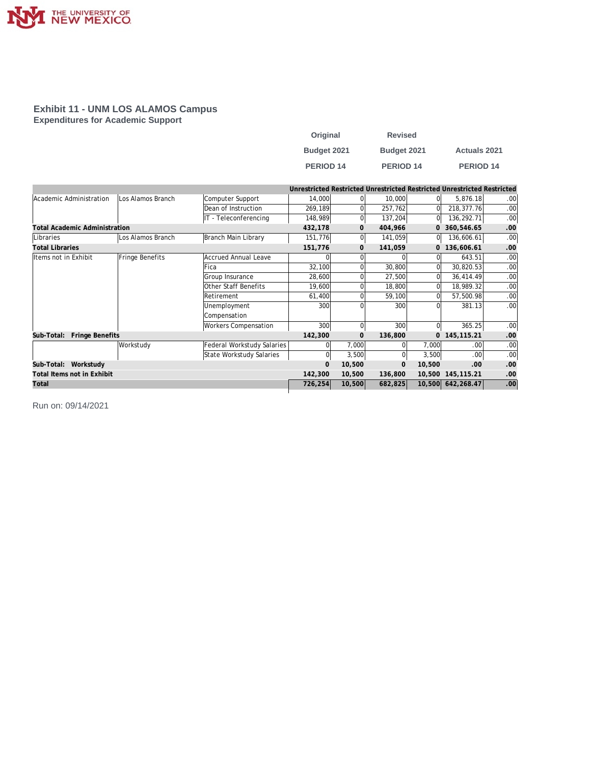

#### **Exhibit 11 - UNM LOS ALAMOS Campus Expenditures for Academic Support**

| Original         | <b>Revised</b>       |                     |
|------------------|----------------------|---------------------|
| Budget 2021      | Budget 2021          | <b>Actuals 2021</b> |
| <b>PERIOD 14</b> | PERIOD <sub>14</sub> | <b>PERIOD 14</b>    |

|                                      |                   |                            |             |              |              |                | Unrestricted Restricted Unrestricted Restricted Unrestricted Restricted |                  |
|--------------------------------------|-------------------|----------------------------|-------------|--------------|--------------|----------------|-------------------------------------------------------------------------|------------------|
| Academic Administration              | Los Alamos Branch | Computer Support           | 14,000      |              | 10,000       | 0l             | 5,876.18                                                                | .001             |
|                                      |                   | Dean of Instruction        | 269,189     |              | 257,762      | $\Omega$       | 218,377.76                                                              | .00              |
|                                      |                   | IT - Teleconferencing      | 148,989     |              | 137,204      | 0l             | 136,292.71                                                              | .00              |
| <b>Total Academic Administration</b> |                   |                            | 432,178     | $\mathbf{0}$ | 404,966      |                | 0 360,546.65                                                            | .00              |
| Libraries                            | Los Alamos Branch | Branch Main Library        | 151,776     |              | 141,059      | 01             | 136,606.61                                                              | .00              |
| <b>Total Libraries</b>               |                   |                            | 151,776     | $\Omega$     | 141,059      |                | 136,606.61                                                              | .00              |
| Items not in Exhibit                 | Fringe Benefits   | Accrued Annual Leave       |             |              | <sup>0</sup> | 01             | 643.51                                                                  | .00.             |
|                                      |                   | Fica                       | 32,100      |              | 30,800       | 0l             | 30,820.53                                                               | .00              |
|                                      |                   | Group Insurance            | 28,600      |              | 27,500       | 0l             | 36,414.49                                                               | .00              |
|                                      |                   | Other Staff Benefits       | 19,600      |              | 18,800       | ΩI             | 18,989.32                                                               | .00              |
|                                      |                   | <b>Retirement</b>          | 61,400      |              | 59,100       | ΩI             | 57,500.98                                                               | .00              |
|                                      |                   | Unemployment               | 300         |              | 300          | ΩI             | 381.13                                                                  | .00 <sub>1</sub> |
|                                      |                   | Compensation               |             |              |              |                |                                                                         |                  |
|                                      |                   | Workers Compensation       | 300         | $\Omega$     | 300          | 0l             | 365.25                                                                  | .00 <sub>1</sub> |
| Fringe Benefits<br>Sub-Total:        |                   |                            | 142,300     | $\mathbf{O}$ | 136,800      | $\overline{0}$ | 145, 115. 21                                                            | .00              |
|                                      | Workstudy         | Federal Workstudy Salaries | $\Omega$    | 7,000        | $\Omega$     | 7,000          | .00                                                                     | .00              |
|                                      |                   | State Workstudy Salaries   | 0           | 3,500        |              | 3,500          | .00                                                                     | .00 <sub>1</sub> |
| Sub-Total: Workstudy                 |                   |                            | $\mathbf 0$ | 10,500       | $\mathbf{0}$ | 10,500         | .00                                                                     | .00              |
| Total Items not in Exhibit           |                   |                            | 142,300     | 10,500       | 136,800      |                | 10,500 145,115.21                                                       | .00              |
| Total                                |                   |                            | 726,254     | 10,500       | 682,825      |                | 10,500 642,268.47                                                       | .00              |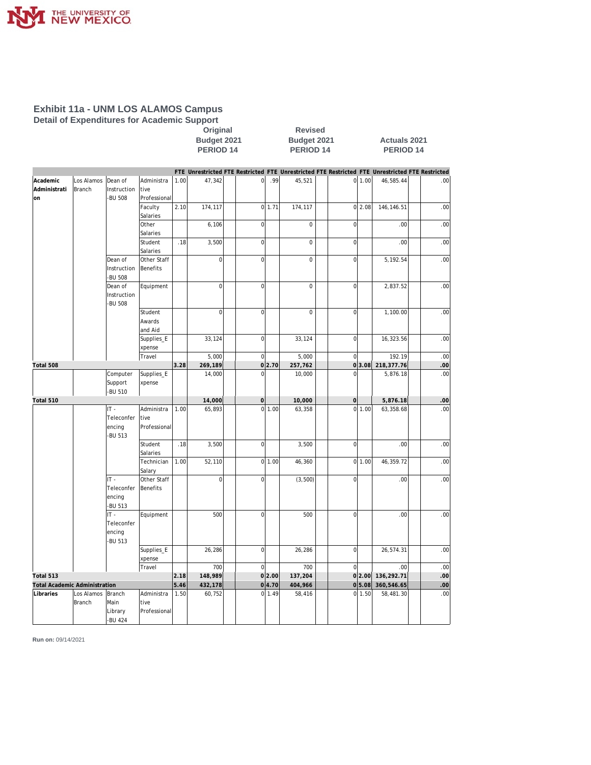

### **Exhibit 11a - UNM LOS ALAMOS Campus Detail of Expenditures for Academic Support**

**Calcular Coriginal**<br>Budget 2021 **Budget 2021** 

**Budget 2021 Budget 2021 Actuals 2021 PERIOD 14** 

|                                      |               |                        |                       |      |                |                     |               |             |                |        | FTE Unrestricted FTE Restricted FTE Unrestricted FTE Restricted FTE Unrestricted FTE Restricted |      |
|--------------------------------------|---------------|------------------------|-----------------------|------|----------------|---------------------|---------------|-------------|----------------|--------|-------------------------------------------------------------------------------------------------|------|
| Academic                             | Los Alamos    | Dean of                | Administra            | 1.00 | 47,342         | $\mathbf 0$         | .99           | 45,521      |                | 0 1.00 | 46,585.44                                                                                       | .00  |
| Administrati                         | Branch        | Instruction            | tive                  |      |                |                     |               |             |                |        |                                                                                                 |      |
| on                                   |               | -BU 508                | Professional          |      |                |                     |               |             |                |        |                                                                                                 |      |
|                                      |               |                        | Faculty               | 2.10 | 174,117        |                     | $0$ 1.71      | 174,117     |                | 0 2.08 | 146,146.51                                                                                      | .00  |
|                                      |               |                        | Salaries              |      |                |                     |               |             |                |        |                                                                                                 |      |
|                                      |               |                        | Other                 |      | 6,106          | $\mathbf{0}$        |               | $\mathbf 0$ | $\mathbf 0$    |        | .00                                                                                             | .00  |
|                                      |               |                        | Salaries              |      |                |                     |               |             |                |        |                                                                                                 |      |
|                                      |               |                        | Student               | .18  | 3,500          | $\mathbf 0$         |               | 0           | $\overline{0}$ |        | .00                                                                                             | .00  |
|                                      |               |                        | Salaries              |      |                |                     |               |             |                |        |                                                                                                 |      |
|                                      |               | Dean of                | Other Staff           |      | $\overline{0}$ | $\mathbf{0}$        |               | $\mathbf 0$ | $\mathbf 0$    |        | 5,192.54                                                                                        | .00  |
|                                      |               | Instruction            | <b>Benefits</b>       |      |                |                     |               |             |                |        |                                                                                                 |      |
|                                      |               | -BU 508                |                       |      |                |                     |               |             |                |        |                                                                                                 |      |
|                                      |               | Dean of                | Equipment             |      | $\mathbf 0$    | $\mathbf 0$         |               | $\mathbf 0$ | $\mathbf 0$    |        | 2,837.52                                                                                        | .00  |
|                                      |               | Instruction<br>-BU 508 |                       |      |                |                     |               |             |                |        |                                                                                                 |      |
|                                      |               |                        | Student               |      | $\mathbf{0}$   | $\mathbf 0$         |               | $\mathbf 0$ | $\overline{0}$ |        | 1,100.00                                                                                        | .00  |
|                                      |               |                        | Awards                |      |                |                     |               |             |                |        |                                                                                                 |      |
|                                      |               |                        | and Aid               |      |                |                     |               |             |                |        |                                                                                                 |      |
|                                      |               |                        | Supplies_E            |      | 33,124         | $\mathbf 0$         |               | 33,124      | $\mathbf 0$    |        | 16,323.56                                                                                       | .00  |
|                                      |               |                        | xpense                |      |                |                     |               |             |                |        |                                                                                                 |      |
|                                      |               |                        | Travel                |      | 5,000          | $\mathbf{0}$        |               | 5,000       | $\mathbf 0$    |        | 192.19                                                                                          | .00  |
| Total 508                            |               |                        |                       | 3.28 | 269,189        |                     | 0 2.70        | 257,762     | $\overline{0}$ | 3.08   | 218,377.76                                                                                      | .00  |
|                                      |               | Computer               | Supplies_E            |      | 14,000         | $\mathbf 0$         |               | 10,000      | $\Omega$       |        | 5,876.18                                                                                        | .00  |
|                                      |               | Support                | xpense                |      |                |                     |               |             |                |        |                                                                                                 |      |
|                                      |               | -BU 510                |                       |      |                |                     |               |             |                |        |                                                                                                 |      |
| Total 510                            |               |                        |                       |      | 14,000         | $\mathsf{O}\xspace$ |               | 10,000      | $\overline{0}$ |        | 5,876.18                                                                                        | .00  |
|                                      |               | IT-                    | Administra            | 1.00 | 65,893         |                     | 0 1.00        | 63,358      |                | 0 1.00 | 63,358.68                                                                                       | .00. |
|                                      |               | Teleconfer             | tive                  |      |                |                     |               |             |                |        |                                                                                                 |      |
|                                      |               | encing                 | Professional          |      |                |                     |               |             |                |        |                                                                                                 |      |
|                                      |               | -BU 513                |                       |      |                |                     |               |             |                |        |                                                                                                 |      |
|                                      |               |                        | Student               | .18  | 3,500          | $\mathbf 0$         |               | 3,500       | $\overline{0}$ |        | .00                                                                                             | .00  |
|                                      |               |                        | Salaries              |      |                |                     |               |             |                |        |                                                                                                 |      |
|                                      |               |                        | Technician            | 1.00 | 52,110         |                     | 0 1.00        | 46,360      |                | 0 1.00 | 46,359.72                                                                                       | .00  |
|                                      |               | IT-                    | Salary<br>Other Staff |      | $\mathbf 0$    | $\mathbf{0}$        |               |             | $\mathbf 0$    |        |                                                                                                 | .00  |
|                                      |               | Teleconfer             | <b>Benefits</b>       |      |                |                     |               | (3,500)     |                |        | .00                                                                                             |      |
|                                      |               | encing                 |                       |      |                |                     |               |             |                |        |                                                                                                 |      |
|                                      |               | -BU 513                |                       |      |                |                     |               |             |                |        |                                                                                                 |      |
|                                      |               | IT -                   | Equipment             |      | 500            | $\mathbf{0}$        |               | 500         | $\mathbf 0$    |        | .00                                                                                             | .00  |
|                                      |               | Teleconfer             |                       |      |                |                     |               |             |                |        |                                                                                                 |      |
|                                      |               | encing                 |                       |      |                |                     |               |             |                |        |                                                                                                 |      |
|                                      |               | -BU 513                |                       |      |                |                     |               |             |                |        |                                                                                                 |      |
|                                      |               |                        | Supplies_E            |      | 26,286         | $\mathbf{0}$        |               | 26,286      | $\overline{0}$ |        | 26,574.31                                                                                       | .00  |
|                                      |               |                        | xpense                |      |                |                     |               |             |                |        |                                                                                                 |      |
|                                      |               |                        | Travel                |      | 700            | $\mathbf 0$         |               | 700         | $\overline{0}$ |        | .00                                                                                             | .00  |
| Total 513                            |               |                        |                       | 2.18 | 148,989        |                     | 0 2.00        | 137,204     |                | 0 2.00 | 136,292.71                                                                                      | .00  |
| <b>Total Academic Administration</b> |               |                        |                       | 5.46 | 432,178        |                     | 0 4.70        | 404,966     | 0              | 5.08   | 360,546.65                                                                                      | .00  |
| Libraries                            | Los Alamos    | Branch                 | Administra            | 1.50 | 60,752         |                     | $0 \mid 1.49$ | 58,416      | $\overline{0}$ | 1.50   | 58,481.30                                                                                       | .00  |
|                                      | <b>Branch</b> | Main                   | tive                  |      |                |                     |               |             |                |        |                                                                                                 |      |
|                                      |               | Library                | Professional          |      |                |                     |               |             |                |        |                                                                                                 |      |
|                                      |               | -BU 424                |                       |      |                |                     |               |             |                |        |                                                                                                 |      |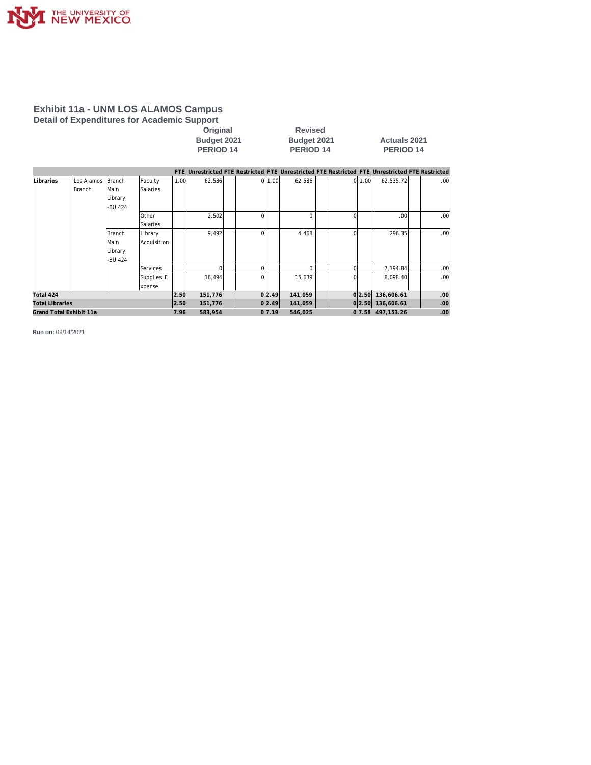

### **Exhibit 11a - UNM LOS ALAMOS Campus Detail of Expenditures for Academic Support**

| Original        |
|-----------------|
| Budget 2021     |
| <b>DEDIAD 4</b> |

**Revised Budget 2021 Actuals 2021**<br>**PERIOD 14 PERIOD 14 PERIOD 14 PERIOD 14 PERIOD 14**

|                         |            |         |                 |      |         |              |        | FTE Unrestricted FTE Restricted FTE Unrestricted FTE Restricted FTE Unrestricted FTE Restricted |          |        |                      |                  |
|-------------------------|------------|---------|-----------------|------|---------|--------------|--------|-------------------------------------------------------------------------------------------------|----------|--------|----------------------|------------------|
| Libraries               | Los Alamos | Branch  | Faculty         | 1.00 | 62,536  |              | 0 1.00 | 62,536                                                                                          |          | 0 1.00 | 62,535.72            | .00 <sub>1</sub> |
|                         | Branch     | lMain   | Salaries        |      |         |              |        |                                                                                                 |          |        |                      |                  |
|                         |            | Library |                 |      |         |              |        |                                                                                                 |          |        |                      |                  |
|                         |            | -BU 424 |                 |      |         |              |        |                                                                                                 |          |        |                      |                  |
|                         |            |         | <b>Other</b>    |      | 2,502   |              |        | $\Omega$                                                                                        | O        |        | .00 <sub>1</sub>     | .00 <sub>1</sub> |
|                         |            |         | <b>Salaries</b> |      |         |              |        |                                                                                                 |          |        |                      |                  |
|                         |            | Branch  | Library         |      | 9,492   | <sup>0</sup> |        | 4,468                                                                                           | $\Omega$ |        | 296.35               | .00 <sub>1</sub> |
|                         |            | lMain   | Acquisition     |      |         |              |        |                                                                                                 |          |        |                      |                  |
|                         |            | Library |                 |      |         |              |        |                                                                                                 |          |        |                      |                  |
|                         |            | -BU 424 |                 |      |         |              |        |                                                                                                 |          |        |                      |                  |
|                         |            |         | Services        |      |         |              |        | $\Omega$                                                                                        |          |        | 7,194.84             | .00              |
|                         |            |         | Supplies_E      |      | 16,494  | <sup>0</sup> |        | 15,639                                                                                          | 0        |        | 8.098.40             | .00 <sub>1</sub> |
|                         |            |         | xpense          |      |         |              |        |                                                                                                 |          |        |                      |                  |
| Total 424               |            |         |                 | 2.50 | 151,776 |              | 0 2.49 | 141,059                                                                                         |          | 0 2.50 | 136,606.61           | .00 <sub>1</sub> |
| <b>Total Libraries</b>  |            |         |                 | 2.50 | 151,776 |              | 0 2.49 | 141,059                                                                                         |          |        | $0 2.50 $ 136,606.61 | .00 <sub>1</sub> |
| Grand Total Exhibit 11a |            |         |                 | 7.96 | 583,954 |              | 07.19  | 546,025                                                                                         |          |        | 0 7.58 497, 153.26   | .00              |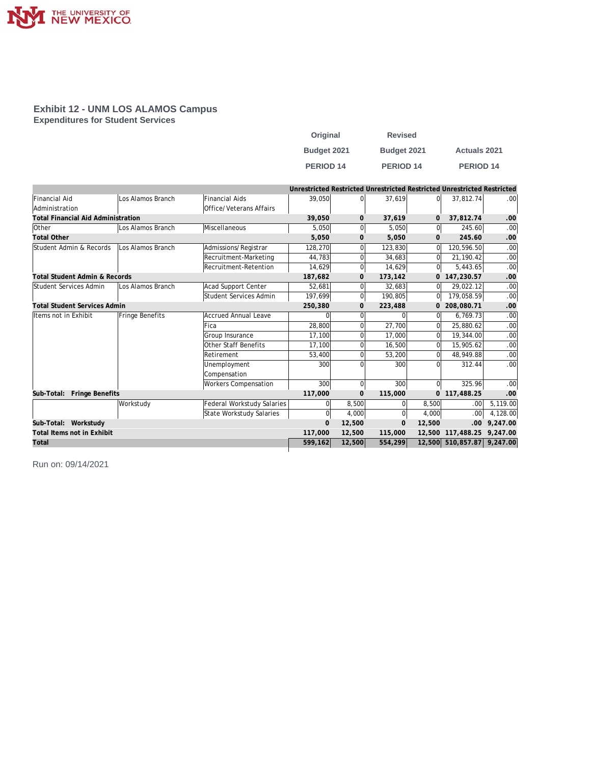

#### **Exhibit 12 - UNM LOS ALAMOS Campus Expenditures for Student Services**

| Original         | <b>Revised</b>   |                      |
|------------------|------------------|----------------------|
| Budget 2021      | Budget 2021      | <b>Actuals 2021</b>  |
| <b>PERIOD 14</b> | <b>PERIOD 14</b> | PERIOD <sub>14</sub> |

|                                           |                   |                                   | Unrestricted Restricted Unrestricted Restricted Unrestricted Restricted |                |                |                |                            |          |
|-------------------------------------------|-------------------|-----------------------------------|-------------------------------------------------------------------------|----------------|----------------|----------------|----------------------------|----------|
| <b>Financial Aid</b>                      | Los Alamos Branch | <b>Financial Aids</b>             | 39.050                                                                  | $\Omega$       | 37.619         | ΩI             | 37,812.74                  | .00      |
| Administration                            |                   | Office/Veterans Affairs           |                                                                         |                |                |                |                            |          |
| <b>Total Financial Aid Administration</b> |                   |                                   | 39,050                                                                  | $\mathbf{O}$   | 37,619         | $\overline{O}$ | 37,812.74                  | .00      |
| Other                                     | Los Alamos Branch | Miscellaneous                     | 5,050                                                                   | $\overline{0}$ | 5,050          | $\overline{0}$ | 245.60                     | .00      |
| <b>Total Other</b>                        |                   |                                   | 5,050                                                                   | $\mathbf{O}$   | 5,050          | $\mathbf{0}$   | 245.60                     | .00      |
| Student Admin & Records                   | Los Alamos Branch | Admissions/Registrar              | 128,270                                                                 | $\Omega$       | 123.830        | 0              | 120.596.50                 | .00      |
|                                           |                   | Recruitment-Marketing             | 44,783                                                                  | $\mathbf 0$    | 34,683         | 0l             | 21,190.42                  | .00      |
|                                           |                   | Recruitment-Retention             | 14.629                                                                  | $\mathbf 0$    | 14.629         | 0l             | 5.443.65                   | .00      |
| Total Student Admin & Records             |                   |                                   | 187,682                                                                 | $\mathbf{0}$   | 173,142        |                | 0 147,230.57               | .00      |
| Student Services Admin                    | Los Alamos Branch | Acad Support Center               | 52,681                                                                  | $\Omega$       | 32,683         | 0l             | 29,022.12                  | .00      |
|                                           |                   | Student Services Admin            | 197,699                                                                 | $\overline{0}$ | 190,805        | 0l             | 179,058.59                 | .00      |
| <b>Total Student Services Admin</b>       |                   | 250,380                           | $\mathbf{O}$                                                            | 223,488        | 0              | 208,080.71     | .00                        |          |
| Items not in Exhibit                      | Fringe Benefits   | <b>Accrued Annual Leave</b>       |                                                                         | $\Omega$       |                | ΩI             | 6.769.73                   | .00      |
|                                           |                   | Fica                              | 28,800                                                                  | $\Omega$       | 27,700         | ΩI             | 25,880.62                  | .00      |
|                                           |                   | Group Insurance                   | 17,100                                                                  | $\Omega$       | 17,000         | 0              | 19,344.00                  | .00      |
|                                           |                   | <b>Other Staff Benefits</b>       | 17.100                                                                  | $\mathbf 0$    | 16,500         | 0              | 15,905.62                  | .00      |
|                                           |                   | Retirement                        | 53,400                                                                  | $\Omega$       | 53,200         | 0              | 48,949.88                  | .00      |
|                                           |                   | Unemployment                      | 300                                                                     | $\Omega$       | 300            | ΩI             | 312.44                     | .00      |
|                                           |                   | Compensation                      |                                                                         |                |                |                |                            |          |
|                                           |                   | Workers Compensation              | 300                                                                     | $\Omega$       | 300            | <sup>0</sup>   | 325.96                     | .00      |
| Sub-Total: Fringe Benefits                |                   |                                   | 117,000                                                                 | $\mathbf{O}$   | 115,000        | $\overline{0}$ | 117,488.25                 | .00      |
|                                           | Workstudy         | <b>Federal Workstudy Salaries</b> | 0                                                                       | 8,500          | $\Omega$       | 8,500          | .00 <sub>1</sub>           | 5,119.00 |
|                                           |                   | State Workstudy Salaries          | $\Omega$                                                                | 4,000          | O              | 4,000          | .00 <sub>1</sub>           | 4,128.00 |
| Sub-Total: Workstudy                      |                   |                                   | $\mathbf{O}$                                                            | 12,500         | $\overline{0}$ | 12,500         | .00.                       | 9.247.00 |
| Total Items not in Exhibit                |                   |                                   | 117,000                                                                 | 12,500         | 115,000        | 12,500         | 117,488.25                 | 9.247.00 |
| Total                                     |                   |                                   | 599,162                                                                 | 12,500         | 554,299        |                | 12,500 510,857.87 9,247.00 |          |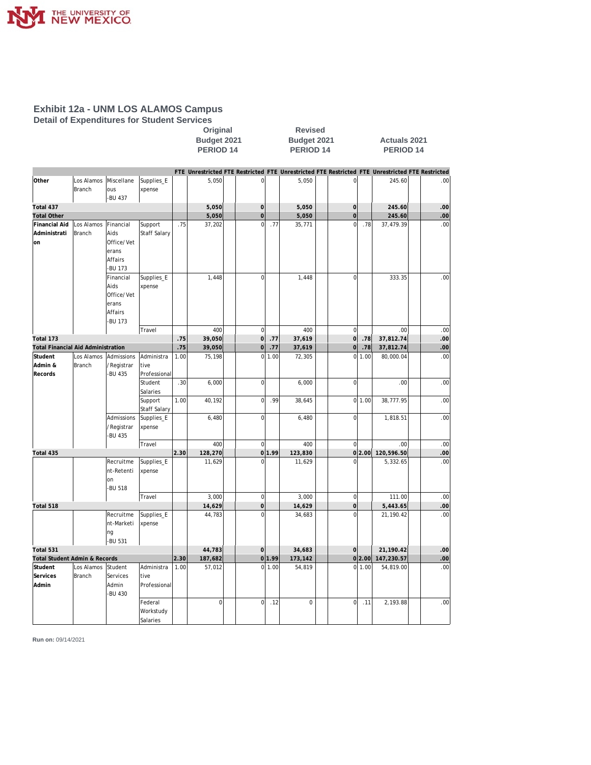

I

# **Exhibit 12a - UNM LOS ALAMOS Campus**

**Detail of Expenditures for Student Services**

|                                     |                      |                                                                | Budget 2021<br>PERIOD <sub>14</sub> |      |             |  |                     | Budget 2021<br><b>PERIOD 14</b> |             | <b>Actuals 2021</b><br><b>PERIOD 14</b> |                                                                                                 |  |     |
|-------------------------------------|----------------------|----------------------------------------------------------------|-------------------------------------|------|-------------|--|---------------------|---------------------------------|-------------|-----------------------------------------|-------------------------------------------------------------------------------------------------|--|-----|
|                                     |                      |                                                                |                                     |      |             |  |                     |                                 |             |                                         | FTE Unrestricted FTE Restricted FTE Unrestricted FTE Restricted FTE Unrestricted FTE Restricted |  |     |
| Other                               | Los Alamos<br>Branch | Miscellane<br>ous<br>-BU 437                                   | Supplies_E<br>xpense                |      | 5,050       |  | $\mathsf 0$         |                                 | 5,050       | $\Omega$                                | 245.60                                                                                          |  | .00 |
| Total 437                           |                      |                                                                |                                     |      | 5,050       |  | $\mathsf{O}\xspace$ |                                 | 5,050       | $\vert 0 \vert$                         | 245.60                                                                                          |  | .00 |
| <b>Total Other</b>                  |                      |                                                                |                                     |      | 5,050       |  | $\overline{0}$      |                                 | 5,050       | $\overline{0}$                          | 245.60                                                                                          |  | .00 |
| Financial Aid<br>Administrati<br>on | Los Alamos<br>Branch | Financial<br>Aids<br>Office/Vet<br>erans<br>Affairs<br>-BU 173 | Support<br>Staff Salary             | .75  | 37,202      |  | $\mathsf 0$         | .77                             | 35,771      | $\Omega$<br>.78                         | 37,479.39                                                                                       |  | .00 |
|                                     |                      | Financial<br>Aids<br>Office/Vet<br>erans<br>Affairs<br>-BU 173 | Supplies_E<br>xpense                |      | 1,448       |  | $\mathbf 0$         |                                 | 1,448       | $\mathbf 0$                             | 333.35                                                                                          |  | .00 |
|                                     |                      |                                                                | Travel                              |      | 400         |  | $\mathbf 0$         |                                 | 400         | $\overline{0}$                          | .00                                                                                             |  | .00 |
| Total 173                           |                      |                                                                |                                     | .75  | 39,050      |  | $\overline{0}$      | .77                             | 37,619      | 0 <br>.78                               | 37,812.74                                                                                       |  | .00 |
| Total Financial Aid Administration  |                      |                                                                |                                     | .75  | 39,050      |  | 0                   | .77                             | 37,619      | $\vert 0 \vert$<br>.78                  | 37,812.74                                                                                       |  | .00 |
| Student<br>Admin &<br>Records       | Los Alamos<br>Branch | Admissions<br>/Registrar<br><b>BU 435</b>                      | Administra<br>tive<br>Professional  | 1.00 | 75,198      |  | $\overline{0}$      | 1.00                            | 72,305      | $\overline{0}$<br>1.00                  | 80,000.04                                                                                       |  | .00 |
|                                     |                      |                                                                | Student<br>Salaries                 | .30  | 6,000       |  | $\mathsf 0$         |                                 | 6,000       | $\mathbf 0$                             | .00                                                                                             |  | .00 |
|                                     |                      |                                                                | Support<br>Staff Salary             | 1.00 | 40,192      |  | $\mathsf{O}\xspace$ | .99                             | 38,645      | 0 1.00                                  | 38,777.95                                                                                       |  | .00 |
|                                     |                      | Admissions<br>/Registrar<br>-BU 435                            | Supplies_E<br>xpense                |      | 6,480       |  | $\mathsf 0$         |                                 | 6,480       | $\mathbf 0$                             | 1,818.51                                                                                        |  | .00 |
|                                     |                      |                                                                | Travel                              |      | 400         |  | $\mathbf 0$         |                                 | 400         | $\overline{0}$                          | .00                                                                                             |  | .00 |
| Total 435                           |                      |                                                                |                                     | 2.30 | 128,270     |  |                     | 0 1.99                          | 123,830     | 0 2.00                                  | 120,596.50                                                                                      |  | .00 |
|                                     |                      | Recruitme<br>nt-Retenti<br>lon<br><b>BU 518</b>                | Supplies_E<br>xpense                |      | 11,629      |  | 0                   |                                 | 11,629      | $\mathbf 0$                             | 5,332.65                                                                                        |  | .00 |
|                                     |                      |                                                                | Travel                              |      | 3,000       |  | $\mathsf 0$         |                                 | 3,000       | 0                                       | 111.00                                                                                          |  | .00 |
| Total 518                           |                      |                                                                |                                     |      | 14,629      |  | $\mathbf 0$         |                                 | 14,629      | $\overline{0}$                          | 5,443.65                                                                                        |  | .00 |
|                                     |                      | Recruitme<br>nt-Marketi<br>ng<br>-BU 531                       | Supplies_E<br>xpense                |      | 44,783      |  | $\mathbf 0$         |                                 | 34,683      | $\mathbf 0$                             | 21,190.42                                                                                       |  | .00 |
| Total 531                           |                      |                                                                |                                     |      | 44,783      |  | $\mathbf{O}$        |                                 | 34,683      | $\Omega$                                | 21,190.42                                                                                       |  | .00 |
| Total Student Admin & Records       |                      |                                                                |                                     | 2.30 | 187,682     |  |                     | 0 1.99                          | 173,142     | 0 2.00                                  | 147,230.57                                                                                      |  | .00 |
| Student<br>Services<br>Admin        | Los Alamos<br>Branch | Student<br>Services<br>Admin                                   | Administra<br>tive<br>Professional  | 1.00 | 57,012      |  |                     | 0 1.00                          | 54,819      | 0 1.00                                  | 54,819.00                                                                                       |  | .00 |
|                                     |                      | -BU 430                                                        | Federal<br>Workstudy<br>Salaries    |      | $\mathbf 0$ |  | $\mathbf 0$         | .12                             | $\mathbf 0$ | $\circ$<br>.11                          | 2,193.88                                                                                        |  | .00 |

**Original Revised**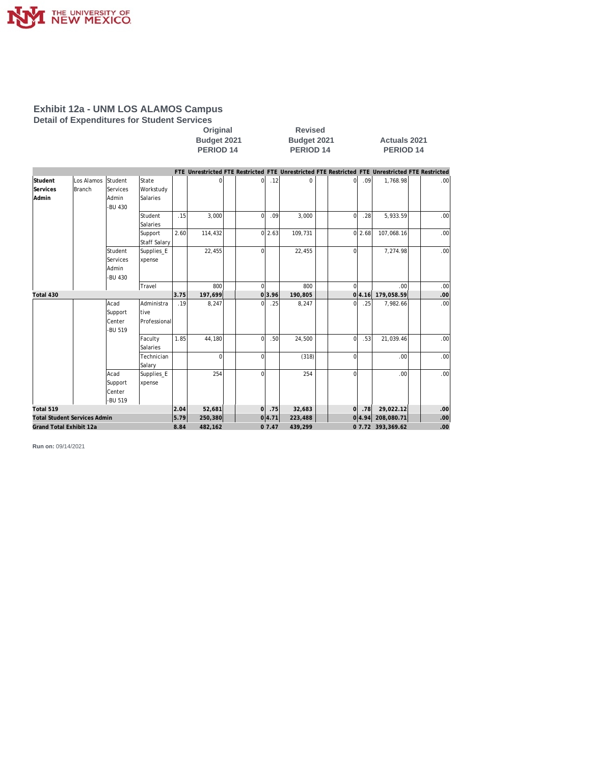

### **Exhibit 12a - UNM LOS ALAMOS Campus Detail of Expenditures for Student Services**

Original Revised<br>Budget 2021 Budget 202

**PERIOD 14 PERIOD 14 PERIOD 14**

**Budget 2021 Budget 2021 Actuals 2021**

|                                     |            |          |              |         |          |                |         |         |                   |            | FTE Unrestricted FTE Restricted FTE Unrestricted FTE Restricted FTE Unrestricted FTE Restricted |                  |
|-------------------------------------|------------|----------|--------------|---------|----------|----------------|---------|---------|-------------------|------------|-------------------------------------------------------------------------------------------------|------------------|
| Student                             | Los Alamos | Student  | State        |         |          | Οl             | .12     | 0       | 0                 | .09        | 1,768.98                                                                                        | .00 <sub>1</sub> |
| Services                            | Branch     | Services | Workstudy    |         |          |                |         |         |                   |            |                                                                                                 |                  |
| Admin                               |            | Admin    | Salaries     |         |          |                |         |         |                   |            |                                                                                                 |                  |
|                                     |            | -BU 430  |              |         |          |                |         |         |                   |            |                                                                                                 |                  |
|                                     |            |          | Student      | .15     | 3,000    | $\overline{0}$ | .09     | 3,000   | $\overline{0}$    | .28        | 5,933.59                                                                                        | .00              |
|                                     |            |          | Salaries     |         |          |                |         |         |                   |            |                                                                                                 |                  |
|                                     |            |          | Support      | 2.60    | 114,432  |                | 0 2.63  | 109,731 |                   | 0 2.68     | 107,068.16                                                                                      | .00              |
|                                     |            |          | Staff Salary |         |          |                |         |         |                   |            |                                                                                                 |                  |
|                                     |            | Student  | Supplies_E   |         | 22,455   | $\overline{0}$ |         | 22,455  | $\Omega$          |            | 7,274.98                                                                                        | .00 <sub>l</sub> |
|                                     |            | Services | xpense       |         |          |                |         |         |                   |            |                                                                                                 |                  |
|                                     |            | Admin    |              |         |          |                |         |         |                   |            |                                                                                                 |                  |
|                                     |            | -BU 430  |              |         |          |                |         |         |                   |            |                                                                                                 |                  |
|                                     |            |          | Travel       |         | 800      | $\Omega$       |         | 800     | $\Omega$          |            | .00                                                                                             | .00              |
| Total 430                           |            |          |              | 3.75    | 197,699  |                | 0 3.96  | 190,805 | οl                | 4.16       | 179,058.59                                                                                      | .00              |
|                                     |            | Acad     | Administra   | .19     | 8,247    | $\Omega$       | .25     | 8,247   | $\Omega$          | .25        | 7,982.66                                                                                        | .00              |
|                                     |            | Support  | tive         |         |          |                |         |         |                   |            |                                                                                                 |                  |
|                                     |            | Center   | Professional |         |          |                |         |         |                   |            |                                                                                                 |                  |
|                                     |            | -BU 519  |              |         |          |                |         |         |                   |            |                                                                                                 |                  |
|                                     |            |          | Faculty      | 1.85    | 44,180   | $\Omega$       | .50     | 24,500  | $\overline{0}$    | .53        | 21,039.46                                                                                       | .00              |
|                                     |            |          | Salaries     |         |          |                |         |         |                   |            |                                                                                                 |                  |
|                                     |            |          | Technician   |         | $\Omega$ | $\Omega$       |         | (318)   | $\Omega$          |            | .00                                                                                             | .00              |
|                                     |            |          | Salary       |         |          |                |         |         |                   |            |                                                                                                 |                  |
|                                     |            | Acad     | Supplies_E   |         | 254      | $\Omega$       |         | 254     | $\Omega$          |            | .00                                                                                             | .00 <sub>l</sub> |
|                                     |            | Support  | xpense       |         |          |                |         |         |                   |            |                                                                                                 |                  |
|                                     |            | Center   |              |         |          |                |         |         |                   |            |                                                                                                 |                  |
|                                     |            | -BU 519  |              |         |          |                |         |         |                   |            |                                                                                                 |                  |
| Total 519                           |            |          |              | 2.04    | 52,681   | 0              | .75     | 32,683  | 0                 | .78        | 29,022.12                                                                                       | .00              |
| <b>Total Student Services Admin</b> |            |          | 5.79         | 250,380 |          | 0 4.71         | 223,488 |         | 0 4.94            | 208,080.71 | .00 <sub>1</sub>                                                                                |                  |
| Grand Total Exhibit 12a             |            | 8.84     | 482.162      |         | 07.47    | 439.299        |         |         | 0 7.72 393,369.62 | .00        |                                                                                                 |                  |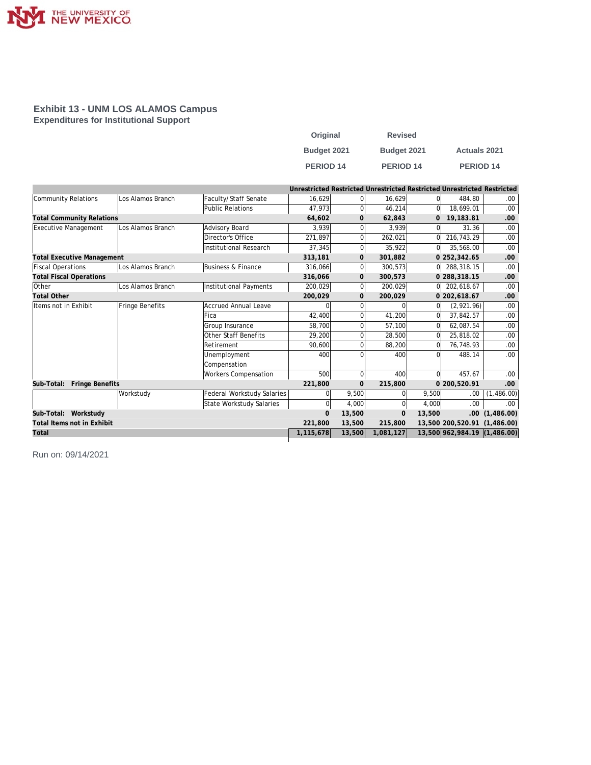

### **Exhibit 13 - UNM LOS ALAMOS Campus Expenditures for Institutional Support**

| Original         | <b>Revised</b>   |                     |
|------------------|------------------|---------------------|
| Budget 2021      | Budget 2021      | <b>Actuals 2021</b> |
| <b>PERIOD 14</b> | <b>PERIOD 14</b> | <b>PERIOD 14</b>    |

|                                   |                   |                               | Unrestricted Restricted Unrestricted Restricted Unrestricted Restricted |                |              |          |                              |            |
|-----------------------------------|-------------------|-------------------------------|-------------------------------------------------------------------------|----------------|--------------|----------|------------------------------|------------|
| Community Relations               | Los Alamos Branch | Faculty/Staff Senate          | 16.629                                                                  | $\Omega$       | 16,629       | 01       | 484.80                       | .00.       |
|                                   |                   | Public Relations              | 47,973                                                                  | $\mathbf 0$    | 46,214       | 0l       | 18.699.01                    | .00.       |
| <b>Total Community Relations</b>  |                   |                               | 64,602                                                                  | $\mathbf{0}$   | 62,843       | 0        | 19,183.81                    | .00        |
| <b>Executive Management</b>       | Los Alamos Branch | Advisory Board                | 3.939                                                                   | $\Omega$       | 3.939        | ΩI       | 31.36                        | .00.       |
|                                   |                   | Director's Office             | 271,897                                                                 | $\mathbf 0$    | 262,021      | ΩI       | 216,743.29                   | .00.       |
|                                   |                   | <b>Institutional Research</b> | 37,345                                                                  | $\mathbf 0$    | 35,922       | 0l       | 35,568.00                    | .00        |
| <b>Total Executive Management</b> |                   |                               | 313,181                                                                 | $\mathbf 0$    | 301,882      |          | 0 252,342.65                 | .00        |
| <b>Fiscal Operations</b>          | Los Alamos Branch | Business & Finance            | 316.066                                                                 | $\overline{0}$ | 300,573      |          | $0$ 288, 318.15              | .00.       |
| <b>Total Fiscal Operations</b>    |                   |                               | 316,066                                                                 | $\mathbf{O}$   | 300,573      |          | 0 288,318.15                 | .00        |
| Other                             | Los Alamos Branch | Institutional Payments        | 200,029                                                                 | 0              | 200,029      |          | $0$ 202,618.67               | 00.        |
| <b>Total Other</b>                |                   |                               | 200,029                                                                 | $\mathbf{0}$   | 200,029      |          | 0 202,618.67                 | .00        |
| Items not in Exhibit              | Fringe Benefits   | <b>Accrued Annual Leave</b>   | $\Omega$                                                                | $\Omega$       |              | $\Omega$ | (2,921.96)                   | .00.       |
|                                   |                   | Fica                          | 42,400                                                                  | $\Omega$       | 41,200       | 0l       | 37,842.57                    | .00.       |
|                                   |                   | Group Insurance               | 58,700                                                                  | $\Omega$       | 57,100       | ΩI       | 62,087.54                    | .00        |
|                                   |                   | Other Staff Benefits          | 29,200                                                                  | $\Omega$       | 28,500       | ΩI       | 25,818.02                    | .00        |
|                                   |                   | Retirement                    | 90,600                                                                  | $\Omega$       | 88,200       | 0l       | 76,748.93                    | .00        |
|                                   |                   | Unemployment                  | 400                                                                     | $\Omega$       | 400          | $\Omega$ | 488.14                       | .00        |
|                                   |                   | Compensation                  |                                                                         |                |              |          |                              |            |
|                                   |                   | Workers Compensation          | 500                                                                     | $\mathbf 0$    | 400          | 0l       | 457.67                       | .00.       |
| Sub-Total: Fringe Benefits        |                   |                               | 221,800                                                                 | $\Omega$       | 215,800      |          | 0 200,520.91                 | .00        |
|                                   | Workstudy         | Federal Workstudy Salaries    | 0                                                                       | 9,500          | $\Omega$     | 9,500    | .00                          | (1,486.00) |
|                                   |                   | State Workstudy Salaries      | $\Omega$                                                                | 4,000          | $\Omega$     | 4,000    | .00.                         | 00.        |
| Sub-Total: Workstudy              |                   |                               | $\Omega$                                                                | 13,500         | $\mathbf{O}$ | 13,500   | .00 <sub>1</sub>             | (1,486.00) |
| Total Items not in Exhibit        |                   |                               | 221.800                                                                 | 13,500         | 215,800      |          | 13.500 200.520.91            | (1.486.00) |
| Total                             |                   |                               | 1,115,678                                                               | 13,500         | 1,081,127    |          | 13,500 962,984.19 (1,486.00) |            |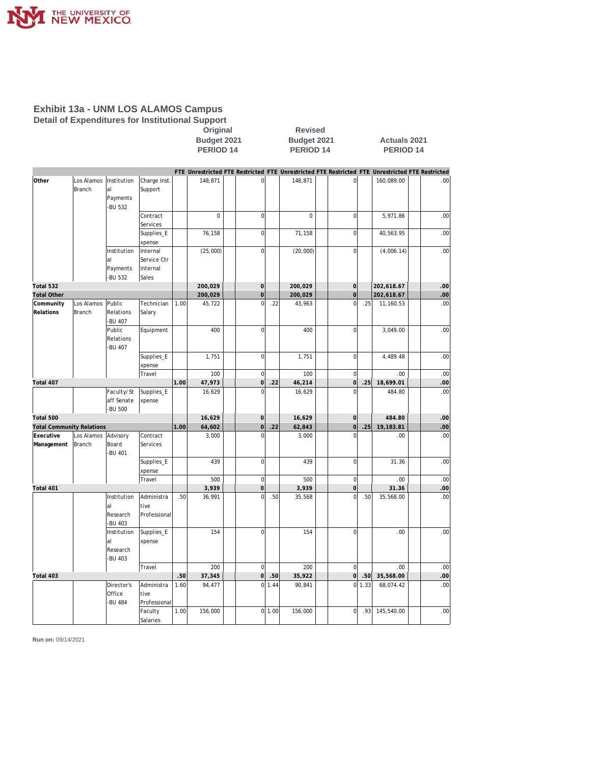

### **Exhibit 13a - UNM LOS ALAMOS Campus Detail of Expenditures for Institutional Support**

**Original** Revised<br>Budget 2021 Budget 202

**Budget 2021 Budget 2021 Actuals 2021 PERIOD 14 PERIOD 14 PERIOD 14**

|                                  |               |               |                  |      |          |                     |        | FTE Unrestricted FTE Restricted FTE Unrestricted FTE Restricted FTE Unrestricted FTE Restricted |                     |        |            |     |
|----------------------------------|---------------|---------------|------------------|------|----------|---------------------|--------|-------------------------------------------------------------------------------------------------|---------------------|--------|------------|-----|
| Other                            | Los Alamos    | Institution   | Charge Inst.     |      | 148,871  | $\mathbf 0$         |        | 148,871                                                                                         | $\overline{0}$      |        | 160,089.00 | .00 |
|                                  | <b>Branch</b> | al            | Support          |      |          |                     |        |                                                                                                 |                     |        |            |     |
|                                  |               | Payments      |                  |      |          |                     |        |                                                                                                 |                     |        |            |     |
|                                  |               | -BU 532       |                  |      |          |                     |        |                                                                                                 |                     |        |            |     |
|                                  |               |               | Contract         |      | $\Omega$ | $\mathbf 0$         |        | $\Omega$                                                                                        | $\mathbf 0$         |        | 5,971.86   | .00 |
|                                  |               |               | Services         |      |          |                     |        |                                                                                                 |                     |        |            |     |
|                                  |               |               | Supplies_E       |      | 76,158   | $\mathbf 0$         |        | 71,158                                                                                          | $\mathbf 0$         |        | 40,563.95  | .00 |
|                                  |               |               | xpense           |      |          |                     |        |                                                                                                 |                     |        |            |     |
|                                  |               | Institution   | Internal         |      | (25,000) | $\mathbf 0$         |        | (20,000)                                                                                        | $\overline{0}$      |        | (4,006.14) | .00 |
|                                  |               | al            | Service Ctr      |      |          |                     |        |                                                                                                 |                     |        |            |     |
|                                  |               | Payments      | Internal         |      |          |                     |        |                                                                                                 |                     |        |            |     |
|                                  |               | -BU 532       | Sales            |      |          |                     |        |                                                                                                 |                     |        |            |     |
| Total 532                        |               |               |                  |      | 200,029  | $\mathbf 0$         |        | 200,029                                                                                         | $\mathbf 0$         |        | 202,618.67 | .00 |
| <b>Total Other</b>               |               |               |                  |      | 200,029  | $\mathbf 0$         |        | 200,029                                                                                         | $\mathsf{O}\xspace$ |        | 202,618.67 | .00 |
| Community                        | Los Alamos    | Public        | Technician       | 1.00 | 45,722   | $\mathbf 0$         | .22    | 43,963                                                                                          | $\overline{0}$      | .25    | 11,160.53  | .00 |
| Relations                        | Branch        | Relations     | Salary           |      |          |                     |        |                                                                                                 |                     |        |            |     |
|                                  |               | -BU 407       |                  |      |          |                     |        |                                                                                                 |                     |        |            |     |
|                                  |               | Public        | Equipment        |      | 400      | $\mathbf 0$         |        | 400                                                                                             | $\Omega$            |        | 3,049.00   | .00 |
|                                  |               | Relations     |                  |      |          |                     |        |                                                                                                 |                     |        |            |     |
|                                  |               | <b>BU 407</b> |                  |      |          |                     |        |                                                                                                 |                     |        |            |     |
|                                  |               |               | Supplies_E       |      | 1,751    | $\mathsf{O}\xspace$ |        | 1,751                                                                                           | $\mathbf 0$         |        | 4,489.48   | .00 |
|                                  |               |               | xpense<br>Travel |      | 100      | $\mathbf 0$         |        | 100                                                                                             | $\mathbf{0}$        |        | .00        | .00 |
| Total 407                        |               |               |                  | 1.00 | 47,973   | $\mathsf O$         | .22    | 46,214                                                                                          | $\mathbf{0}$        | .25    | 18,699.01  | .00 |
|                                  |               | Faculty/St    | Supplies E       |      | 16,629   | $\Omega$            |        | 16,629                                                                                          | $\Omega$            |        | 484.80     | .00 |
|                                  |               | aff Senate    | xpense           |      |          |                     |        |                                                                                                 |                     |        |            |     |
|                                  |               | -BU 500       |                  |      |          |                     |        |                                                                                                 |                     |        |            |     |
| Total 500                        |               |               |                  |      | 16,629   | $\mathsf O$         |        | 16,629                                                                                          | $\mathbf{0}$        |        | 484.80     | .00 |
| <b>Total Community Relations</b> |               |               |                  | 1.00 | 64,602   | $\mathbf 0$         | .22    | 62,843                                                                                          | 0                   | .25    | 19,183.81  | .00 |
| Executive                        | Los Alamos    | Advisory      | Contract         |      | 3,000    | $\Omega$            |        | 3,000                                                                                           | $\Omega$            |        | .00        | .00 |
| Management                       | Branch        | Board         | Services         |      |          |                     |        |                                                                                                 |                     |        |            |     |
|                                  |               | <b>BU 401</b> |                  |      |          |                     |        |                                                                                                 |                     |        |            |     |
|                                  |               |               | Supplies_E       |      | 439      | $\mathbf 0$         |        | 439                                                                                             | $\mathbf 0$         |        | 31.36      | .00 |
|                                  |               |               | xpense           |      |          |                     |        |                                                                                                 |                     |        |            |     |
|                                  |               |               | Travel           |      | 500      | $\mathbf 0$         |        | 500                                                                                             | $\mathbf{0}$        |        | .00        | .00 |
| Total 401                        |               |               |                  |      | 3,939    | $\mathbf 0$         |        | 3,939                                                                                           | $\mathbf 0$         |        | 31.36      | .00 |
|                                  |               | Institution   | Administra       | .50  | 36,991   | $\Omega$            | .50    | 35,568                                                                                          | $\Omega$            | .50    | 35,568.00  | .00 |
|                                  |               | al            | tive             |      |          |                     |        |                                                                                                 |                     |        |            |     |
|                                  |               | Research      | Professional     |      |          |                     |        |                                                                                                 |                     |        |            |     |
|                                  |               | -BU 403       |                  |      |          |                     |        |                                                                                                 |                     |        |            |     |
|                                  |               | Institution   | Supplies_E       |      | 154      | $\mathbf 0$         |        | 154                                                                                             | $\mathbf 0$         |        | .00        | .00 |
|                                  |               | al            | xpense           |      |          |                     |        |                                                                                                 |                     |        |            |     |
|                                  |               | Research      |                  |      |          |                     |        |                                                                                                 |                     |        |            |     |
|                                  |               | -BU 403       |                  |      |          |                     |        |                                                                                                 |                     |        |            |     |
|                                  |               |               | Travel           |      | 200      | $\mathbf 0$         |        | 200                                                                                             | $\Omega$            |        | .00        | .00 |
| Total 403                        |               |               |                  | .50  | 37,345   | $\overline{0}$      | .50    | 35,922                                                                                          | 0                   | .50    | 35,568.00  | .00 |
|                                  |               | Director's    | Administra       | 1.60 | 94,477   | <sub>0</sub>        | 1.44   | 90,841                                                                                          |                     | 0 1.33 | 68,074.42  | .00 |
|                                  |               | Office        | tive             |      |          |                     |        |                                                                                                 |                     |        |            |     |
|                                  |               | -BU 484       | Professional     |      |          |                     |        |                                                                                                 |                     |        |            |     |
|                                  |               |               | Faculty          | 1.00 | 156,000  |                     | 011.00 | 156,000                                                                                         | $\Omega$            | .93    | 145,540.00 | .00 |
|                                  |               |               | Salaries         |      |          |                     |        |                                                                                                 |                     |        |            |     |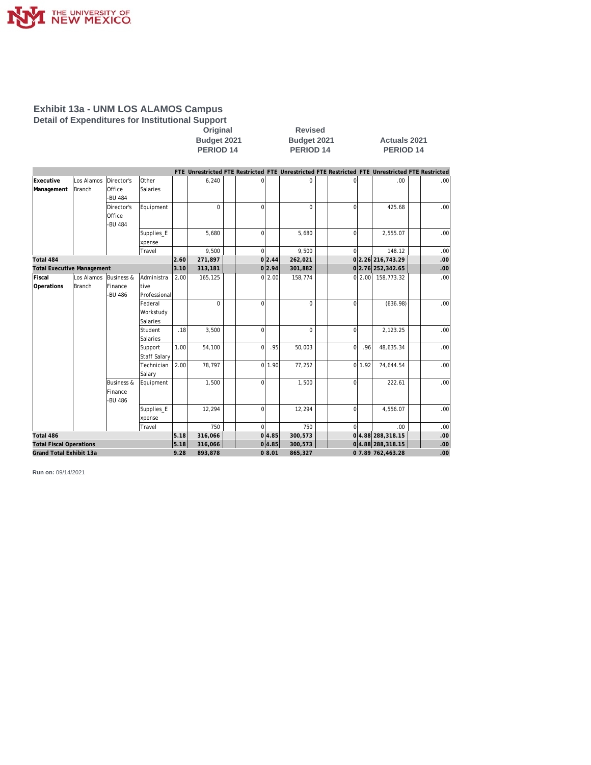

### **Exhibit 13a - UNM LOS ALAMOS Campus Detail of Expenditures for Institutional Support**

**Original** Revised<br>Budget 2021 Budget 202

**Budget 2021 Budget 2021 Actuals 2021 PERIOD 14** 

|                                   |                      |                       |                      |      |          |          |        | FTE Unrestricted FTE Restricted FTE Unrestricted FTE Restricted FTE Unrestricted FTE Restricted |                |      |                      |                  |
|-----------------------------------|----------------------|-----------------------|----------------------|------|----------|----------|--------|-------------------------------------------------------------------------------------------------|----------------|------|----------------------|------------------|
| Executive<br>Management           | Los Alamos<br>Branch | Director's<br>Office  | Other<br>Salaries    |      | 6,240    | $\Omega$ |        | $\Omega$                                                                                        |                |      | .00                  | .00              |
|                                   |                      | -BU 484               |                      |      | $\Omega$ | $\Omega$ |        | $\Omega$                                                                                        |                |      | 425.68               |                  |
|                                   |                      | Director's            | Equipment            |      |          |          |        |                                                                                                 | $\Omega$       |      |                      | .00 <sub>1</sub> |
|                                   |                      | Office<br>-BU 484     |                      |      |          |          |        |                                                                                                 |                |      |                      |                  |
|                                   |                      |                       |                      |      | 5.680    | $\Omega$ |        | 5.680                                                                                           | $\Omega$       |      | 2,555.07             | .00 <sub>1</sub> |
|                                   |                      |                       | Supplies_E<br>xpense |      |          |          |        |                                                                                                 |                |      |                      |                  |
|                                   |                      |                       | Travel               |      | 9,500    | $\Omega$ |        | 9,500                                                                                           | $\Omega$       |      | 148.12               | .00              |
| Total 484                         |                      |                       |                      | 2.60 | 271,897  |          | 0 2.44 | 262,021                                                                                         |                |      | 0 2.26 216, 743.29   | .00.             |
| <b>Total Executive Management</b> |                      |                       |                      | 3.10 | 313,181  |          | 0 2.94 | 301,882                                                                                         |                |      | 0 2.76 252,342.65    | .00.             |
| Fiscal                            | Los Alamos           | <b>Business &amp;</b> | Administra           | 2.00 | 165,125  |          | 0 2.00 | 158,774                                                                                         |                |      | $0 2.00 $ 158,773.32 | .00              |
| Operations                        | Branch               | Finance               | tive                 |      |          |          |        |                                                                                                 |                |      |                      |                  |
|                                   |                      | -BU 486               | Professional         |      |          |          |        |                                                                                                 |                |      |                      |                  |
|                                   |                      |                       | Federal              |      | $\Omega$ | $\Omega$ |        | $\Omega$                                                                                        | $\Omega$       |      | (636.98)             | .00 <sub>1</sub> |
|                                   |                      |                       | Workstudy            |      |          |          |        |                                                                                                 |                |      |                      |                  |
|                                   |                      |                       | Salaries             |      |          |          |        |                                                                                                 |                |      |                      |                  |
|                                   |                      |                       | Student              | .18  | 3,500    | $\Omega$ |        | $\Omega$                                                                                        | 0              |      | 2,123.25             | .00 <sub>1</sub> |
|                                   |                      |                       | Salaries             |      |          |          |        |                                                                                                 |                |      |                      |                  |
|                                   |                      |                       | Support              | 1.00 | 54,100   | $\Omega$ | .95    | 50,003                                                                                          | $\Omega$       | .96  | 48,635.34            | .00              |
|                                   |                      |                       | <b>Staff Salary</b>  |      |          |          |        |                                                                                                 |                |      |                      |                  |
|                                   |                      |                       | Technician           | 2.00 | 78,797   |          | 011.90 | 77,252                                                                                          | $\overline{0}$ | 1.92 | 74,644.54            | .00 <sub>1</sub> |
|                                   |                      |                       | Salary               |      |          |          |        |                                                                                                 |                |      |                      |                  |
|                                   |                      | <b>Business &amp;</b> | Equipment            |      | 1,500    | $\Omega$ |        | 1,500                                                                                           | $\Omega$       |      | 222.61               | .00              |
|                                   |                      | Finance               |                      |      |          |          |        |                                                                                                 |                |      |                      |                  |
|                                   |                      | -BU 486               |                      |      |          |          |        |                                                                                                 |                |      |                      |                  |
|                                   |                      |                       | Supplies_E           |      | 12,294   | $\Omega$ |        | 12,294                                                                                          | $\Omega$       |      | 4,556.07             | .00              |
|                                   |                      |                       | xpense               |      |          |          |        |                                                                                                 |                |      |                      |                  |
|                                   |                      |                       | Travel               | 5.18 | 750      | $\Omega$ |        | 750                                                                                             |                |      | .00                  | .00 <sub>1</sub> |
| Total 486                         |                      |                       |                      |      | 316,066  |          | 0 4.85 | 300,573                                                                                         |                |      | 0 4.88 288, 318.15   | $.00 \,$         |
| <b>Total Fiscal Operations</b>    |                      |                       |                      | 5.18 | 316,066  |          | 0 4.85 | 300,573                                                                                         |                |      | 04.88 288,318.15     | .00 <sub>1</sub> |
| Grand Total Exhibit 13a           |                      |                       |                      | 9.28 | 893,878  |          | 08.01  | 865,327                                                                                         |                |      | 0 7.89 762,463.28    | .00.             |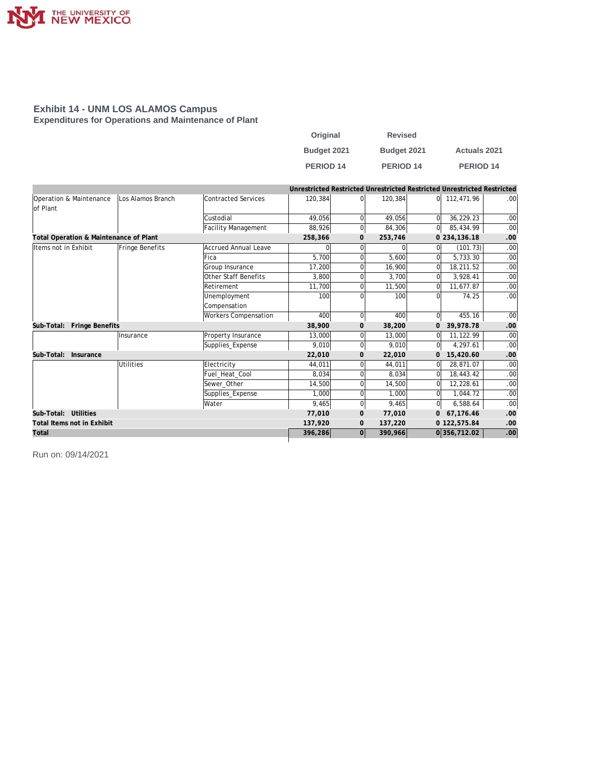

### **Exhibit 14 - UNM LOS ALAMOS Campus Expenditures for Operations and Maintenance of Plant**

| Original         | <b>Revised</b> |                      |
|------------------|----------------|----------------------|
| Budget 2021      | Budget 2021    | <b>Actuals 2021</b>  |
| <b>PERIOD 14</b> | PERIOD 14      | PERIOD <sub>14</sub> |

|                                                           |                  |                             | Unrestricted Restricted Unrestricted Restricted Unrestricted Restricted |                |         |                |              |          |
|-----------------------------------------------------------|------------------|-----------------------------|-------------------------------------------------------------------------|----------------|---------|----------------|--------------|----------|
| Operation & Maintenance<br>Los Alamos Branch<br>lof Plant |                  | Contracted Services         | 120,384                                                                 | ΩI             | 120,384 | 0l             | 112,471.96   | .00      |
|                                                           |                  | Custodial                   | 49,056                                                                  | $\Omega$       | 49,056  | $\Omega$       | 36,229.23    | .00      |
|                                                           |                  | Facility Management         | 88,926                                                                  | $\overline{0}$ | 84,306  | $\overline{0}$ | 85,434.99    | .00      |
| Total Operation & Maintenance of Plant                    |                  | 258,366                     | $\mathbf 0$                                                             | 253,746        |         | 0 234, 136.18  | .00          |          |
| Items not in Exhibit                                      | Fringe Benefits  | Accrued Annual Leave        | 0                                                                       | $\Omega$       |         | 0              | (101.73)     | .00      |
|                                                           |                  | <b>Fica</b>                 | 5.700                                                                   |                | 5,600   | $\Omega$       | 5,733.30     | .00      |
|                                                           |                  | Group Insurance             | 17,200                                                                  |                | 16,900  | 0              | 18,211.52    | .00      |
|                                                           |                  | Other Staff Benefits        | 3,800                                                                   |                | 3,700   | <sup>0</sup>   | 3,928.41     | .00      |
|                                                           |                  | Retirement                  | 11,700                                                                  | $\Omega$       | 11,500  | $\Omega$       | 11,677.87    | .00      |
|                                                           |                  | Unemployment                | 100                                                                     |                | 100     | $\Omega$       | 74.25        | .00      |
|                                                           |                  | Compensation                |                                                                         |                |         |                |              |          |
|                                                           |                  | <b>Workers Compensation</b> | 400                                                                     | $\overline{0}$ | 400     | $\Omega$       | 455.16       | .00      |
| Fringe Benefits<br>Sub-Total:                             |                  |                             | 38,900                                                                  | $\mathbf{O}$   | 38,200  | $\mathbf{O}$   | 39.978.78    | .00      |
|                                                           | Insurance        | Property Insurance          | 13,000                                                                  | ΩI             | 13,000  | $\mathbf 0$    | 11,122.99    | .00      |
|                                                           |                  | Supplies_Expense            | 9.010                                                                   | $\Omega$       | 9.010   | $\Omega$       | 4.297.61     | .00      |
| Sub-Total:<br>Insurance                                   |                  |                             | 22,010                                                                  | $\mathbf{0}$   | 22,010  | $\mathbf{0}$   | 15,420.60    | .00      |
|                                                           | <b>Utilities</b> | Electricity                 | 44.011                                                                  | ΩI             | 44,011  | $\Omega$       | 28.871.07    | .00      |
|                                                           |                  | Fuel_Heat_Cool              | 8,034                                                                   | ΩI             | 8.034   | $\Omega$       | 18,443.42    | .00      |
|                                                           |                  | Sewer_Other                 | 14,500                                                                  | $\Omega$       | 14,500  | $\mathbf 0$    | 12,228.61    | .00      |
|                                                           |                  | Supplies_Expense            | 1,000                                                                   | $\Omega$       | 1.000   | $\Omega$       | 1,044.72     | .00      |
|                                                           |                  | Water                       | 9.465                                                                   | $\overline{0}$ | 9,465   | $\overline{0}$ | 6,588.64     | .00      |
| Sub-Total: Utilities                                      |                  |                             | 77.010                                                                  | $\mathbf{0}$   | 77,010  | 0              | 67.176.46    | .00      |
| Total Items not in Exhibit                                |                  |                             | 137,920                                                                 | $\mathbf{0}$   | 137,220 |                | 0 122,575.84 | .00      |
| Total                                                     |                  |                             | 396,286                                                                 | 0              | 390,966 |                | 0356,712.02  | $.00 \,$ |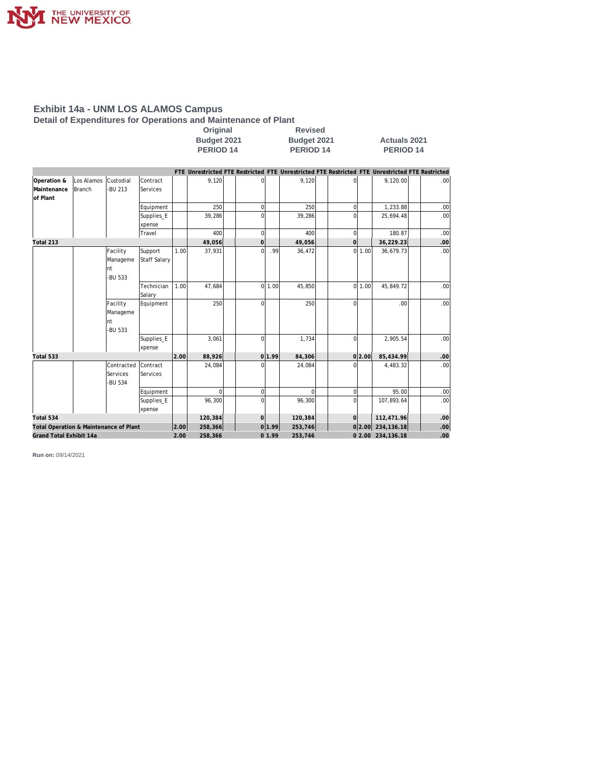

**Detail of Expenditures for Operations and Maintenance of Plant**

| Original         | <b>Revised</b>     |
|------------------|--------------------|
| Budget 2021      | <b>Budget 2021</b> |
| <b>PERIOD 14</b> | <b>PERIOD 14</b>   |

**Budget 2021 Budget 2021 Actuals 2021 PERIOD 14** 

|                                        |            |                                        |                             |      |          |                |        |          |             |        | FTE Unrestricted FTE Restricted FTE Unrestricted FTE Restricted FTE Unrestricted FTE Restricted |                  |
|----------------------------------------|------------|----------------------------------------|-----------------------------|------|----------|----------------|--------|----------|-------------|--------|-------------------------------------------------------------------------------------------------|------------------|
| Operation &                            | Los Alamos | Custodial                              | Contract                    |      | 9,120    | $\Omega$       |        | 9,120    |             |        | 9,120.00                                                                                        | .00 <sub>l</sub> |
| Maintenance<br>of Plant                | Branch     | -BU 213                                | Services                    |      |          |                |        |          |             |        |                                                                                                 |                  |
|                                        |            |                                        | Equipment                   |      | 250      | $\mathbf 0$    |        | 250      | $\Omega$    |        | 1,233.88                                                                                        | .00              |
|                                        |            |                                        | Supplies_E                  |      | 39,286   | $\Omega$       |        | 39,286   |             |        | 25,694.48                                                                                       | .00              |
|                                        |            |                                        | xpense                      |      |          |                |        |          |             |        |                                                                                                 |                  |
|                                        |            |                                        | Travel                      |      | 400      | $\Omega$       |        | 400      | 0           |        | 180.87                                                                                          | .00              |
| Total 213                              |            |                                        |                             |      | 49,056   | $\overline{0}$ |        | 49,056   | $\Omega$    |        | 36,229.23                                                                                       | $.00 \,$         |
|                                        |            | Facility<br>Manageme<br>Int<br>-BU 533 | Support<br>Staff Salary     | 1.00 | 37,931   | $\Omega$       | .99    | 36,472   | ΩI          | 1.00   | 36,679.73                                                                                       | .00 <sub>1</sub> |
|                                        |            |                                        | Technician<br>Salary        | 1.00 | 47,684   |                | 0 1.00 | 45,850   |             | 0 1.00 | 45,849.72                                                                                       | .00              |
|                                        |            | Facility<br>Manageme<br>nt<br>-BU 533  | Equipment                   |      | 250      | $\Omega$       |        | 250      | $\Omega$    |        | .00 <sub>1</sub>                                                                                | .001             |
|                                        |            |                                        | Supplies_E<br>xpense        |      | 3,061    | $\Omega$       |        | 1,734    | $\Omega$    |        | 2,905.54                                                                                        | .00              |
| Total 533                              |            |                                        |                             | 2.00 | 88,926   |                | 0 1.99 | 84,306   |             | 0 2.00 | 85,434.99                                                                                       | .00              |
|                                        |            | Contracted<br>Services<br>-BU 534      | Contract<br><b>Services</b> |      | 24,084   | $\Omega$       |        | 24,084   |             |        | 4,483.32                                                                                        | .00              |
|                                        |            |                                        | Equipment                   |      | $\Omega$ | $\mathbf 0$    |        | $\Omega$ | $\mathbf 0$ |        | 95.00                                                                                           | .00              |
|                                        |            |                                        | Supplies_E<br>xpense        |      | 96,300   | $\Omega$       |        | 96,300   |             |        | 107,893.64                                                                                      | .00 <sub>1</sub> |
| Total 534                              |            |                                        |                             |      | 120,384  | $\overline{O}$ |        | 120,384  | $\Omega$    |        | 112,471.96                                                                                      | .00              |
| Total Operation & Maintenance of Plant |            |                                        |                             | 2.00 | 258,366  |                | 0 1.99 | 253,746  |             | 0 2.00 | 234, 136. 18                                                                                    | .00 <sub>1</sub> |
| Grand Total Exhibit 14a                |            |                                        |                             | 2.00 | 258,366  |                | 01.99  | 253,746  |             |        | 0 2.00 234,136.18                                                                               | .00.             |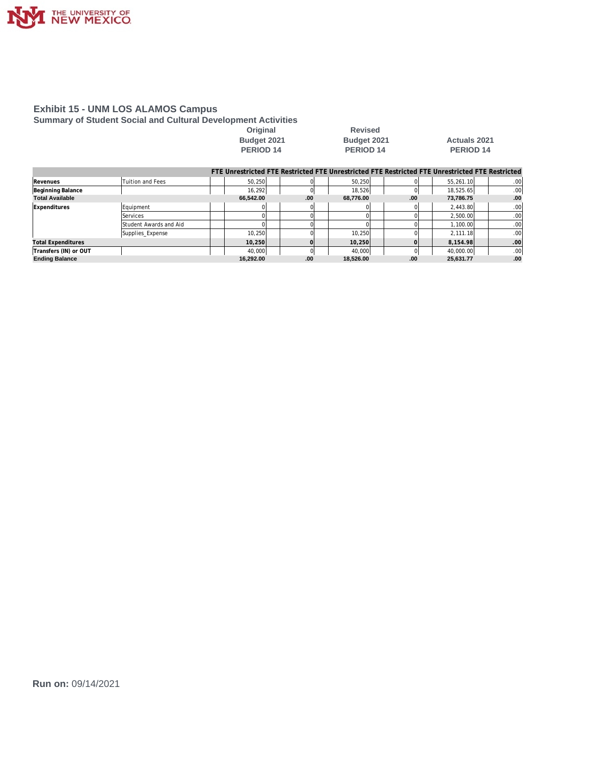

**Summary of Student Social and Cultural Development Activities**

Original Revised<br>Budget 2021 **Budget 2021 PERIOD 14** 

# **Budget 2021 Budget 2021 Actuals 2021**

|                           |                        |           |     |           |     | FTE Unrestricted FTE Restricted FTE Unrestricted FTE Restricted FTE Unrestricted FTE Restricted |                  |
|---------------------------|------------------------|-----------|-----|-----------|-----|-------------------------------------------------------------------------------------------------|------------------|
| Revenues                  | Tuition and Fees       | 50.250    |     | 50.250    |     | 55.261.10                                                                                       | .00 <sub>1</sub> |
| Beginning Balance         |                        | 16.292    |     | 18.526    |     | 18,525.65                                                                                       | .00 <sub>1</sub> |
| <b>Total Available</b>    |                        | 66.542.00 | .00 | 68.776.00 | .00 | 73.786.75                                                                                       | .00.             |
| Expenditures              | Equipment              |           |     |           |     | 2,443.80                                                                                        | .00 <sub>1</sub> |
|                           | Services               |           |     |           |     | 2,500.00                                                                                        | .00 <sub>1</sub> |
|                           | Student Awards and Aid |           |     |           |     | 1.100.00                                                                                        | .00 <sub>1</sub> |
|                           | Supplies_Expense       | 10.250    |     | 10.250    |     | 2.111.18                                                                                        | .00 <sub>1</sub> |
| <b>Total Expenditures</b> |                        | 10.250    |     | 10.250    |     | 8,154.98                                                                                        | .00              |
| Transfers (IN) or OUT     |                        | 40.000    |     | 40.000    |     | 40,000.00                                                                                       | .00 <sub>1</sub> |
| <b>Ending Balance</b>     |                        | 16.292.00 | .00 | 18.526.00 | .00 | 25.631.77                                                                                       | .00              |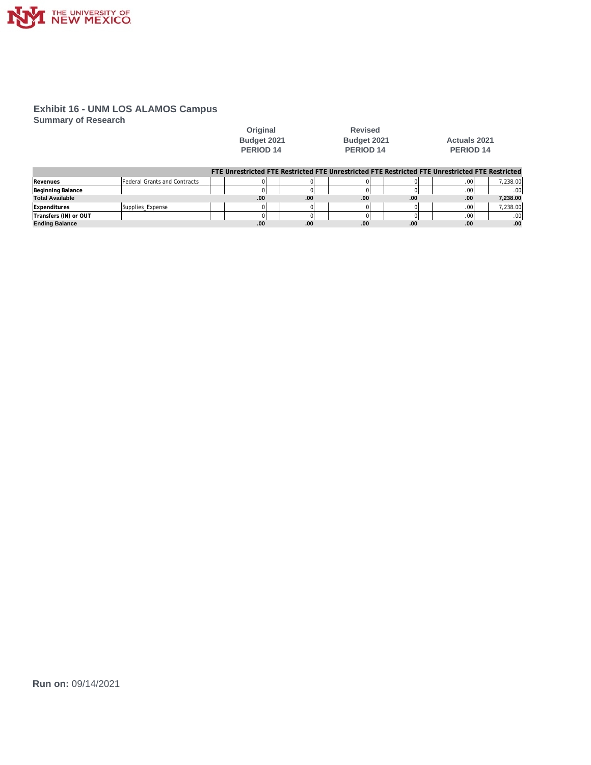

**Summary of Research**

| Original           |
|--------------------|
| <b>Budget 2021</b> |
| <b>PERIOD 14</b>   |

**Revised PERIOD 14** 

**Budget 2021 Actuals 2021**<br>**PERIOD 14 PERIOD 14** 

|                        |                                     |      |     |     |     |     | FTE Unrestricted FTE Restricted FTE Unrestricted FTE Restricted FTE Unrestricted FTE Restricted |
|------------------------|-------------------------------------|------|-----|-----|-----|-----|-------------------------------------------------------------------------------------------------|
| Revenues               | <b>Federal Grants and Contracts</b> |      |     |     |     | .00 | 7.238.00                                                                                        |
| Beginning Balance      |                                     |      |     |     |     | .00 | 00 <sub>1</sub>                                                                                 |
| <b>Total Available</b> |                                     | .00. | .00 | .00 | .00 | .00 | 7.238.00                                                                                        |
| Expenditures           | Supplies Expense                    |      |     |     |     |     | 7.238.00                                                                                        |
| Transfers (IN) or OUT  |                                     |      |     |     |     | .00 | .00.                                                                                            |
| <b>Ending Balance</b>  |                                     | .00  | .00 | .00 | .00 | .00 | .00                                                                                             |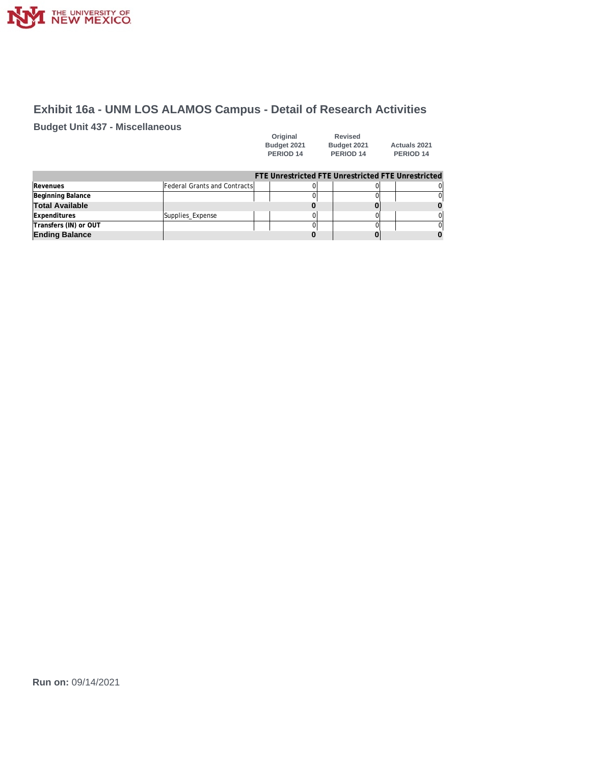

# **Exhibit 16a - UNM LOS ALAMOS Campus - Detail of Research Activities**

**Budget Unit 437 - Miscellaneous**

| Original    | <b>Revised</b>       |                     |
|-------------|----------------------|---------------------|
| Budget 2021 | Budget 2021          | <b>Actuals 2021</b> |
| PERIOD 14   | PERIOD <sub>14</sub> | PERIOD 14           |

|                  |                                      |  | $\Omega$                                           |
|------------------|--------------------------------------|--|----------------------------------------------------|
|                  |                                      |  | $\Omega$                                           |
|                  |                                      |  |                                                    |
| Supplies_Expense |                                      |  | $\Omega$                                           |
|                  |                                      |  | $\Omega$                                           |
|                  |                                      |  |                                                    |
|                  | <b>Federal Grants and ContractsI</b> |  | FTE Unrestricted FTE Unrestricted FTE Unrestricted |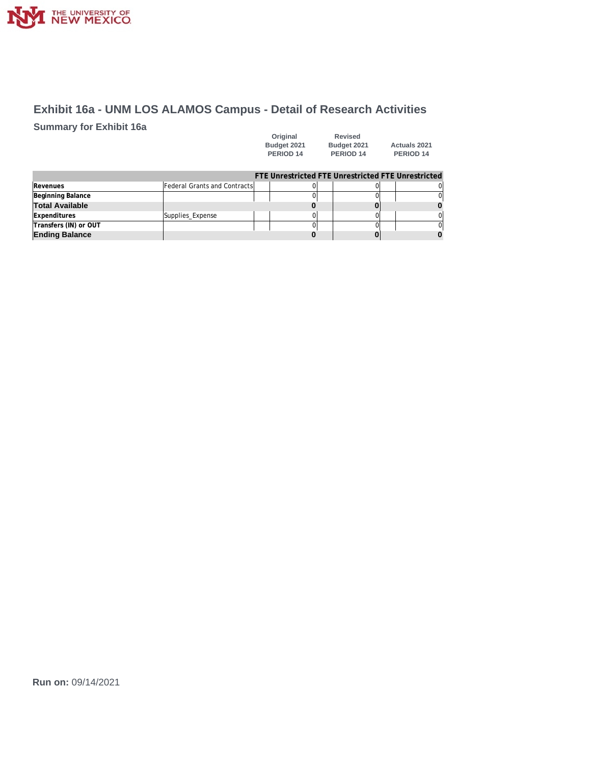

# **Exhibit 16a - UNM LOS ALAMOS Campus - Detail of Research Activities**

**Summary for Exhibit 16a**

| Original    | Revised     |                      |
|-------------|-------------|----------------------|
| Budget 2021 | Budget 2021 | <b>Actuals 2021</b>  |
| PERIOD 14   | PERIOD 14   | PERIOD <sub>14</sub> |

| Supplies_Expense |                               |  | ΩI                                                 |
|------------------|-------------------------------|--|----------------------------------------------------|
|                  |                               |  |                                                    |
|                  |                               |  |                                                    |
|                  | Federal Grants and Contractsl |  | FTE Unrestricted FTE Unrestricted FTE Unrestricted |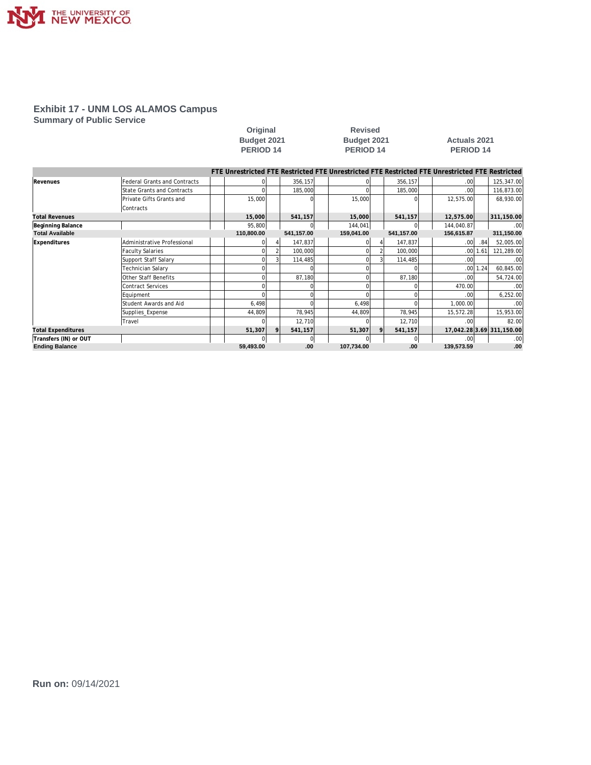

**Summary of Public Service**

|                           |                                     | Budget 2021 |                  |              | Budget 2021 |  |                      | <b>Actuals 2021</b> |            |  |                                                                                                 |          |                           |
|---------------------------|-------------------------------------|-------------|------------------|--------------|-------------|--|----------------------|---------------------|------------|--|-------------------------------------------------------------------------------------------------|----------|---------------------------|
|                           |                                     |             | <b>PERIOD 14</b> |              |             |  | PERIOD <sub>14</sub> |                     |            |  | <b>PERIOD 14</b>                                                                                |          |                           |
|                           |                                     |             |                  |              |             |  |                      |                     |            |  |                                                                                                 |          |                           |
|                           |                                     |             |                  |              |             |  |                      |                     |            |  | FTE Unrestricted FTE Restricted FTE Unrestricted FTE Restricted FTE Unrestricted FTE Restricted |          |                           |
| Revenues                  | <b>Federal Grants and Contracts</b> |             |                  |              | 356,157     |  |                      |                     | 356,157    |  | .00                                                                                             |          | 125,347.00                |
|                           | <b>State Grants and Contracts</b>   |             |                  |              | 185,000     |  |                      |                     | 185,000    |  | .00 <sub>l</sub>                                                                                |          | 116,873.00                |
|                           | Private Gifts Grants and            |             | 15,000           |              |             |  | 15,000               |                     |            |  | 12,575.00                                                                                       |          | 68,930.00                 |
|                           | Contracts                           |             |                  |              |             |  |                      |                     |            |  |                                                                                                 |          |                           |
| <b>Total Revenues</b>     |                                     |             | 15,000           |              | 541,157     |  | 15,000               |                     | 541,157    |  | 12,575.00                                                                                       |          | 311,150.00                |
| Beginning Balance         |                                     |             | 95,800           |              |             |  | 144,041              |                     |            |  | 144,040.87                                                                                      |          | .00                       |
| <b>Total Available</b>    |                                     |             | 110,800.00       |              | 541,157.00  |  | 159,041.00           |                     | 541,157.00 |  | 156,615.87                                                                                      |          | 311,150.00                |
| Expenditures              | Administrative Professional         |             |                  |              | 147,837     |  |                      |                     | 147,837    |  | .00                                                                                             | .84      | 52.005.00                 |
|                           | <b>Faculty Salaries</b>             |             |                  |              | 100,000     |  |                      |                     | 100,000    |  |                                                                                                 | .0011.61 | 121,289.00                |
|                           | Support Staff Salary                |             |                  |              | 114,485     |  |                      |                     | 114,485    |  | .001                                                                                            |          | .00                       |
|                           | Technician Salary                   |             |                  |              |             |  |                      |                     |            |  |                                                                                                 | .0011.24 | 60,845.00                 |
|                           | Other Staff Benefits                |             |                  |              | 87,180      |  |                      |                     | 87,180     |  | .001                                                                                            |          | 54,724.00                 |
|                           | <b>Contract Services</b>            |             |                  |              |             |  |                      |                     |            |  | 470.00                                                                                          |          | .00                       |
|                           | Equipment                           |             |                  |              | C           |  |                      |                     |            |  | .00 <sub>l</sub>                                                                                |          | 6,252.00                  |
|                           | Student Awards and Aid              |             | 6,498            |              | $\cap$      |  | 6,498                |                     |            |  | 1,000.00                                                                                        |          | .00                       |
|                           | Supplies_Expense                    |             | 44,809           |              | 78,945      |  | 44,809               |                     | 78,945     |  | 15,572.28                                                                                       |          | 15,953.00                 |
|                           | Travel                              |             |                  |              | 12,710      |  |                      |                     | 12,710     |  | .001                                                                                            |          | 82.00                     |
| <b>Total Expenditures</b> |                                     |             | 51,307           | $\mathsf{Q}$ | 541,157     |  | 51,307               | 9                   | 541,157    |  |                                                                                                 |          | 17,042.28 3.69 311,150.00 |
| Transfers (IN) or OUT     |                                     |             |                  |              | $\Omega$    |  |                      |                     | $\Omega$   |  | .001                                                                                            |          | .00                       |
| <b>Ending Balance</b>     |                                     |             | 59.493.00        |              | .00         |  | 107,734.00           |                     | .00        |  | 139,573.59                                                                                      |          | .00                       |

**Original Revised**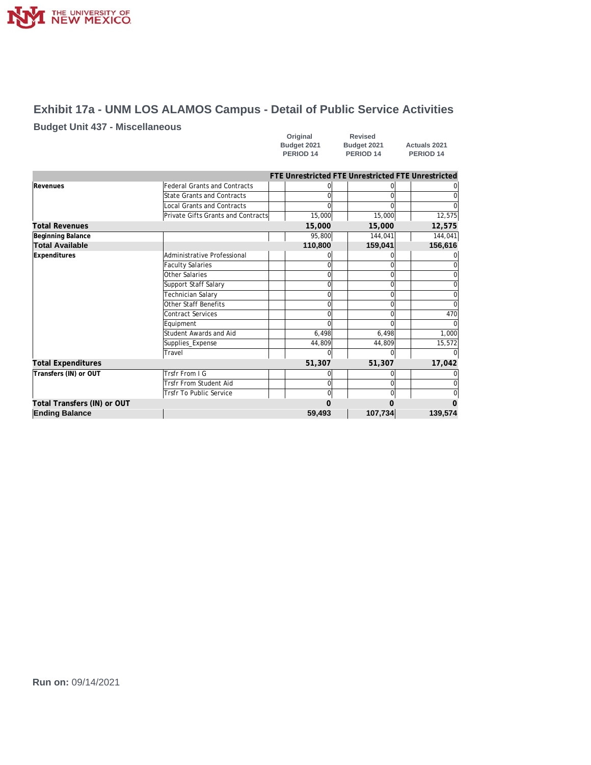

# **Exhibit 17a - UNM LOS ALAMOS Campus - Detail of Public Service Activities**

## **Budget Unit 437 - Miscellaneous**

| Original             | <b>Revised</b>       |                      |
|----------------------|----------------------|----------------------|
| Budget 2021          | Budget 2021          | <b>Actuals 2021</b>  |
| PERIOD <sub>14</sub> | PERIOD <sub>14</sub> | PERIOD <sub>14</sub> |

|                             |                                     |          | FTE Unrestricted FTE Unrestricted FTE Unrestricted |          |
|-----------------------------|-------------------------------------|----------|----------------------------------------------------|----------|
| Revenues                    | <b>Federal Grants and Contracts</b> |          |                                                    |          |
|                             | <b>State Grants and Contracts</b>   |          |                                                    |          |
|                             | <b>Local Grants and Contracts</b>   |          |                                                    | 0        |
|                             | Private Gifts Grants and Contracts  | 15,000   | 15,000                                             | 12,575   |
| <b>Total Revenues</b>       |                                     | 15,000   | 15,000                                             | 12,575   |
| Beginning Balance           |                                     | 95,800   | 144,041                                            | 144,041  |
| <b>Total Available</b>      |                                     | 110,800  | 159,041                                            | 156,616  |
| Expenditures                | Administrative Professional         |          |                                                    |          |
|                             | <b>Faculty Salaries</b>             |          |                                                    | 0        |
|                             | Other Salaries                      |          |                                                    | 0        |
|                             | Support Staff Salary                |          |                                                    | 0        |
|                             | Technician Salary                   |          |                                                    | 0        |
|                             | <b>Other Staff Benefits</b>         | O        |                                                    | $\Omega$ |
|                             | Contract Services                   |          |                                                    | 470      |
|                             | Equipment                           |          |                                                    | $\Omega$ |
|                             | Student Awards and Aid              | 6,498    | 6,498                                              | 1,000    |
|                             | Supplies_Expense                    | 44,809   | 44.809                                             | 15,572   |
|                             | Travel                              |          |                                                    | O        |
| <b>Total Expenditures</b>   |                                     | 51,307   | 51,307                                             | 17,042   |
| Transfers (IN) or OUT       | Trsfr From I G                      |          |                                                    |          |
|                             | <b>Trsfr From Student Aid</b>       | $\Omega$ |                                                    | 0        |
|                             | <b>Trsfr To Public Service</b>      | O        |                                                    | 0        |
| Total Transfers (IN) or OUT |                                     |          |                                                    | $\Omega$ |
| <b>Ending Balance</b>       |                                     | 59,493   | 107,734                                            | 139,574  |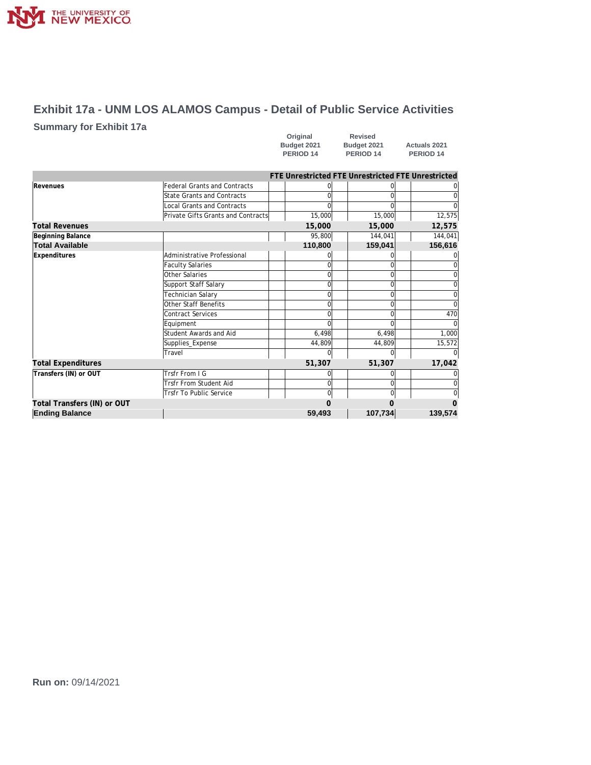

# **Exhibit 17a - UNM LOS ALAMOS Campus - Detail of Public Service Activities**

## **Summary for Exhibit 17a**

| Original             | Revised              |                      |
|----------------------|----------------------|----------------------|
| Budget 2021          | Budget 2021          | <b>Actuals 2021</b>  |
| PERIOD <sub>14</sub> | PERIOD <sub>14</sub> | PERIOD <sub>14</sub> |

|                             |                                     |  | FTE Unrestricted FTE Unrestricted FTE Unrestricted |          |                                                                              |             |  |  |
|-----------------------------|-------------------------------------|--|----------------------------------------------------|----------|------------------------------------------------------------------------------|-------------|--|--|
| Revenues                    | <b>Federal Grants and Contracts</b> |  |                                                    |          |                                                                              |             |  |  |
|                             | <b>State Grants and Contracts</b>   |  |                                                    |          |                                                                              | 0           |  |  |
|                             | Local Grants and Contracts          |  |                                                    |          |                                                                              | $\Omega$    |  |  |
|                             | Private Gifts Grants and Contracts  |  | 15,000                                             | 15,000   |                                                                              | 12,575      |  |  |
| <b>Total Revenues</b>       |                                     |  | 15,000                                             | 15,000   | 12,575<br>U<br>$\Omega$<br>$\Omega$<br>$\Omega$<br>$\Omega$<br>$\Omega$<br>U |             |  |  |
| Beginning Balance           |                                     |  | 95,800                                             | 144,041  |                                                                              | 144,041     |  |  |
| <b>Total Available</b>      |                                     |  | 110,800                                            | 159,041  |                                                                              | 156,616     |  |  |
| Expenditures                | Administrative Professional         |  |                                                    |          |                                                                              |             |  |  |
|                             | <b>Faculty Salaries</b>             |  | U                                                  |          |                                                                              | 0           |  |  |
|                             | Other Salaries                      |  | $\Omega$                                           |          |                                                                              | 0           |  |  |
|                             | Support Staff Salary                |  | $\Omega$                                           |          |                                                                              | $\mathbf 0$ |  |  |
|                             | Technician Salary                   |  | $\Omega$                                           |          |                                                                              | $\Omega$    |  |  |
|                             | Other Staff Benefits                |  | $\Omega$                                           |          |                                                                              | $\Omega$    |  |  |
|                             | Contract Services                   |  |                                                    |          |                                                                              | 470         |  |  |
|                             | Equipment                           |  |                                                    |          |                                                                              | $\Omega$    |  |  |
|                             | Student Awards and Aid              |  | 6,498                                              | 6,498    |                                                                              | 1,000       |  |  |
|                             | Supplies_Expense                    |  | 44,809                                             | 44,809   |                                                                              | 15,572      |  |  |
|                             | Travel                              |  | O                                                  | $\Omega$ |                                                                              | $\Omega$    |  |  |
| <b>Total Expenditures</b>   |                                     |  | 51,307                                             | 51,307   |                                                                              | 17,042      |  |  |
| Transfers (IN) or OUT       | Trsfr From I G                      |  |                                                    | 0        |                                                                              | 0           |  |  |
|                             | Trsfr From Student Aid              |  | $\Omega$                                           | $\Omega$ |                                                                              | $\Omega$    |  |  |
|                             | <b>Trsfr To Public Service</b>      |  | $\Omega$                                           | $\Omega$ |                                                                              | $\mathbf 0$ |  |  |
| Total Transfers (IN) or OUT |                                     |  |                                                    |          |                                                                              | $\Omega$    |  |  |
| <b>Ending Balance</b>       |                                     |  | 59,493                                             | 107,734  |                                                                              | 139,574     |  |  |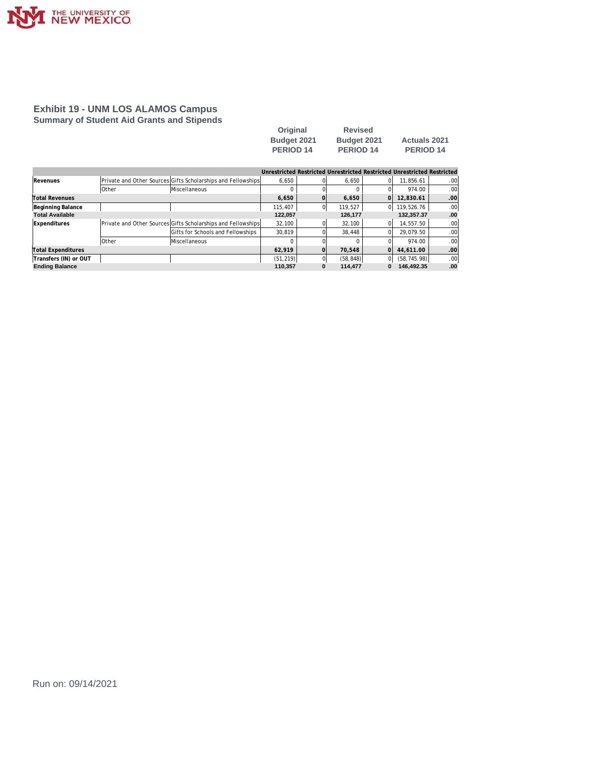

### **Exhibit 19 - UNM LOS ALAMOS Campus Summary of Student Aid Grants and Stipends**

| Original         | <b>Revised</b>       |                      |
|------------------|----------------------|----------------------|
| Budget 2021      | Budget 2021          | <b>Actuals 2021</b>  |
| <b>PERIOD 14</b> | PERIOD <sub>14</sub> | PERIOD <sub>14</sub> |

|                        |              |                                                              |           |   | Unrestricted Restricted Unrestricted Restricted Unrestricted Restricted |    |              |      |
|------------------------|--------------|--------------------------------------------------------------|-----------|---|-------------------------------------------------------------------------|----|--------------|------|
| Revenues               |              | Private and Other Sources Gifts Scholarships and Fellowships | 6.650     |   | 6.650                                                                   | ΩI | 11.856.61    | .00  |
|                        | <b>Other</b> | Miscellaneous                                                |           |   |                                                                         |    | 974.00       | .00  |
| Total Revenues         |              |                                                              | 6.650     |   | 6.650                                                                   | ΩI | 12.830.61    | .00  |
| Beginning Balance      |              |                                                              | 115.407   |   | 119.527                                                                 | 0l | 119,526.76   | .00  |
| <b>Total Available</b> |              |                                                              | 122,057   |   | 126,177                                                                 |    | 132,357.37   | .00  |
| Expenditures           |              | Private and Other Sources Gifts Scholarships and Fellowships | 32.100    |   | 32,100                                                                  | ΩI | 14.557.50    | .00  |
|                        |              | Gifts for Schools and Fellowships                            | 30.819    |   | 38.448                                                                  |    | 29.079.50    | .00  |
|                        | Other        | Miscellaneous                                                |           |   |                                                                         |    | 974.00       | .00  |
| Total Expenditures     |              |                                                              |           |   | 70.548                                                                  | ΩI | 44.611.00    | .00  |
| Transfers (IN) or OUT  |              |                                                              | (51, 219) |   | (58, 848)                                                               | 0  | (58, 745.98) | .00  |
| <b>Ending Balance</b>  |              |                                                              | 110.357   | 0 | 114,477                                                                 | 0  | 146.492.35   | .00. |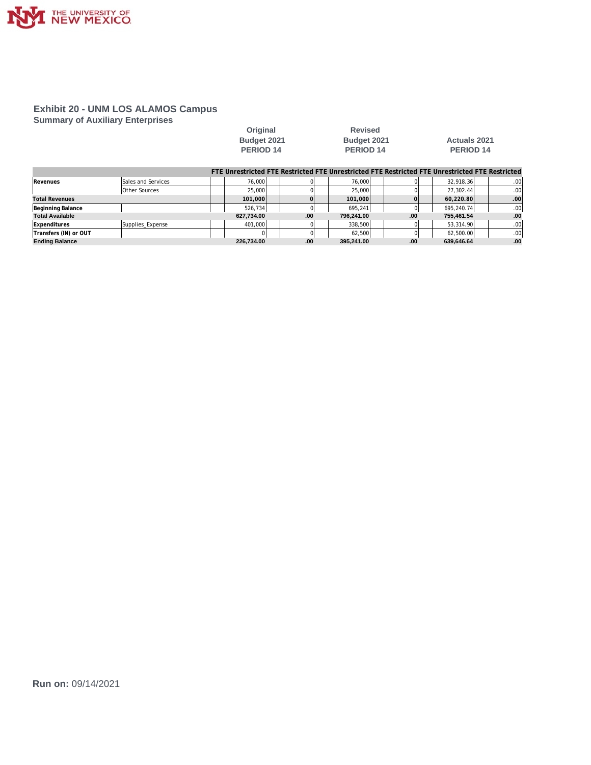

### **Exhibit 20 - UNM LOS ALAMOS Campus Summary of Auxiliary Enterprises**

| Original             |
|----------------------|
| <b>Budget 2021</b>   |
| PERIOD <sub>14</sub> |
|                      |

**Revised PERIOD 14** 

# **Budget 2021 Actuals 2021**<br>**PERIOD 14 PERIOD 14**

|                        |                      |            |     |            |     | FTE Unrestricted FTE Restricted FTE Unrestricted FTE Restricted FTE Unrestricted FTE Restricted |                  |
|------------------------|----------------------|------------|-----|------------|-----|-------------------------------------------------------------------------------------------------|------------------|
| Revenues               | Sales and Services   | 76.000     |     | 76,000     |     | 32.918.36                                                                                       | .00 <sub>1</sub> |
|                        | <b>Other Sources</b> | 25,000     |     | 25,000     |     | 27.302.44                                                                                       | .00 <sub>1</sub> |
| <b>Total Revenues</b>  |                      | 101,000    |     | 101,000    |     | 60.220.80                                                                                       | .00 <sub>1</sub> |
| Beginning Balance      |                      | 526.734    |     | 695.241    |     | 695.240.74                                                                                      | .00 <sub>1</sub> |
| <b>Total Available</b> |                      | 627.734.00 | .00 | 796.241.00 | .00 | 755.461.54                                                                                      | .00              |
| Expenditures           | Supplies Expense     | 401.000    |     | 338,500    |     | 53.314.90                                                                                       | .00 <sub>1</sub> |
| Transfers (IN) or OUT  |                      |            |     | 62.500     |     | 62,500.00                                                                                       | .00.             |
| <b>Ending Balance</b>  |                      | 226.734.00 | .00 | 395.241.00 | .00 | 639.646.64                                                                                      | .00              |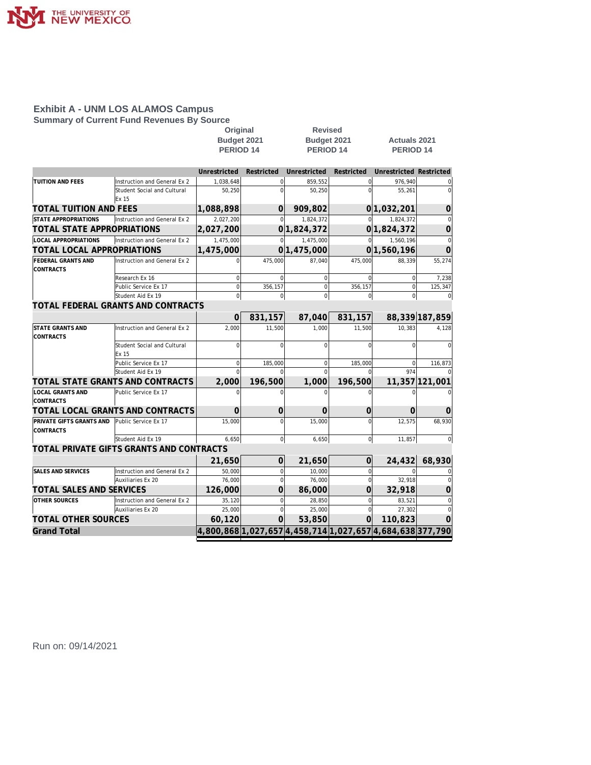

**Summary of Current Fund Revenues By Source**

| Budget 2021<br>Budget 2021<br><b>Actuals 2021</b><br>PERIOD <sub>14</sub><br>PERIOD <sub>14</sub><br><b>PERIOD 14</b><br>Unrestricted<br>Unrestricted<br><b>Unrestricted Restricted</b><br>Restricted<br>Restricted<br>TUITION AND FEES<br>Instruction and General Ex 2<br>1,038,648<br>$\Omega$<br>859.552<br>$\Omega$<br>976,940<br>$\Omega$<br>55,261<br>Student Social and Cultural<br>50,250<br>$\mathbf 0$<br>50,250<br>$\Omega$<br>Ex 15<br><b>TOTAL TUITION AND FEES</b><br>1,088,898<br>$\overline{0}$<br>909.802<br>0 1,032,201<br>0<br><b>STATE APPROPRIATIONS</b><br>Instruction and General Ex 2<br>2,027,200<br>1,824,372<br>1,824,372<br>$\Omega$<br>$\Omega$<br>TOTAL STATE APPROPRIATIONS<br>0 1,824,372<br>2,027,200<br> 0 <br>1,824,372<br>0<br><b>LOCAL APPROPRIATIONS</b><br>Instruction and General Ex 2<br>1,475,000<br>1,475,000<br>1,560,196<br>$\Omega$<br>$\Omega$<br>$\overline{0}$<br>0 1,560,196<br>TOTAL LOCAL APPROPRIATIONS<br>1,475,000<br>0 1,475,000<br>0<br>FEDERAL GRANTS AND<br>Instruction and General Ex 2<br>475,000<br>87,040<br>475,000<br>55,274<br>88,339<br><b>CONTRACTS</b><br>Research Ex 16<br>$\Omega$<br>$\mathbf 0$<br>$\mathbf 0$<br>$\Omega$<br>7,238<br>$\mathbf 0$<br>Public Service Ex 17<br>356,157<br>$\mathbf 0$<br>356,157<br>$\bf 0$<br>$\pmb{0}$<br>125,347<br>$\Omega$<br>$\Omega$<br>Student Aid Ex 19<br>$\Omega$<br>$\Omega$<br>$\Omega$<br>$\Omega$<br>TOTAL FEDERAL GRANTS AND CONTRACTS<br>88,339 187,859<br>831,157<br>831,157<br>87,040<br>O<br><b>STATE GRANTS AND</b><br>Instruction and General Ex 2<br>2,000<br>11,500<br>10,383<br>1,000<br>11,500<br>4,128<br>CONTRACTS<br>$\Omega$<br>$\Omega$<br>Student Social and Cultural<br>$\Omega$<br>$\Omega$<br>$\Omega$<br>$\Omega$<br>Ex 15<br>Public Service Ex 17<br>185,000<br>$\mathbf 0$<br>185,000<br>$\Omega$<br>$\Omega$<br>116,873<br>Student Aid Ex 19<br>974<br>$\Omega$<br>$\Omega$<br>TOTAL STATE GRANTS AND CONTRACTS<br>2,000<br>196,500<br>1,000<br>196,500<br>11,357 121,001<br><b>LOCAL GRANTS AND</b><br>Public Service Ex 17<br>$\Omega$<br>$\Omega$<br>$\Omega$<br>$\Omega$<br>$\Omega$<br>$\Omega$<br><b>CONTRACTS</b><br>TOTAL LOCAL GRANTS AND CONTRACTS<br>$\Omega$<br>$\Omega$<br>0<br>$\Omega$<br>$\Omega$<br>O<br>PRIVATE GIFTS GRANTS AND<br>Public Service Ex 17<br>15,000<br>$\mathbf 0$<br>12,575<br>68,930<br>15,000<br>$\Omega$<br><b>CONTRACTS</b><br>Student Aid Ex 19<br>$\overline{0}$<br>$\mathbf{0}$<br>6.650<br>6,650<br>11.857<br>$\Omega$<br>TOTAL PRIVATE GIFTS GRANTS AND CONTRACTS<br>68,930<br>$\Omega$<br>21,650<br>$\Omega$<br>24,432<br>21,650<br>SALES AND SERVICES<br>Instruction and General Ex 2<br>$\mathbf 0$<br>10,000<br>50,000<br>$\Omega$<br>$\Omega$<br>Auxiliaries Ex 20<br>76,000<br>$\mathbf 0$<br>76,000<br>32,918<br>$\vert$<br>$\overline{0}$<br><b>TOTAL SALES AND SERVICES</b><br>126,000<br>$\Omega$<br>32,918<br>$\Omega$<br>86,000<br>0<br><b>OTHER SOURCES</b><br>Instruction and General Ex 2<br>35,120<br>28,850<br>83,521<br>$\mathbf 0$<br>$\mathbf 0$<br>$\mathbf 0$<br>25,000<br>$\mathbf 0$<br>25,000<br>27,302<br>Auxiliaries Ex 20<br>$\mathbf 0$<br>$\overline{0}$<br><b>TOTAL OTHER SOURCES</b><br>60,120<br>53,850<br>110,823<br>$\Omega$<br>$\Omega$<br>O<br> 4,800,868 1,027,657 4,458,714 1,027,657 4,684,638 377,790 |                    |  | Original | <b>Revised</b> |  |  |  |  |  |
|------------------------------------------------------------------------------------------------------------------------------------------------------------------------------------------------------------------------------------------------------------------------------------------------------------------------------------------------------------------------------------------------------------------------------------------------------------------------------------------------------------------------------------------------------------------------------------------------------------------------------------------------------------------------------------------------------------------------------------------------------------------------------------------------------------------------------------------------------------------------------------------------------------------------------------------------------------------------------------------------------------------------------------------------------------------------------------------------------------------------------------------------------------------------------------------------------------------------------------------------------------------------------------------------------------------------------------------------------------------------------------------------------------------------------------------------------------------------------------------------------------------------------------------------------------------------------------------------------------------------------------------------------------------------------------------------------------------------------------------------------------------------------------------------------------------------------------------------------------------------------------------------------------------------------------------------------------------------------------------------------------------------------------------------------------------------------------------------------------------------------------------------------------------------------------------------------------------------------------------------------------------------------------------------------------------------------------------------------------------------------------------------------------------------------------------------------------------------------------------------------------------------------------------------------------------------------------------------------------------------------------------------------------------------------------------------------------------------------------------------------------------------------------------------------------------------------------------------------------------------------------------------------------------------------------------------------------------------------------------------------------------------------------------------------------------------------------------------------------------------------------------------------------------------------------------------------------------------------------------------------------------------------------------------------------------------------------------|--------------------|--|----------|----------------|--|--|--|--|--|
|                                                                                                                                                                                                                                                                                                                                                                                                                                                                                                                                                                                                                                                                                                                                                                                                                                                                                                                                                                                                                                                                                                                                                                                                                                                                                                                                                                                                                                                                                                                                                                                                                                                                                                                                                                                                                                                                                                                                                                                                                                                                                                                                                                                                                                                                                                                                                                                                                                                                                                                                                                                                                                                                                                                                                                                                                                                                                                                                                                                                                                                                                                                                                                                                                                                                                                                                          |                    |  |          |                |  |  |  |  |  |
|                                                                                                                                                                                                                                                                                                                                                                                                                                                                                                                                                                                                                                                                                                                                                                                                                                                                                                                                                                                                                                                                                                                                                                                                                                                                                                                                                                                                                                                                                                                                                                                                                                                                                                                                                                                                                                                                                                                                                                                                                                                                                                                                                                                                                                                                                                                                                                                                                                                                                                                                                                                                                                                                                                                                                                                                                                                                                                                                                                                                                                                                                                                                                                                                                                                                                                                                          |                    |  |          |                |  |  |  |  |  |
|                                                                                                                                                                                                                                                                                                                                                                                                                                                                                                                                                                                                                                                                                                                                                                                                                                                                                                                                                                                                                                                                                                                                                                                                                                                                                                                                                                                                                                                                                                                                                                                                                                                                                                                                                                                                                                                                                                                                                                                                                                                                                                                                                                                                                                                                                                                                                                                                                                                                                                                                                                                                                                                                                                                                                                                                                                                                                                                                                                                                                                                                                                                                                                                                                                                                                                                                          |                    |  |          |                |  |  |  |  |  |
|                                                                                                                                                                                                                                                                                                                                                                                                                                                                                                                                                                                                                                                                                                                                                                                                                                                                                                                                                                                                                                                                                                                                                                                                                                                                                                                                                                                                                                                                                                                                                                                                                                                                                                                                                                                                                                                                                                                                                                                                                                                                                                                                                                                                                                                                                                                                                                                                                                                                                                                                                                                                                                                                                                                                                                                                                                                                                                                                                                                                                                                                                                                                                                                                                                                                                                                                          |                    |  |          |                |  |  |  |  |  |
|                                                                                                                                                                                                                                                                                                                                                                                                                                                                                                                                                                                                                                                                                                                                                                                                                                                                                                                                                                                                                                                                                                                                                                                                                                                                                                                                                                                                                                                                                                                                                                                                                                                                                                                                                                                                                                                                                                                                                                                                                                                                                                                                                                                                                                                                                                                                                                                                                                                                                                                                                                                                                                                                                                                                                                                                                                                                                                                                                                                                                                                                                                                                                                                                                                                                                                                                          |                    |  |          |                |  |  |  |  |  |
|                                                                                                                                                                                                                                                                                                                                                                                                                                                                                                                                                                                                                                                                                                                                                                                                                                                                                                                                                                                                                                                                                                                                                                                                                                                                                                                                                                                                                                                                                                                                                                                                                                                                                                                                                                                                                                                                                                                                                                                                                                                                                                                                                                                                                                                                                                                                                                                                                                                                                                                                                                                                                                                                                                                                                                                                                                                                                                                                                                                                                                                                                                                                                                                                                                                                                                                                          |                    |  |          |                |  |  |  |  |  |
|                                                                                                                                                                                                                                                                                                                                                                                                                                                                                                                                                                                                                                                                                                                                                                                                                                                                                                                                                                                                                                                                                                                                                                                                                                                                                                                                                                                                                                                                                                                                                                                                                                                                                                                                                                                                                                                                                                                                                                                                                                                                                                                                                                                                                                                                                                                                                                                                                                                                                                                                                                                                                                                                                                                                                                                                                                                                                                                                                                                                                                                                                                                                                                                                                                                                                                                                          |                    |  |          |                |  |  |  |  |  |
|                                                                                                                                                                                                                                                                                                                                                                                                                                                                                                                                                                                                                                                                                                                                                                                                                                                                                                                                                                                                                                                                                                                                                                                                                                                                                                                                                                                                                                                                                                                                                                                                                                                                                                                                                                                                                                                                                                                                                                                                                                                                                                                                                                                                                                                                                                                                                                                                                                                                                                                                                                                                                                                                                                                                                                                                                                                                                                                                                                                                                                                                                                                                                                                                                                                                                                                                          |                    |  |          |                |  |  |  |  |  |
|                                                                                                                                                                                                                                                                                                                                                                                                                                                                                                                                                                                                                                                                                                                                                                                                                                                                                                                                                                                                                                                                                                                                                                                                                                                                                                                                                                                                                                                                                                                                                                                                                                                                                                                                                                                                                                                                                                                                                                                                                                                                                                                                                                                                                                                                                                                                                                                                                                                                                                                                                                                                                                                                                                                                                                                                                                                                                                                                                                                                                                                                                                                                                                                                                                                                                                                                          |                    |  |          |                |  |  |  |  |  |
|                                                                                                                                                                                                                                                                                                                                                                                                                                                                                                                                                                                                                                                                                                                                                                                                                                                                                                                                                                                                                                                                                                                                                                                                                                                                                                                                                                                                                                                                                                                                                                                                                                                                                                                                                                                                                                                                                                                                                                                                                                                                                                                                                                                                                                                                                                                                                                                                                                                                                                                                                                                                                                                                                                                                                                                                                                                                                                                                                                                                                                                                                                                                                                                                                                                                                                                                          |                    |  |          |                |  |  |  |  |  |
|                                                                                                                                                                                                                                                                                                                                                                                                                                                                                                                                                                                                                                                                                                                                                                                                                                                                                                                                                                                                                                                                                                                                                                                                                                                                                                                                                                                                                                                                                                                                                                                                                                                                                                                                                                                                                                                                                                                                                                                                                                                                                                                                                                                                                                                                                                                                                                                                                                                                                                                                                                                                                                                                                                                                                                                                                                                                                                                                                                                                                                                                                                                                                                                                                                                                                                                                          |                    |  |          |                |  |  |  |  |  |
|                                                                                                                                                                                                                                                                                                                                                                                                                                                                                                                                                                                                                                                                                                                                                                                                                                                                                                                                                                                                                                                                                                                                                                                                                                                                                                                                                                                                                                                                                                                                                                                                                                                                                                                                                                                                                                                                                                                                                                                                                                                                                                                                                                                                                                                                                                                                                                                                                                                                                                                                                                                                                                                                                                                                                                                                                                                                                                                                                                                                                                                                                                                                                                                                                                                                                                                                          |                    |  |          |                |  |  |  |  |  |
|                                                                                                                                                                                                                                                                                                                                                                                                                                                                                                                                                                                                                                                                                                                                                                                                                                                                                                                                                                                                                                                                                                                                                                                                                                                                                                                                                                                                                                                                                                                                                                                                                                                                                                                                                                                                                                                                                                                                                                                                                                                                                                                                                                                                                                                                                                                                                                                                                                                                                                                                                                                                                                                                                                                                                                                                                                                                                                                                                                                                                                                                                                                                                                                                                                                                                                                                          |                    |  |          |                |  |  |  |  |  |
|                                                                                                                                                                                                                                                                                                                                                                                                                                                                                                                                                                                                                                                                                                                                                                                                                                                                                                                                                                                                                                                                                                                                                                                                                                                                                                                                                                                                                                                                                                                                                                                                                                                                                                                                                                                                                                                                                                                                                                                                                                                                                                                                                                                                                                                                                                                                                                                                                                                                                                                                                                                                                                                                                                                                                                                                                                                                                                                                                                                                                                                                                                                                                                                                                                                                                                                                          |                    |  |          |                |  |  |  |  |  |
|                                                                                                                                                                                                                                                                                                                                                                                                                                                                                                                                                                                                                                                                                                                                                                                                                                                                                                                                                                                                                                                                                                                                                                                                                                                                                                                                                                                                                                                                                                                                                                                                                                                                                                                                                                                                                                                                                                                                                                                                                                                                                                                                                                                                                                                                                                                                                                                                                                                                                                                                                                                                                                                                                                                                                                                                                                                                                                                                                                                                                                                                                                                                                                                                                                                                                                                                          |                    |  |          |                |  |  |  |  |  |
|                                                                                                                                                                                                                                                                                                                                                                                                                                                                                                                                                                                                                                                                                                                                                                                                                                                                                                                                                                                                                                                                                                                                                                                                                                                                                                                                                                                                                                                                                                                                                                                                                                                                                                                                                                                                                                                                                                                                                                                                                                                                                                                                                                                                                                                                                                                                                                                                                                                                                                                                                                                                                                                                                                                                                                                                                                                                                                                                                                                                                                                                                                                                                                                                                                                                                                                                          |                    |  |          |                |  |  |  |  |  |
|                                                                                                                                                                                                                                                                                                                                                                                                                                                                                                                                                                                                                                                                                                                                                                                                                                                                                                                                                                                                                                                                                                                                                                                                                                                                                                                                                                                                                                                                                                                                                                                                                                                                                                                                                                                                                                                                                                                                                                                                                                                                                                                                                                                                                                                                                                                                                                                                                                                                                                                                                                                                                                                                                                                                                                                                                                                                                                                                                                                                                                                                                                                                                                                                                                                                                                                                          |                    |  |          |                |  |  |  |  |  |
|                                                                                                                                                                                                                                                                                                                                                                                                                                                                                                                                                                                                                                                                                                                                                                                                                                                                                                                                                                                                                                                                                                                                                                                                                                                                                                                                                                                                                                                                                                                                                                                                                                                                                                                                                                                                                                                                                                                                                                                                                                                                                                                                                                                                                                                                                                                                                                                                                                                                                                                                                                                                                                                                                                                                                                                                                                                                                                                                                                                                                                                                                                                                                                                                                                                                                                                                          |                    |  |          |                |  |  |  |  |  |
|                                                                                                                                                                                                                                                                                                                                                                                                                                                                                                                                                                                                                                                                                                                                                                                                                                                                                                                                                                                                                                                                                                                                                                                                                                                                                                                                                                                                                                                                                                                                                                                                                                                                                                                                                                                                                                                                                                                                                                                                                                                                                                                                                                                                                                                                                                                                                                                                                                                                                                                                                                                                                                                                                                                                                                                                                                                                                                                                                                                                                                                                                                                                                                                                                                                                                                                                          |                    |  |          |                |  |  |  |  |  |
|                                                                                                                                                                                                                                                                                                                                                                                                                                                                                                                                                                                                                                                                                                                                                                                                                                                                                                                                                                                                                                                                                                                                                                                                                                                                                                                                                                                                                                                                                                                                                                                                                                                                                                                                                                                                                                                                                                                                                                                                                                                                                                                                                                                                                                                                                                                                                                                                                                                                                                                                                                                                                                                                                                                                                                                                                                                                                                                                                                                                                                                                                                                                                                                                                                                                                                                                          |                    |  |          |                |  |  |  |  |  |
|                                                                                                                                                                                                                                                                                                                                                                                                                                                                                                                                                                                                                                                                                                                                                                                                                                                                                                                                                                                                                                                                                                                                                                                                                                                                                                                                                                                                                                                                                                                                                                                                                                                                                                                                                                                                                                                                                                                                                                                                                                                                                                                                                                                                                                                                                                                                                                                                                                                                                                                                                                                                                                                                                                                                                                                                                                                                                                                                                                                                                                                                                                                                                                                                                                                                                                                                          |                    |  |          |                |  |  |  |  |  |
|                                                                                                                                                                                                                                                                                                                                                                                                                                                                                                                                                                                                                                                                                                                                                                                                                                                                                                                                                                                                                                                                                                                                                                                                                                                                                                                                                                                                                                                                                                                                                                                                                                                                                                                                                                                                                                                                                                                                                                                                                                                                                                                                                                                                                                                                                                                                                                                                                                                                                                                                                                                                                                                                                                                                                                                                                                                                                                                                                                                                                                                                                                                                                                                                                                                                                                                                          |                    |  |          |                |  |  |  |  |  |
|                                                                                                                                                                                                                                                                                                                                                                                                                                                                                                                                                                                                                                                                                                                                                                                                                                                                                                                                                                                                                                                                                                                                                                                                                                                                                                                                                                                                                                                                                                                                                                                                                                                                                                                                                                                                                                                                                                                                                                                                                                                                                                                                                                                                                                                                                                                                                                                                                                                                                                                                                                                                                                                                                                                                                                                                                                                                                                                                                                                                                                                                                                                                                                                                                                                                                                                                          |                    |  |          |                |  |  |  |  |  |
|                                                                                                                                                                                                                                                                                                                                                                                                                                                                                                                                                                                                                                                                                                                                                                                                                                                                                                                                                                                                                                                                                                                                                                                                                                                                                                                                                                                                                                                                                                                                                                                                                                                                                                                                                                                                                                                                                                                                                                                                                                                                                                                                                                                                                                                                                                                                                                                                                                                                                                                                                                                                                                                                                                                                                                                                                                                                                                                                                                                                                                                                                                                                                                                                                                                                                                                                          |                    |  |          |                |  |  |  |  |  |
|                                                                                                                                                                                                                                                                                                                                                                                                                                                                                                                                                                                                                                                                                                                                                                                                                                                                                                                                                                                                                                                                                                                                                                                                                                                                                                                                                                                                                                                                                                                                                                                                                                                                                                                                                                                                                                                                                                                                                                                                                                                                                                                                                                                                                                                                                                                                                                                                                                                                                                                                                                                                                                                                                                                                                                                                                                                                                                                                                                                                                                                                                                                                                                                                                                                                                                                                          |                    |  |          |                |  |  |  |  |  |
|                                                                                                                                                                                                                                                                                                                                                                                                                                                                                                                                                                                                                                                                                                                                                                                                                                                                                                                                                                                                                                                                                                                                                                                                                                                                                                                                                                                                                                                                                                                                                                                                                                                                                                                                                                                                                                                                                                                                                                                                                                                                                                                                                                                                                                                                                                                                                                                                                                                                                                                                                                                                                                                                                                                                                                                                                                                                                                                                                                                                                                                                                                                                                                                                                                                                                                                                          |                    |  |          |                |  |  |  |  |  |
|                                                                                                                                                                                                                                                                                                                                                                                                                                                                                                                                                                                                                                                                                                                                                                                                                                                                                                                                                                                                                                                                                                                                                                                                                                                                                                                                                                                                                                                                                                                                                                                                                                                                                                                                                                                                                                                                                                                                                                                                                                                                                                                                                                                                                                                                                                                                                                                                                                                                                                                                                                                                                                                                                                                                                                                                                                                                                                                                                                                                                                                                                                                                                                                                                                                                                                                                          |                    |  |          |                |  |  |  |  |  |
|                                                                                                                                                                                                                                                                                                                                                                                                                                                                                                                                                                                                                                                                                                                                                                                                                                                                                                                                                                                                                                                                                                                                                                                                                                                                                                                                                                                                                                                                                                                                                                                                                                                                                                                                                                                                                                                                                                                                                                                                                                                                                                                                                                                                                                                                                                                                                                                                                                                                                                                                                                                                                                                                                                                                                                                                                                                                                                                                                                                                                                                                                                                                                                                                                                                                                                                                          |                    |  |          |                |  |  |  |  |  |
|                                                                                                                                                                                                                                                                                                                                                                                                                                                                                                                                                                                                                                                                                                                                                                                                                                                                                                                                                                                                                                                                                                                                                                                                                                                                                                                                                                                                                                                                                                                                                                                                                                                                                                                                                                                                                                                                                                                                                                                                                                                                                                                                                                                                                                                                                                                                                                                                                                                                                                                                                                                                                                                                                                                                                                                                                                                                                                                                                                                                                                                                                                                                                                                                                                                                                                                                          |                    |  |          |                |  |  |  |  |  |
|                                                                                                                                                                                                                                                                                                                                                                                                                                                                                                                                                                                                                                                                                                                                                                                                                                                                                                                                                                                                                                                                                                                                                                                                                                                                                                                                                                                                                                                                                                                                                                                                                                                                                                                                                                                                                                                                                                                                                                                                                                                                                                                                                                                                                                                                                                                                                                                                                                                                                                                                                                                                                                                                                                                                                                                                                                                                                                                                                                                                                                                                                                                                                                                                                                                                                                                                          |                    |  |          |                |  |  |  |  |  |
|                                                                                                                                                                                                                                                                                                                                                                                                                                                                                                                                                                                                                                                                                                                                                                                                                                                                                                                                                                                                                                                                                                                                                                                                                                                                                                                                                                                                                                                                                                                                                                                                                                                                                                                                                                                                                                                                                                                                                                                                                                                                                                                                                                                                                                                                                                                                                                                                                                                                                                                                                                                                                                                                                                                                                                                                                                                                                                                                                                                                                                                                                                                                                                                                                                                                                                                                          |                    |  |          |                |  |  |  |  |  |
|                                                                                                                                                                                                                                                                                                                                                                                                                                                                                                                                                                                                                                                                                                                                                                                                                                                                                                                                                                                                                                                                                                                                                                                                                                                                                                                                                                                                                                                                                                                                                                                                                                                                                                                                                                                                                                                                                                                                                                                                                                                                                                                                                                                                                                                                                                                                                                                                                                                                                                                                                                                                                                                                                                                                                                                                                                                                                                                                                                                                                                                                                                                                                                                                                                                                                                                                          |                    |  |          |                |  |  |  |  |  |
|                                                                                                                                                                                                                                                                                                                                                                                                                                                                                                                                                                                                                                                                                                                                                                                                                                                                                                                                                                                                                                                                                                                                                                                                                                                                                                                                                                                                                                                                                                                                                                                                                                                                                                                                                                                                                                                                                                                                                                                                                                                                                                                                                                                                                                                                                                                                                                                                                                                                                                                                                                                                                                                                                                                                                                                                                                                                                                                                                                                                                                                                                                                                                                                                                                                                                                                                          |                    |  |          |                |  |  |  |  |  |
|                                                                                                                                                                                                                                                                                                                                                                                                                                                                                                                                                                                                                                                                                                                                                                                                                                                                                                                                                                                                                                                                                                                                                                                                                                                                                                                                                                                                                                                                                                                                                                                                                                                                                                                                                                                                                                                                                                                                                                                                                                                                                                                                                                                                                                                                                                                                                                                                                                                                                                                                                                                                                                                                                                                                                                                                                                                                                                                                                                                                                                                                                                                                                                                                                                                                                                                                          |                    |  |          |                |  |  |  |  |  |
|                                                                                                                                                                                                                                                                                                                                                                                                                                                                                                                                                                                                                                                                                                                                                                                                                                                                                                                                                                                                                                                                                                                                                                                                                                                                                                                                                                                                                                                                                                                                                                                                                                                                                                                                                                                                                                                                                                                                                                                                                                                                                                                                                                                                                                                                                                                                                                                                                                                                                                                                                                                                                                                                                                                                                                                                                                                                                                                                                                                                                                                                                                                                                                                                                                                                                                                                          |                    |  |          |                |  |  |  |  |  |
|                                                                                                                                                                                                                                                                                                                                                                                                                                                                                                                                                                                                                                                                                                                                                                                                                                                                                                                                                                                                                                                                                                                                                                                                                                                                                                                                                                                                                                                                                                                                                                                                                                                                                                                                                                                                                                                                                                                                                                                                                                                                                                                                                                                                                                                                                                                                                                                                                                                                                                                                                                                                                                                                                                                                                                                                                                                                                                                                                                                                                                                                                                                                                                                                                                                                                                                                          |                    |  |          |                |  |  |  |  |  |
|                                                                                                                                                                                                                                                                                                                                                                                                                                                                                                                                                                                                                                                                                                                                                                                                                                                                                                                                                                                                                                                                                                                                                                                                                                                                                                                                                                                                                                                                                                                                                                                                                                                                                                                                                                                                                                                                                                                                                                                                                                                                                                                                                                                                                                                                                                                                                                                                                                                                                                                                                                                                                                                                                                                                                                                                                                                                                                                                                                                                                                                                                                                                                                                                                                                                                                                                          | <b>Grand Total</b> |  |          |                |  |  |  |  |  |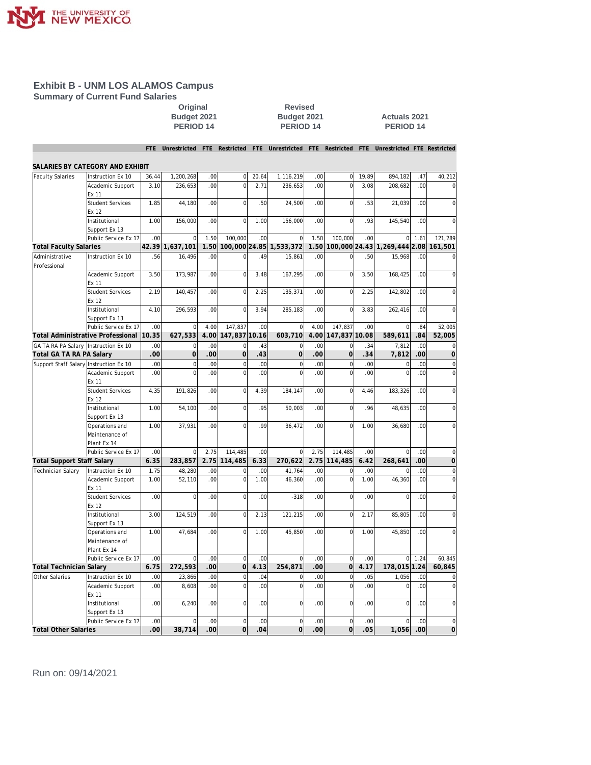

**Summary of Current Fund Salaries**

**Original Revised PERIOD 14 PERIOD 14 PERIOD 14**

**Budget 2021 Actuals 2021**<br>**PERIOD 14 PERIOD 14** 

|                                        |                                   |                         | Unrestricted          | FTE                    | Restricted                | FTE       | Unrestricted               | FTE                    | Restricted        | FTE        | Unrestricted FTE Restricted  |                  |                |
|----------------------------------------|-----------------------------------|-------------------------|-----------------------|------------------------|---------------------------|-----------|----------------------------|------------------------|-------------------|------------|------------------------------|------------------|----------------|
|                                        | SALARIES BY CATEGORY AND EXHIBIT  |                         |                       |                        |                           |           |                            |                        |                   |            |                              |                  |                |
| <b>Faculty Salaries</b>                | Instruction Ex 10                 | 36.44                   | 1,200,268             | .00                    | $\overline{0}$            | 20.64     | 1,116,219                  | .00                    | $\Omega$          | 19.89      | 894,182                      | .47              | 40,212         |
|                                        | Academic Support                  | 3.10                    | 236,653               | .00                    | $\mathbf 0$               | 2.71      | 236,653                    | .00                    | $\overline{0}$    | 3.08       | 208,682                      | .00 <sub>1</sub> | $\mathbf 0$    |
|                                        | Ex 11                             |                         |                       |                        |                           |           |                            |                        |                   |            |                              |                  |                |
|                                        | <b>Student Services</b>           | 1.85                    | 44.180                | .00                    | $\Omega$                  | .50       | 24,500                     | .00                    | $\mathbf 0$       | .53        | 21,039                       | .00              | $\overline{0}$ |
|                                        | Ex 12                             |                         |                       |                        |                           |           |                            |                        |                   |            |                              |                  |                |
|                                        | Institutional                     | 1.00                    | 156,000               | .00                    | $\Omega$                  | 1.00      | 156,000                    | .00                    | $\mathbf 0$       | .93        | 145,540                      | .00              | $\Omega$       |
|                                        | Support Ex 13                     |                         |                       |                        |                           |           |                            |                        |                   |            |                              |                  |                |
|                                        | Public Service Ex 17              | .00                     | $\mathbf 0$           | 1.50                   | 100,000                   | .00       | $\mathbf 0$                | 1.50                   | 100,000           | .00        | $\mathbf{0}$                 | 1.61             | 121,289        |
| <b>Total Faculty Salaries</b>          |                                   | 42.39                   | 1,637,101             | 1.50                   | 100,000 24.85             |           | 1,533,372                  | 1.50                   |                   |            | 100,000 24.43 1,269,444 2.08 |                  | 161,501        |
| Administrative<br>Professional         | Instruction Ex 10                 | .56                     | 16,496                | .00                    | $\Omega$                  | .49       | 15.861                     | .00                    | 0                 | .50        | 15.968                       | .00.             | $\mathbf 0$    |
|                                        | Academic Support<br>Ex 11         | 3.50                    | 173,987               | .00                    | $\mathbf{O}$              | 3.48      | 167,295                    | .00                    | $\mathbf 0$       | 3.50       | 168,425                      | .00              | $\mathbf 0$    |
|                                        | <b>Student Services</b><br>Ex 12  | 2.19                    | 140,457               | .00                    | $\Omega$                  | 2.25      | 135,371                    | .00                    | $\overline{0}$    | 2.25       | 142,802                      | .00              | 0              |
|                                        | Institutional<br>Support Ex 13    | 4.10                    | 296,593               | .00                    | $\mathbf 0$               | 3.94      | 285,183                    | .00                    | $\overline{0}$    | 3.83       | 262,416                      | .00 <sub>1</sub> | $\overline{0}$ |
|                                        | Public Service Ex 17              | .00                     | $\Omega$              | 4.00                   | 147,837                   | .00       | $\Omega$                   | 4.00                   | 147,837           | .00        | $\Omega$                     | .84              | 52,005         |
|                                        | Total Administrative Professional | 10.35                   | 627,533               | 4.00                   | 147,837 10.16             |           | 603,710                    | 4.00                   | 147,837 10.08     |            | 589,611                      | .84              | 52,005         |
| GA TA RA PA Salary Instruction Ex 10   |                                   | .00                     | $\mathbf 0$           | .00                    | $\mathbf{O}$              | .43       | $\mathbf 0$                | .00                    | $\mathbf 0$       | .34        | 7,812                        | .00.             | $\mathbf 0$    |
| Total GA TA RA PA Salary               |                                   | .00.                    | $\overline{0}$        | .00                    | $\overline{O}$            | .43       | $\mathbf 0$                | .00                    | $\overline{O}$    | .34        | 7,812                        | .00              | $\overline{0}$ |
| Support Staff Salary Instruction Ex 10 |                                   | .00                     | $\mathbf 0$           | .00                    | $\mathsf{O}\xspace$       | .00       | $\mathbf 0$                | .00                    | $\mathbf 0$       | .00        | $\bf 0$                      | .00              | $\mathbf 0$    |
|                                        | Academic Support<br>Ex 11         | .00                     | $\overline{0}$        | .00                    | $\overline{0}$            | .00       | $\Omega$                   | .00                    | $\overline{0}$    | .00        | $\mathbf 0$                  | .00.             | $\mathbf 0$    |
|                                        | <b>Student Services</b><br>Ex 12  | 4.35                    | 191,826               | .00                    | $\mathbf 0$               | 4.39      | 184,147                    | .00                    | $\mathbf 0$       | 4.46       | 183,326                      | .00.             | $\mathbf 0$    |
|                                        | Institutional<br>Support Ex 13    | 1.00                    | 54,100                | .00                    | $\Omega$                  | .95       | 50,003                     | .00                    | $\mathbf 0$       | .96        | 48,635                       | .00.             | $\mathbf 0$    |
|                                        | Operations and                    | 1.00                    | 37,931                | .00                    | $\mathbf 0$               | .99       | 36,472                     | .00                    | $\overline{0}$    | 1.00       | 36,680                       | .00.             | $\overline{0}$ |
|                                        | Maintenance of                    |                         |                       |                        |                           |           |                            |                        |                   |            |                              |                  |                |
|                                        | Plant Ex 14                       |                         |                       |                        |                           |           |                            |                        |                   |            |                              |                  |                |
|                                        | Public Service Ex 17              | .00                     | $\overline{0}$        | 2.75                   | 114,485                   | .00       | $\Omega$                   | 2.75                   | 114,485           | .00        | $\overline{0}$               | .00              | $\overline{0}$ |
| Total Support Staff Salary             |                                   | 6.35                    | 283,857               | 2.75                   | 114,485                   | 6.33      | 270,622                    | 2.75                   | 114,485           | 6.42       | 268,641                      | .00              | 0              |
| <b>Technician Salary</b>               | Instruction Ex 10                 | 1.75                    | 48,280                | .00                    | $\mathbf 0$               | .00       | 41,764                     | .00                    | $\mathbf 0$       | .00        | $\Omega$                     | .00              | 0              |
|                                        | Academic Support<br>Ex 11         | 1.00                    | 52,110                | .00                    | $\mathbf 0$               | 1.00      | 46,360                     | .00                    | $\overline{0}$    | 1.00       | 46,360                       | .00              | $\mathbf 0$    |
|                                        | <b>Student Services</b>           | .00                     | $\overline{0}$        | .00                    | $\mathbf 0$               | .00.      | $-318$                     | .00                    | $\mathbf 0$       | .00        | $\overline{0}$               | .00              | $\mathbf 0$    |
|                                        | Ex 12                             |                         |                       |                        |                           |           |                            |                        |                   |            |                              |                  |                |
|                                        | Institutional                     | 3.00                    | 124,519               | .00                    | $\mathbf 0$               | 2.13      | 121,215                    | .00                    | $\mathbf 0$       | 2.17       | 85,805                       | .00              | $\mathbf 0$    |
|                                        | Support Ex 13<br>Operations and   | 1.00                    | 47,684                | .00                    | $\Omega$                  | 1.00      | 45,850                     | .00                    | $\overline{0}$    | 1.00       | 45,850                       | .00.             | $\overline{0}$ |
|                                        | Maintenance of                    |                         |                       |                        |                           |           |                            |                        |                   |            |                              |                  |                |
|                                        | Plant Ex 14                       |                         |                       |                        |                           |           |                            |                        |                   |            |                              |                  |                |
|                                        | Public Service Ex 17              | .00                     | $\overline{0}$        | .00                    | $\mathbf 0$               | .00       | $\Omega$                   | .00                    | $\bf 0$           | .00        | 0                            | 1.24             | 60,845         |
| Total Technician Salary                |                                   | 6.75                    | 272,593               | .00                    | $\overline{O}$            | 4.13      | 254,871                    | .00                    | $\overline{0}$    | 4.17       | 178,015 1.24                 |                  | 60,845         |
| Other Salaries                         | Instruction Ex 10                 | .00                     | 23,866                | .00                    | $\mathbf 0$               | .04       | $\mathbf 0$                | .00                    | $\mathbf 0$       | .05        | 1,056                        | .00              | $\mathbf 0$    |
|                                        | Academic Support                  | .00                     | 8,608                 | .00                    | $\mathbf 0$               | .00       | $\mathbf 0$                | .00                    | $\mathbf 0$       | .00        | $\Omega$                     | .00              | $\mathbf 0$    |
|                                        | Ex 11                             |                         |                       |                        |                           |           |                            |                        |                   |            |                              |                  |                |
|                                        | Institutional                     | .00                     | 6,240                 | .00                    | $\mathbf 0$               | .00       | $\mathbf 0$                | .00                    | $\mathbf 0$       | .00        | $\overline{0}$               | .00.             | $\mathbf 0$    |
|                                        | Support Ex 13                     |                         |                       |                        |                           |           |                            |                        |                   |            |                              |                  |                |
|                                        | Public Service Ex 17              | .00<br>.00 <sub>l</sub> | $\mathbf 0$<br>38,714 | .00<br>00 <sup>1</sup> | $\mathsf{O}\xspace$<br>οl | .00<br>04 | $\Omega$<br>$\overline{O}$ | .00<br>00 <sub>1</sub> | $\mathbf 0$<br>ol | .00<br>.05 | $\overline{0}$<br>1,056      | .00<br>.00       | $\Omega$<br>0  |
| <b>Total Other Salaries</b>            |                                   |                         |                       |                        |                           |           |                            |                        |                   |            |                              |                  |                |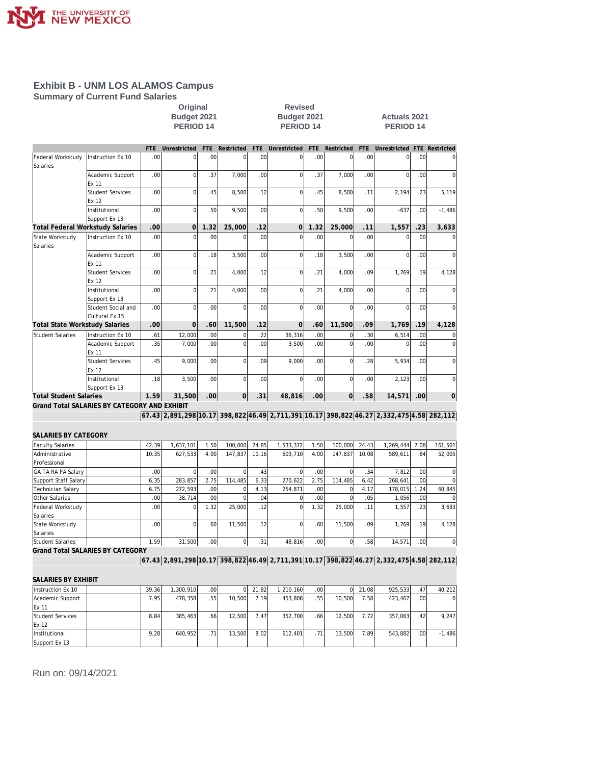

**Summary of Current Fund Salaries**

**Property Contains Contains Servised Budget 2021**<br> **PERIOD 14**<br> **PERIOD 14**<br> **PERIOD 14 Budget 2021 Actuals 2021**<br>**PERIOD 14 PERIOD 14 PERIOD 14 PERIOD 14 PERIOD 14**

|                                       |                                              | <b>FTE</b> | Unrestricted                                                                             | FTE              | Restricted  | <b>FTE</b> | Unrestricted   | <b>FTE</b> | Restricted     | <b>FTE</b> | Unrestricted   |      | FTE Restricted |
|---------------------------------------|----------------------------------------------|------------|------------------------------------------------------------------------------------------|------------------|-------------|------------|----------------|------------|----------------|------------|----------------|------|----------------|
| Federal Workstudy                     | Instruction Ex 10                            | .00        | $\mathbf 0$                                                                              | .00              | $\mathbf 0$ | .00        | $\mathbf 0$    | .00        | $\mathbf 0$    | .00        | $\overline{0}$ | .00  | $\mathbf 0$    |
| Salaries                              |                                              |            |                                                                                          |                  |             |            |                |            |                |            |                |      |                |
|                                       | Academic Support<br>Ex 11                    | .00        | $\mathbf 0$                                                                              | .37              | 7,000       | .00        | $\overline{0}$ | .37        | 7,000          | .00        | $\overline{0}$ | .00  | 0              |
|                                       | <b>Student Services</b><br>Ex 12             | .00        | $\overline{0}$                                                                           | .45              | 8,500       | .12        | $\mathbf 0$    | .45        | 8,500          | .11        | 2,194          | .23  | 5,119          |
|                                       | Institutional<br>Support Ex 13               | .00        | $\Omega$                                                                                 | .50              | 9,500       | .00        | $\Omega$       | .50        | 9,500          | .00        | $-637$         | .00  | $-1,486$       |
|                                       | Total Federal Workstudy Salaries             | .00        | $\overline{0}$                                                                           | 1.32             | 25,000      | .12        | 0              | 1.32       | 25,000         | .11        | 1,557          | .23  | 3,633          |
| State Workstudy                       | Instruction Ex 10                            | .00        | $\Omega$                                                                                 | .00              | $\Omega$    | .00        | $\Omega$       | .00        | 0              | .00        | 0              | .00  | $\mathbf 0$    |
| Salaries                              |                                              |            |                                                                                          |                  |             |            |                |            |                |            |                |      |                |
|                                       | Academic Support<br>Ex 11                    | .00        | $\mathbf 0$                                                                              | .18              | 3,500       | .00        | $\overline{0}$ | .18        | 3,500          | .00        | $\mathbf 0$    | .00  | 0              |
|                                       | <b>Student Services</b>                      | .00        | $\overline{0}$                                                                           | .21              | 4,000       | .12        | $\mathbf 0$    | .21        | 4,000          | .09        | 1,769          | .19  | 4,128          |
|                                       | Ex 12                                        |            |                                                                                          |                  |             |            |                |            |                |            |                |      |                |
|                                       | Institutional                                | .00        | $\overline{0}$                                                                           | .21              | 4,000       | .00        | $\mathbf 0$    | .21        | 4,000          | .00.       | $\overline{0}$ | .00  | $\overline{0}$ |
|                                       | Support Ex 13                                |            |                                                                                          |                  |             |            |                |            |                |            |                |      |                |
|                                       | Student Social and                           | .00        | $\overline{0}$                                                                           | .00              | $\Omega$    | .00        | $\mathbf 0$    | .00        | $\mathbf 0$    | .00        | $\overline{0}$ | .00  | 0              |
|                                       | Cultural Ex 15                               |            |                                                                                          |                  |             |            |                |            |                |            |                |      |                |
| <b>Total State Workstudy Salaries</b> |                                              | .00        | $\overline{0}$                                                                           | .60              | 11,500      | .12        | $\overline{0}$ | .60        | 11,500         | .09        | 1,769          | .19  | 4,128          |
| <b>Student Salaries</b>               | Instruction Ex 10                            | .61        | 12,000                                                                                   | .00              |             | .22        | 36,316         | .00        | 0              | .30        | 6,514          | .00  | 0              |
|                                       | Academic Support<br>Ex 11                    | .35        | 7,000                                                                                    | .00              | $\mathbf 0$ | .00        | 3,500          | .00        | $\mathbf 0$    | .00        | $\mathbf 0$    | .00  | $\overline{0}$ |
|                                       | <b>Student Services</b><br>Ex 12             | .45        | 9.000                                                                                    | .00              | $\Omega$    | .09        | 9,000          | .00        | $\mathbf 0$    | .28        | 5,934          | .00  | 0              |
|                                       | Institutional<br>Support Ex 13               | .18        | 3,500                                                                                    | .00              | $\mathbf 0$ | .00        | $\overline{0}$ | .00        | $\overline{0}$ | .00.       | 2,123          | .00  | $\mathbf 0$    |
| <b>Total Student Salaries</b>         |                                              | 1.59       | 31,500                                                                                   | .00 <sub>1</sub> | οl          | .31        | 48,816         | .00        | οl             | .58        | 14,571         | .00  | $\overline{O}$ |
|                                       | Grand Total SALARIES BY CATEGORY AND EXHIBIT |            |                                                                                          |                  |             |            |                |            |                |            |                |      |                |
|                                       |                                              |            | 67.43 2,891,298 10.17 398,822 46.49 2,711,391 10.17 398,822 46.27 2,332,475 4.58 282,112 |                  |             |            |                |            |                |            |                |      |                |
|                                       |                                              |            |                                                                                          |                  |             |            |                |            |                |            |                |      |                |
| SALARIES BY CATEGORY                  |                                              |            |                                                                                          |                  |             |            |                |            |                |            |                |      |                |
| <b>Faculty Salaries</b>               |                                              | 42.39      | 1,637,101                                                                                | 1.50             | 100,000     | 24.85      | 1,533,372      | 1.50       | 100,000        | 24.43      | 1,269,444      | 2.08 | 161,501        |
| Administrative                        |                                              | 10.35      | 627,533                                                                                  | 4.00             | 147,837     | 10.16      | 603,710        | 4.00       | 147,837        | 10.08      | 589,611        | .84  | 52,005         |
| Professional                          |                                              |            |                                                                                          |                  |             |            |                |            |                |            |                |      |                |
| GA TA RA PA Salary                    |                                              | .00        | $\mathbf 0$                                                                              | .00              | $\mathbf 0$ | .43        | $\mathbf 0$    | .00        | $\bf 0$        | .34        | 7,812          | .00  | $\mathbf 0$    |
| Support Staff Salary                  |                                              | 6.35       | 283,857                                                                                  | 2.75             | 114,485     | 6.33       | 270,622        | 2.75       | 114,485        | 6.42       | 268,641        | .00  | $\overline{0}$ |
| Technician Salary                     |                                              | 6.75       | 272,593                                                                                  | 0 <sub>0</sub>   | $\Omega$    | 4.13       | 254,871        | .00        | $\Omega$       | 4.17       | 178,015        | 1.24 | 60,845         |
| Other Salaries                        |                                              | .00        | 38,714                                                                                   | .00              | $\mathbf 0$ | .04        | $\mathbf 0$    | .00        | $\mathbf 0$    | .05        | 1,056          | .00  | $\mathbf 0$    |
| Federal Workstudy<br>Salaries         |                                              | .00        | $\mathbf 0$                                                                              | 1.32             | 25,000      | .12        | $\mathbf 0$    | 1.32       | 25,000         | .11        | 1,557          | .23  | 3,633          |
| State Workstudy<br>Salaries           |                                              | .00        | $\Omega$                                                                                 | .60              | 11,500      | .12        | $\Omega$       | .60        | 11,500         | .09        | 1,769          | .19  | 4,128          |
| <b>Student Salaries</b>               |                                              | 1.59       | 31,500                                                                                   | .00              | $\mathbf 0$ | .31        | 48,816         | .00        | $\overline{0}$ | .58        | 14,571         | .00. | $\overline{0}$ |
|                                       | <b>Grand Total SALARIES BY CATEGORY</b>      |            |                                                                                          |                  |             |            |                |            |                |            |                |      |                |
|                                       |                                              |            | 67.43 2,891,298 10.17 398,822 46.49 2,711,391 10.17 398,822 46.27 2,332,475 4.58 282,112 |                  |             |            |                |            |                |            |                |      |                |
| SALARIES BY EXHIBIT                   |                                              |            |                                                                                          |                  |             |            |                |            |                |            |                |      |                |
| Instruction Ex 10                     |                                              | 39.36      | 1,300,910                                                                                | .00              | $\Omega$    | 21.82      | 1,210,160      | .00        | $\overline{0}$ | 21.08      | 925,533        | .47  | 40,212         |
| Academic Support                      |                                              | 7.95       | 478,358                                                                                  | .55              | 10,500      | 7.19       | 453,808        | .55        | 10,500         | 7.58       | 423,467        | .00  | 0              |
| Ex 11                                 |                                              |            |                                                                                          |                  |             |            |                |            |                |            |                |      |                |
| <b>Student Services</b><br>Ex 12      |                                              | 8.84       | 385.463                                                                                  | .66              | 12,500      | 7.47       | 352.700        | .66        | 12,500         | 7.72       | 357,063        | .42  | 9.247          |
| Institutional<br>Support Ex 13        |                                              | 9.28       | 640,952                                                                                  | .71              | 13,500      | 8.02       | 612,401        | .71        | 13,500         | 7.89       | 543,882        | .00  | $-1,486$       |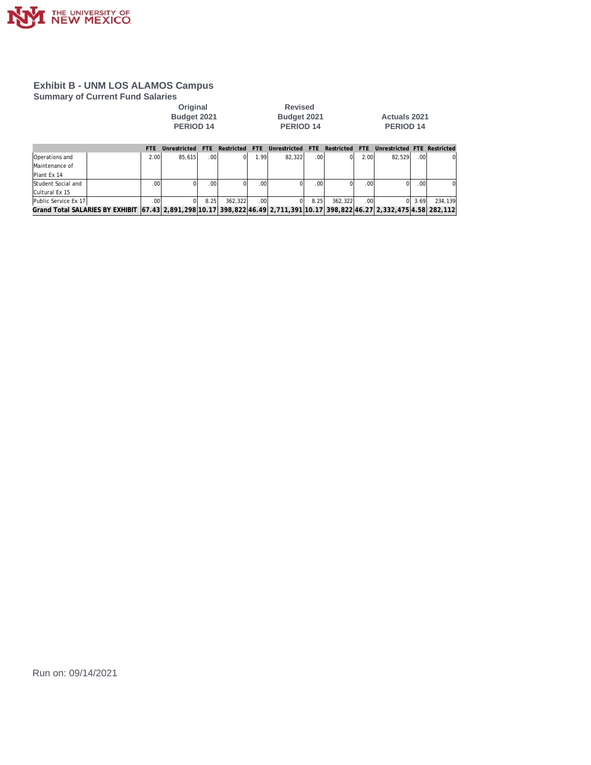

**Summary of Current Fund Salaries**<br>Original

**PERIOD 14 PERIOD 14 PERIOD 14**

**Revised<br>Budget 2021** 

**Budget 2021 Budget 2021 Actuals 2021**

|                                                                                                                                  | <b>FTF</b>   | Unrestricted |      | Restricted | FTF  | Unrestricted | FTF              | Restricted FTE |       | Unrestricted FTE Restricted |        |          |
|----------------------------------------------------------------------------------------------------------------------------------|--------------|--------------|------|------------|------|--------------|------------------|----------------|-------|-----------------------------|--------|----------|
| <b>Operations</b> and                                                                                                            | 2.00         | 85.615       | .00  | ΩI         | 1.99 | 82.322       | .00.             |                | 2.001 | 82.529                      | .001   | $\Omega$ |
| Maintenance of                                                                                                                   |              |              |      |            |      |              |                  |                |       |                             |        |          |
| Plant Ex 14                                                                                                                      |              |              |      |            |      |              |                  |                |       |                             |        |          |
| Student Social and                                                                                                               | .001         |              | .001 |            | .00  |              | .00 <sup>1</sup> |                | .00   |                             | .001   | ΩI       |
| Cultural Ex 15                                                                                                                   |              |              |      |            |      |              |                  |                |       |                             |        |          |
| Public Service Ex 17                                                                                                             | $.00 \times$ |              | 8.25 | 362.322    | .001 |              | 8.25             | 362.322        | .001  |                             | 013.69 | 234.139  |
| Grand Total SALARIES BY EXHIBIT (67.43) 2,891,298(10.17) 398,822(46.49) 2,711,391(10.17) 398,822(46.27) 2,332,475(4.58) 282,112( |              |              |      |            |      |              |                  |                |       |                             |        |          |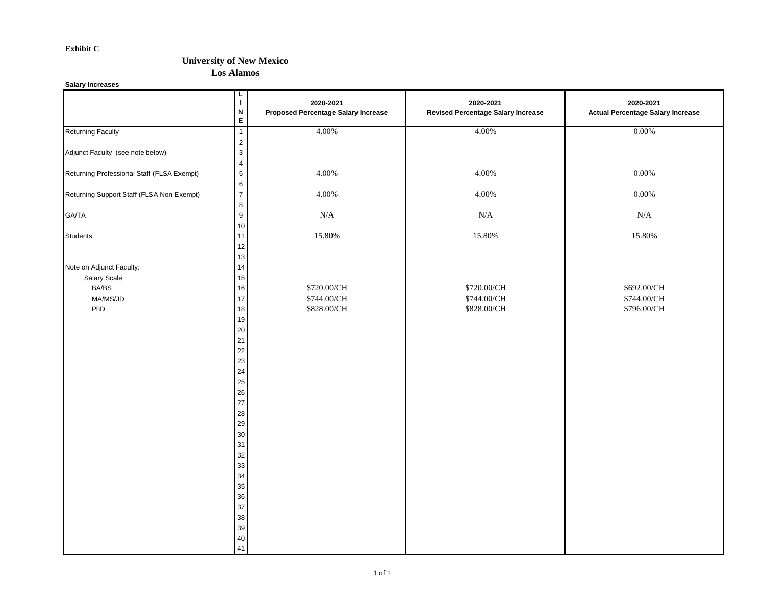#### **Exhibit C**

### **University of New Mexico**

**Los Alamos**

**Salary Increases**

|                                                                      | L<br>$\mathbf I$<br>$\boldsymbol{\mathsf{N}}$<br>E                                                                                 | 2020-2021<br><b>Proposed Percentage Salary Increase</b> | 2020-2021<br><b>Revised Percentage Salary Increase</b> | 2020-2021<br><b>Actual Percentage Salary Increase</b> |
|----------------------------------------------------------------------|------------------------------------------------------------------------------------------------------------------------------------|---------------------------------------------------------|--------------------------------------------------------|-------------------------------------------------------|
| <b>Returning Faculty</b>                                             | $\overline{1}$                                                                                                                     | 4.00%                                                   | 4.00%                                                  | 0.00%                                                 |
| Adjunct Faculty (see note below)                                     | $\mathbf 2$<br>$\mathsf 3$<br>$\overline{4}$                                                                                       |                                                         |                                                        |                                                       |
| Returning Professional Staff (FLSA Exempt)                           | $\sqrt{5}$                                                                                                                         | 4.00%                                                   | 4.00%                                                  | $0.00\%$                                              |
| Returning Support Staff (FLSA Non-Exempt)                            | $\,6\,$<br>$\overline{7}$<br>$\bf 8$                                                                                               | 4.00%                                                   | 4.00%                                                  | $0.00\%$                                              |
| GA/TA                                                                | $\boldsymbol{9}$<br>10                                                                                                             | $\rm N/A$                                               | $\rm N/A$                                              | N/A                                                   |
| <b>Students</b>                                                      | 11<br>12<br>13                                                                                                                     | 15.80%                                                  | 15.80%                                                 | 15.80%                                                |
| Note on Adjunct Faculty:<br>Salary Scale<br>BA/BS<br>MA/MS/JD<br>PhD | 14<br>15<br>16<br>$17\,$<br>18<br>19<br>$20\,$<br>21<br>22<br>23<br>24                                                             | \$720.00/CH<br>\$744.00/CH<br>\$828.00/CH               | \$720.00/CH<br>\$744.00/CH<br>\$828.00/CH              | \$692.00/CH<br>\$744.00/CH<br>\$796.00/CH             |
|                                                                      | 25<br>26<br>$27\,$<br>${\bf 28}$<br>29<br>$30\,$<br>31<br>$32\,$<br>33<br>34<br>35<br>36<br>$37\,$<br>$38\,$<br>$39\,$<br>40<br>41 |                                                         |                                                        |                                                       |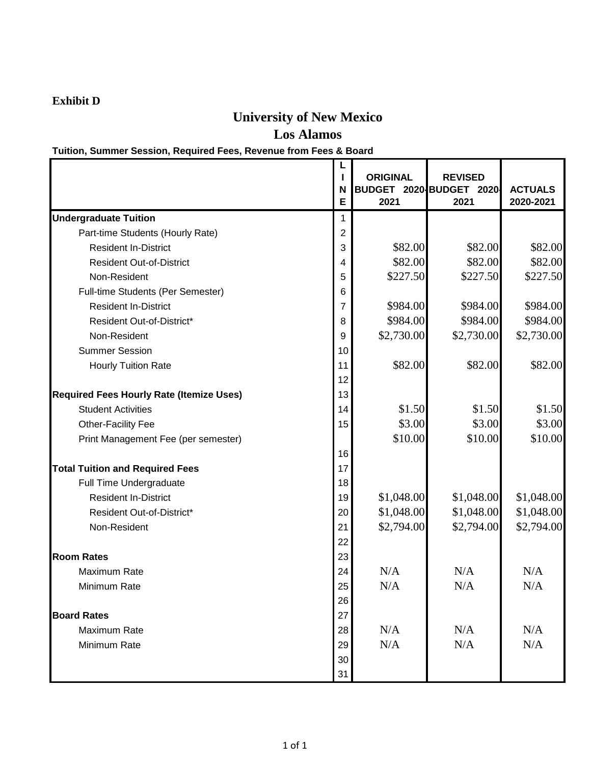## **Exhibit D**

# **University of New Mexico**

**Los Alamos**

# **Tuition, Summer Session, Required Fees, Revenue from Fees & Board**

|                                                 | N<br>E         | <b>ORIGINAL</b><br>BUDGET 2020 BUDGET<br>2021 | <b>REVISED</b><br>2020-<br>2021 | <b>ACTUALS</b><br>2020-2021 |
|-------------------------------------------------|----------------|-----------------------------------------------|---------------------------------|-----------------------------|
| <b>Undergraduate Tuition</b>                    | 1              |                                               |                                 |                             |
| Part-time Students (Hourly Rate)                | $\overline{2}$ |                                               |                                 |                             |
| <b>Resident In-District</b>                     | 3              | \$82.00                                       | \$82.00                         | \$82.00                     |
| <b>Resident Out-of-District</b>                 | 4              | \$82.00                                       | \$82.00                         | \$82.00                     |
| Non-Resident                                    | 5              | \$227.50                                      | \$227.50                        | \$227.50                    |
| Full-time Students (Per Semester)               | 6              |                                               |                                 |                             |
| <b>Resident In-District</b>                     | 7              | \$984.00                                      | \$984.00                        | \$984.00                    |
| Resident Out-of-District*                       | 8              | \$984.00                                      | \$984.00                        | \$984.00                    |
| Non-Resident                                    | 9              | \$2,730.00                                    | \$2,730.00                      | \$2,730.00                  |
| <b>Summer Session</b>                           | 10             |                                               |                                 |                             |
| <b>Hourly Tuition Rate</b>                      | 11             | \$82.00                                       | \$82.00                         | \$82.00                     |
|                                                 | 12             |                                               |                                 |                             |
| <b>Required Fees Hourly Rate (Itemize Uses)</b> | 13             |                                               |                                 |                             |
| <b>Student Activities</b>                       | 14             | \$1.50                                        | \$1.50                          | \$1.50                      |
| Other-Facility Fee                              | 15             | \$3.00                                        | \$3.00                          | \$3.00                      |
| Print Management Fee (per semester)             |                | \$10.00                                       | \$10.00                         | \$10.00                     |
|                                                 | 16             |                                               |                                 |                             |
| <b>Total Tuition and Required Fees</b>          | 17             |                                               |                                 |                             |
| Full Time Undergraduate                         | 18             |                                               |                                 |                             |
| <b>Resident In-District</b>                     | 19             | \$1,048.00                                    | \$1,048.00                      | \$1,048.00                  |
| Resident Out-of-District*                       | 20             | \$1,048.00                                    | \$1,048.00                      | \$1,048.00                  |
| Non-Resident                                    | 21             | \$2,794.00                                    | \$2,794.00                      | \$2,794.00                  |
|                                                 | 22             |                                               |                                 |                             |
| <b>Room Rates</b>                               | 23             |                                               |                                 |                             |
| Maximum Rate                                    | 24             | N/A                                           | N/A                             | N/A                         |
| Minimum Rate                                    | 25             | N/A                                           | N/A                             | N/A                         |
|                                                 | 26             |                                               |                                 |                             |
| <b>Board Rates</b>                              | 27             |                                               |                                 |                             |
| Maximum Rate                                    | 28             | N/A                                           | N/A                             | N/A                         |
| Minimum Rate                                    | 29             | N/A                                           | N/A                             | N/A                         |
|                                                 | 30             |                                               |                                 |                             |
|                                                 | 31             |                                               |                                 |                             |